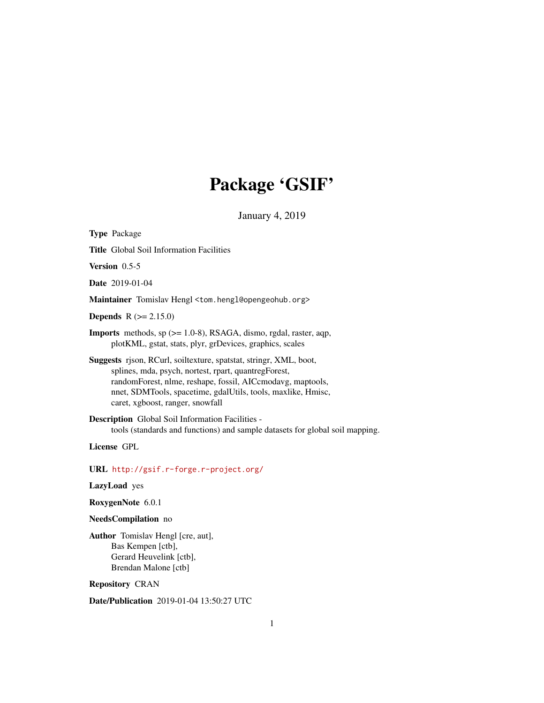# Package 'GSIF'

January 4, 2019

| <b>Type Package</b>                                                                                                                                                                                                                                                                                |
|----------------------------------------------------------------------------------------------------------------------------------------------------------------------------------------------------------------------------------------------------------------------------------------------------|
| <b>Title</b> Global Soil Information Facilities                                                                                                                                                                                                                                                    |
| Version $0.5-5$                                                                                                                                                                                                                                                                                    |
| <b>Date</b> 2019-01-04                                                                                                                                                                                                                                                                             |
| Maintainer Tomislav Hengl <tom.hengl@opengeohub.org></tom.hengl@opengeohub.org>                                                                                                                                                                                                                    |
| <b>Depends</b> $R (= 2.15.0)$                                                                                                                                                                                                                                                                      |
| <b>Imports</b> methods, sp $(>= 1.0-8)$ , RSAGA, dismo, rgdal, raster, aqp,<br>plotKML, gstat, stats, plyr, grDevices, graphics, scales                                                                                                                                                            |
| <b>Suggests</b> rison, RCurl, soiltexture, spatstat, stringr, XML, boot,<br>splines, mda, psych, nortest, rpart, quantregForest,<br>randomForest, nlme, reshape, fossil, AICcmodavg, maptools,<br>nnet, SDMTools, spacetime, gdalUtils, tools, maxlike, Hmisc,<br>caret, xgboost, ranger, snowfall |
| <b>Description</b> Global Soil Information Facilities -<br>tools (standards and functions) and sample datasets for global soil mapping.                                                                                                                                                            |
| License GPL                                                                                                                                                                                                                                                                                        |
| URL http://gsif.r-forge.r-project.org/                                                                                                                                                                                                                                                             |
| LazyLoad yes                                                                                                                                                                                                                                                                                       |
| RoxygenNote 6.0.1                                                                                                                                                                                                                                                                                  |
| NeedsCompilation no                                                                                                                                                                                                                                                                                |
| <b>Author</b> Tomislav Hengl [cre, aut],<br>Bas Kempen [ctb],<br>Gerard Heuvelink [ctb],<br>Brendan Malone [ctb]                                                                                                                                                                                   |
| <b>Repository CRAN</b>                                                                                                                                                                                                                                                                             |

Date/Publication 2019-01-04 13:50:27 UTC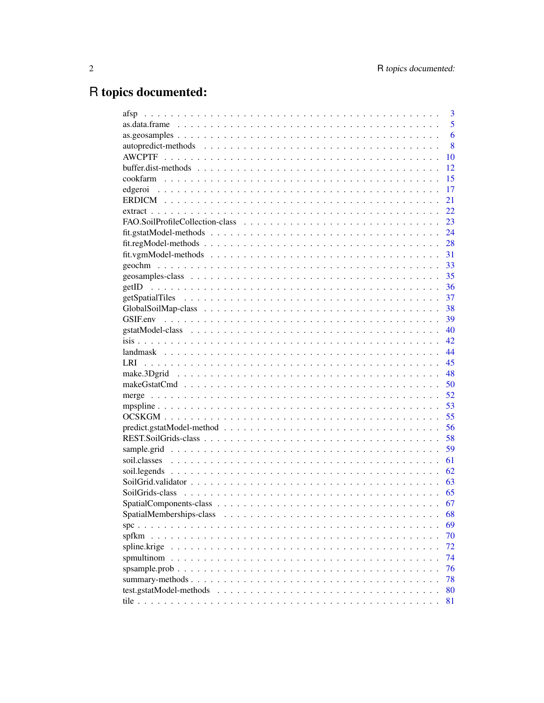# R topics documented:

|                         | 3  |
|-------------------------|----|
|                         | 5  |
|                         | 6  |
|                         | 8  |
|                         | 10 |
|                         | 12 |
|                         | 15 |
|                         | 17 |
|                         | 21 |
|                         | 22 |
|                         | 23 |
|                         | 24 |
|                         | 28 |
|                         | 31 |
|                         | 33 |
|                         | 35 |
|                         | 36 |
|                         | 37 |
|                         | 38 |
|                         | 39 |
|                         | 40 |
|                         | 42 |
|                         | 44 |
| LRI.                    | 45 |
|                         | 48 |
|                         | 50 |
|                         | 52 |
|                         | 53 |
|                         | 55 |
|                         | 56 |
|                         | 58 |
|                         | 59 |
|                         | 61 |
|                         | 62 |
|                         | 63 |
|                         | 65 |
|                         | 67 |
|                         | 68 |
|                         | 69 |
|                         |    |
| spfkm                   | 70 |
| spline.krige            | 72 |
|                         | 74 |
|                         | 76 |
|                         | 78 |
| test.gstatModel-methods | 80 |
|                         | 81 |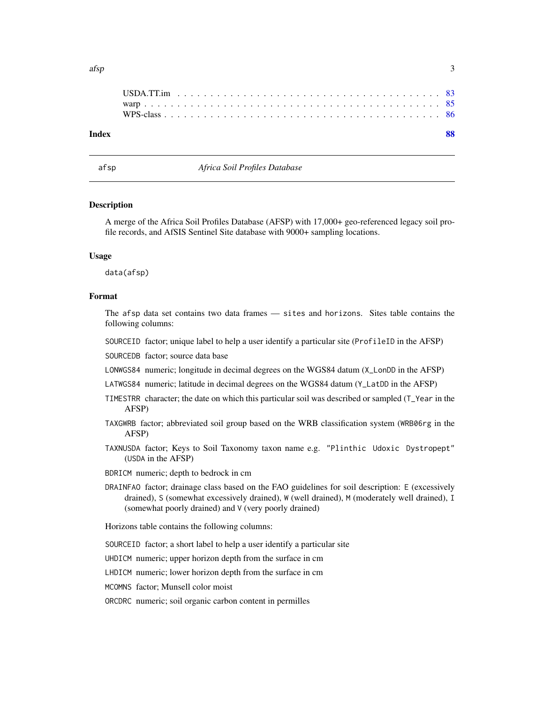<span id="page-2-0"></span>

| Index |  |  |  |  |  |  |  |  |  |  |  |  |  |  |  |  |  |  | -88 |
|-------|--|--|--|--|--|--|--|--|--|--|--|--|--|--|--|--|--|--|-----|
|       |  |  |  |  |  |  |  |  |  |  |  |  |  |  |  |  |  |  |     |
|       |  |  |  |  |  |  |  |  |  |  |  |  |  |  |  |  |  |  |     |
|       |  |  |  |  |  |  |  |  |  |  |  |  |  |  |  |  |  |  |     |

afsp *Africa Soil Profiles Database*

#### Description

A merge of the Africa Soil Profiles Database (AFSP) with 17,000+ geo-referenced legacy soil profile records, and AfSIS Sentinel Site database with 9000+ sampling locations.

# Usage

data(afsp)

# Format

The afsp data set contains two data frames — sites and horizons. Sites table contains the following columns:

SOURCEID factor; unique label to help a user identify a particular site (ProfileID in the AFSP)

SOURCEDB factor; source data base

LONWGS84 numeric; longitude in decimal degrees on the WGS84 datum (X\_LonDD in the AFSP)

LATWGS84 numeric; latitude in decimal degrees on the WGS84 datum (Y\_LatDD in the AFSP)

- TIMESTRR character; the date on which this particular soil was described or sampled (T\_Year in the AFSP)
- TAXGWRB factor; abbreviated soil group based on the WRB classification system (WRB06rg in the AFSP)
- TAXNUSDA factor; Keys to Soil Taxonomy taxon name e.g. "Plinthic Udoxic Dystropept" (USDA in the AFSP)

BDRICM numeric; depth to bedrock in cm

DRAINFAO factor; drainage class based on the FAO guidelines for soil description: E (excessively drained), S (somewhat excessively drained), W (well drained), M (moderately well drained), I (somewhat poorly drained) and V (very poorly drained)

Horizons table contains the following columns:

SOURCEID factor; a short label to help a user identify a particular site

UHDICM numeric; upper horizon depth from the surface in cm

LHDICM numeric; lower horizon depth from the surface in cm

MCOMNS factor; Munsell color moist

ORCDRC numeric; soil organic carbon content in permilles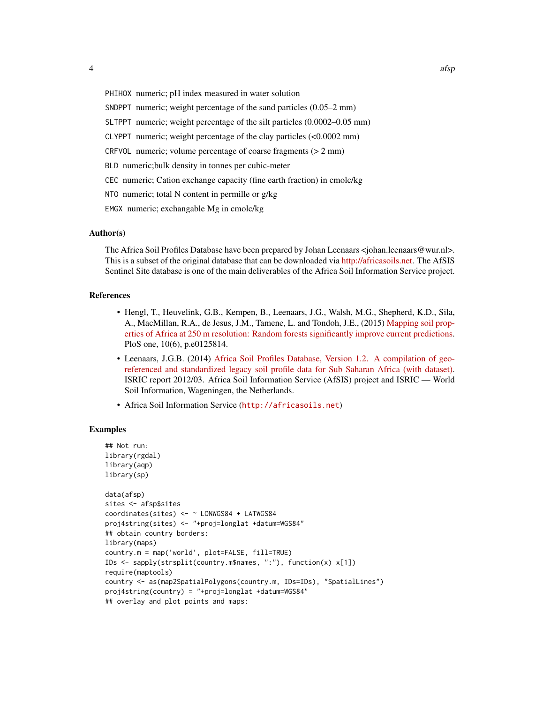- PHIHOX numeric; pH index measured in water solution
- SNDPPT numeric; weight percentage of the sand particles (0.05–2 mm)
- SLTPPT numeric; weight percentage of the silt particles (0.0002–0.05 mm)
- CLYPPT numeric; weight percentage of the clay particles (<0.0002 mm)
- CRFVOL numeric; volume percentage of coarse fragments (> 2 mm)
- BLD numeric;bulk density in tonnes per cubic-meter
- CEC numeric; Cation exchange capacity (fine earth fraction) in cmolc/kg
- NTO numeric; total N content in permille or g/kg
- EMGX numeric; exchangable Mg in cmolc/kg

# Author(s)

The Africa Soil Profiles Database have been prepared by Johan Leenaars <johan.leenaars@wur.nl>. This is a subset of the original database that can be downloaded via [http://africasoils.net.](http://africasoils.net/services/data/soil-databases/) The AfSIS Sentinel Site database is one of the main deliverables of the Africa Soil Information Service project.

# **References**

- Hengl, T., Heuvelink, G.B., Kempen, B., Leenaars, J.G., Walsh, M.G., Shepherd, K.D., Sila, A., MacMillan, R.A., de Jesus, J.M., Tamene, L. and Tondoh, J.E., (2015) [Mapping soil prop](http://journals.plos.org/plosone/article?id=10.1371/journal.pone.0125814)[erties of Africa at 250 m resolution: Random forests significantly improve current predictions.](http://journals.plos.org/plosone/article?id=10.1371/journal.pone.0125814) PloS one, 10(6), p.e0125814.
- Leenaars, J.G.B. (2014) [Africa Soil Profiles Database, Version 1.2. A compilation of geo](http://www.isric.org)[referenced and standardized legacy soil profile data for Sub Saharan Africa \(with dataset\).](http://www.isric.org) ISRIC report 2012/03. Africa Soil Information Service (AfSIS) project and ISRIC — World Soil Information, Wageningen, the Netherlands.
- Africa Soil Information Service (<http://africasoils.net>)

```
## Not run:
library(rgdal)
library(aqp)
library(sp)
data(afsp)
sites <- afsp$sites
coordinates(sites) <- ~ LONWGS84 + LATWGS84
proj4string(sites) <- "+proj=longlat +datum=WGS84"
## obtain country borders:
library(maps)
country.m = map('world', plot=FALSE, fill=TRUE)
IDs <- sapply(strsplit(country.m$names, ":"), function(x) x[1])
require(maptools)
country <- as(map2SpatialPolygons(country.m, IDs=IDs), "SpatialLines")
proj4string(country) = "+proj=longlat +datum=WGS84"
## overlay and plot points and maps:
```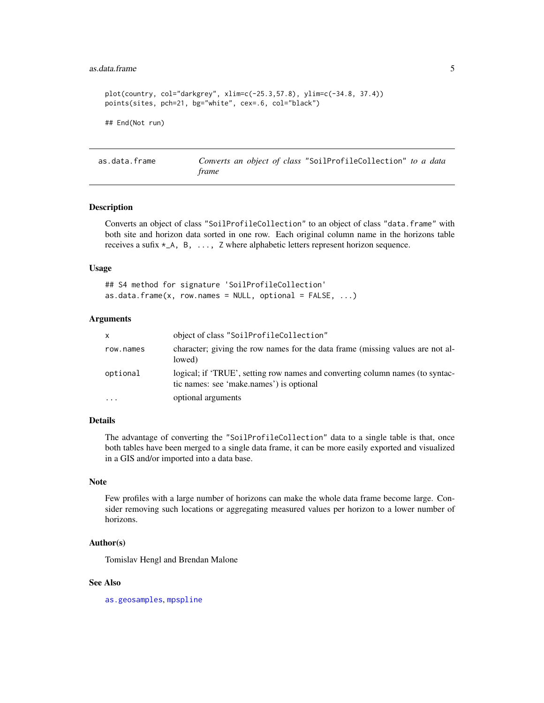#### <span id="page-4-0"></span>as.data.frame 5

```
plot(country, col="darkgrey", xlim=c(-25.3,57.8), ylim=c(-34.8, 37.4))
points(sites, pch=21, bg="white", cex=.6, col="black")
## End(Not run)
```
<span id="page-4-1"></span>as.data.frame *Converts an object of class* "SoilProfileCollection" *to a data frame*

# **Description**

Converts an object of class "SoilProfileCollection" to an object of class "data.frame" with both site and horizon data sorted in one row. Each original column name in the horizons table receives a sufix \*\_A, B, ..., Z where alphabetic letters represent horizon sequence.

# Usage

## S4 method for signature 'SoilProfileCollection' as.data.frame $(x, row.name = NULL, optional = FALSE, ...)$ 

# Arguments

| X         | object of class "SoilProfileCollection"                                                                                   |
|-----------|---------------------------------------------------------------------------------------------------------------------------|
| row.names | character; giving the row names for the data frame (missing values are not al-<br>lowed)                                  |
| optional  | logical; if 'TRUE', setting row names and converting column names (to syntac-<br>tic names: see 'make.names') is optional |
| $\cdot$   | optional arguments                                                                                                        |

# Details

The advantage of converting the "SoilProfileCollection" data to a single table is that, once both tables have been merged to a single data frame, it can be more easily exported and visualized in a GIS and/or imported into a data base.

#### Note

Few profiles with a large number of horizons can make the whole data frame become large. Consider removing such locations or aggregating measured values per horizon to a lower number of horizons.

# Author(s)

Tomislav Hengl and Brendan Malone

# See Also

[as.geosamples](#page-5-1), [mpspline](#page-52-1)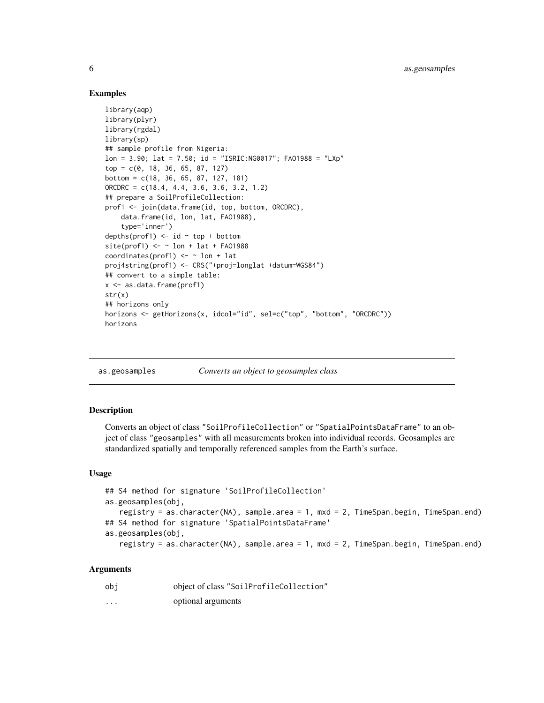# Examples

```
library(aqp)
library(plyr)
library(rgdal)
library(sp)
## sample profile from Nigeria:
lon = 3.90; lat = 7.50; id = "ISRIC:NG0017"; FAO1988 = "LXp"
top = c(0, 18, 36, 65, 87, 127)
bottom = c(18, 36, 65, 87, 127, 181)
ORCDRC = c(18.4, 4.4, 3.6, 3.6, 3.2, 1.2)## prepare a SoilProfileCollection:
prof1 <- join(data.frame(id, top, bottom, ORCDRC),
    data.frame(id, lon, lat, FAO1988),
    type='inner')
depths(prof1) \le id \sim top + bottom
site(pred) <- ~ lon + lat + FA01988
coordinates(prof1) <- ~ lon + lat
proj4string(prof1) <- CRS("+proj=longlat +datum=WGS84")
## convert to a simple table:
x <- as.data.frame(prof1)
str(x)
## horizons only
horizons <- getHorizons(x, idcol="id", sel=c("top", "bottom", "ORCDRC"))
horizons
```
<span id="page-5-1"></span>

| as.geosamples | Converts an object to geosamples class |  |
|---------------|----------------------------------------|--|
|               |                                        |  |

# Description

Converts an object of class "SoilProfileCollection" or "SpatialPointsDataFrame" to an object of class "geosamples" with all measurements broken into individual records. Geosamples are standardized spatially and temporally referenced samples from the Earth's surface.

# Usage

```
## S4 method for signature 'SoilProfileCollection'
as.geosamples(obj,
   registry = as.character(NA), sample.area = 1, mxd = 2, TimeSpan.begin, TimeSpan.end)
## S4 method for signature 'SpatialPointsDataFrame'
as.geosamples(obj,
   registry = as.character(NA), sample.area = 1, mxd = 2, TimeSpan.begin, TimeSpan.end)
```
#### Arguments

- obj object of class "SoilProfileCollection"
- ... optional arguments

<span id="page-5-0"></span>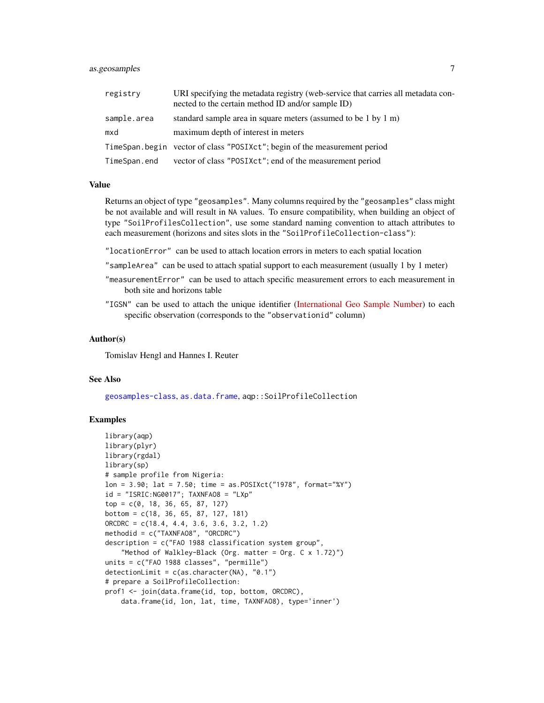# as.geosamples 7

| registry     | URI specifying the metadata registry (web-service that carries all metadata con-<br>nected to the certain method ID and/or sample ID) |
|--------------|---------------------------------------------------------------------------------------------------------------------------------------|
| sample.area  | standard sample area in square meters (assumed to be 1 by 1 m)                                                                        |
| mxd          | maximum depth of interest in meters                                                                                                   |
|              | TimeSpan.begin vector of class "POSIXct"; begin of the measurement period                                                             |
| TimeSpan.end | vector of class "POSIXct"; end of the measurement period                                                                              |

#### Value

Returns an object of type "geosamples". Many columns required by the "geosamples" class might be not available and will result in NA values. To ensure compatibility, when building an object of type "SoilProfilesCollection", use some standard naming convention to attach attributes to each measurement (horizons and sites slots in the "SoilProfileCollection-class"):

"locationError" can be used to attach location errors in meters to each spatial location

- "sampleArea" can be used to attach spatial support to each measurement (usually 1 by 1 meter)
- "measurementError" can be used to attach specific measurement errors to each measurement in both site and horizons table
- "IGSN" can be used to attach the unique identifier [\(International Geo Sample Number\)](http://en.wikipedia.org/wiki/International_Geo_Sample_Number) to each specific observation (corresponds to the "observationid" column)

#### Author(s)

Tomislav Hengl and Hannes I. Reuter

#### See Also

[geosamples-class](#page-34-1), [as.data.frame](#page-4-1), aqp::SoilProfileCollection

```
library(aqp)
library(plyr)
library(rgdal)
library(sp)
# sample profile from Nigeria:
lon = 3.90; lat = 7.50; time = as.POSIXct("1978", format="%Y")
id = "ISRIC:NG0017"; TAXNFAO8 = "LXp"
top = c(0, 18, 36, 65, 87, 127)bottom = c(18, 36, 65, 87, 127, 181)
ORCDRC = c(18.4, 4.4, 3.6, 3.6, 3.2, 1.2)
methodid = c("TAXNFAO8", "ORCDRC")
description = c("FAO 1988 classification system group",
    "Method of Walkley-Black (Org. matter = Org. C x 1.72)")
units = c("FAO 1988 classes", "permille")
detectionLimit = c(as.character(MA), "0.1")# prepare a SoilProfileCollection:
prof1 <- join(data.frame(id, top, bottom, ORCDRC),
    data.frame(id, lon, lat, time, TAXNFAO8), type='inner')
```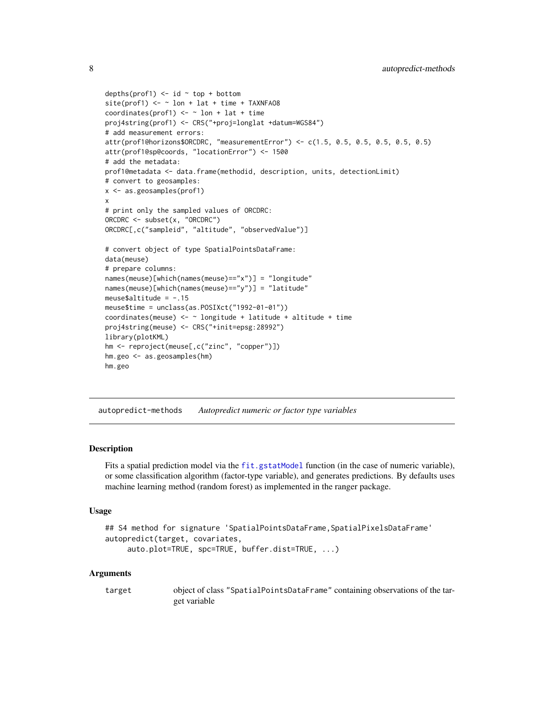```
depths(prof1) <- id \sim top + bottom
site(pred) <- ~ lon + lat + time + TAXNFA08
coordinates(prof1) \leq - \leq lon + lat + time
proj4string(prof1) <- CRS("+proj=longlat +datum=WGS84")
# add measurement errors:
attr(prof1@horizons$ORCDRC, "measurementError") <- c(1.5, 0.5, 0.5, 0.5, 0.5, 0.5)
attr(prof1@sp@coords, "locationError") <- 1500
# add the metadata:
prof1@metadata <- data.frame(methodid, description, units, detectionLimit)
# convert to geosamples:
x <- as.geosamples(prof1)
x
# print only the sampled values of ORCDRC:
ORCDRC <- subset(x, "ORCDRC")
ORCDRC[,c("sampleid", "altitude", "observedValue")]
# convert object of type SpatialPointsDataFrame:
data(meuse)
# prepare columns:
names(meuse)[which(names(meuse)=="x")] = "longitude"
names(meuse)[which(names(meuse)=="y")] = "latitude"
meuse$altitude = -.15meuse$time = unclass(as.POSIXct("1992-01-01"))
coordinates(meuse) <- ~ longitude + latitude + altitude + time
proj4string(meuse) <- CRS("+init=epsg:28992")
library(plotKML)
hm <- reproject(meuse[,c("zinc", "copper")])
hm.geo <- as.geosamples(hm)
hm.geo
```
autopredict-methods *Autopredict numeric or factor type variables*

#### Description

Fits a spatial prediction model via the [fit.gstatModel](#page-23-1) function (in the case of numeric variable), or some classification algorithm (factor-type variable), and generates predictions. By defaults uses machine learning method (random forest) as implemented in the ranger package.

#### Usage

```
## S4 method for signature 'SpatialPointsDataFrame,SpatialPixelsDataFrame'
autopredict(target, covariates,
     auto.plot=TRUE, spc=TRUE, buffer.dist=TRUE, ...)
```
#### Arguments

target object of class "SpatialPointsDataFrame" containing observations of the target variable

<span id="page-7-0"></span>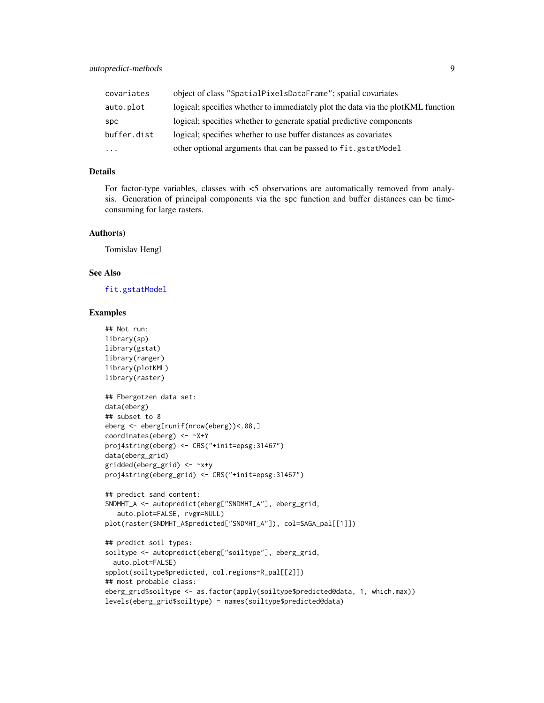| covariates  | object of class "SpatialPixelsDataFrame"; spatial covariates                      |
|-------------|-----------------------------------------------------------------------------------|
| auto.plot   | logical; specifies whether to immediately plot the data via the plot KML function |
| spc         | logical; specifies whether to generate spatial predictive components              |
| buffer.dist | logical; specifies whether to use buffer distances as covariates                  |
| $\cdots$    | other optional arguments that can be passed to fit.gstatModel                     |

# Details

For factor-type variables, classes with <5 observations are automatically removed from analysis. Generation of principal components via the spc function and buffer distances can be timeconsuming for large rasters.

# Author(s)

Tomislav Hengl

# See Also

[fit.gstatModel](#page-23-1)

```
## Not run:
library(sp)
library(gstat)
library(ranger)
library(plotKML)
library(raster)
## Ebergotzen data set:
data(eberg)
## subset to 8
eberg <- eberg[runif(nrow(eberg))<.08,]
coordinates(eberg) <- ~X+Y
proj4string(eberg) <- CRS("+init=epsg:31467")
data(eberg_grid)
gridded(eberg_grid) <- ~x+y
proj4string(eberg_grid) <- CRS("+init=epsg:31467")
## predict sand content:
SNDMHT_A <- autopredict(eberg["SNDMHT_A"], eberg_grid,
   auto.plot=FALSE, rvgm=NULL)
plot(raster(SNDMHT_A$predicted["SNDMHT_A"]), col=SAGA_pal[[1]])
## predict soil types:
soiltype <- autopredict(eberg["soiltype"], eberg_grid,
  auto.plot=FALSE)
spplot(soiltype$predicted, col.regions=R_pal[[2]])
## most probable class:
eberg_grid$soiltype <- as.factor(apply(soiltype$predicted@data, 1, which.max))
levels(eberg_grid$soiltype) = names(soiltype$predicted@data)
```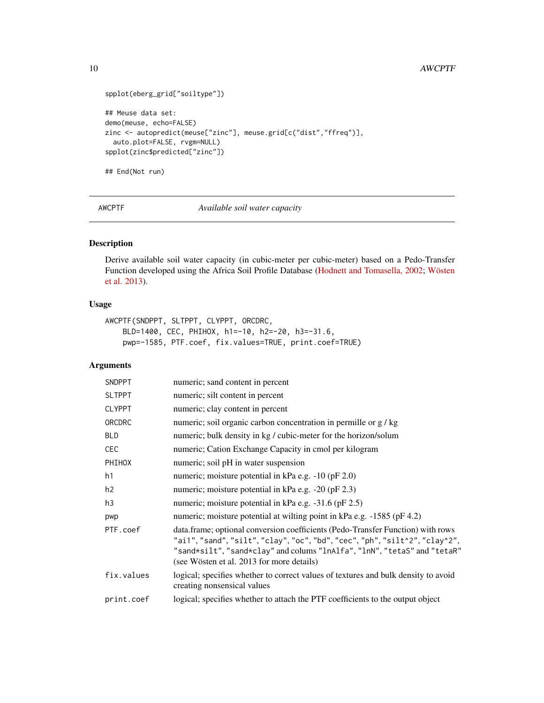# <span id="page-9-0"></span>10 AWCPTF

```
spplot(eberg_grid["soiltype"])
## Meuse data set:
demo(meuse, echo=FALSE)
zinc <- autopredict(meuse["zinc"], meuse.grid[c("dist","ffreq")],
  auto.plot=FALSE, rvgm=NULL)
spplot(zinc$predicted["zinc"])
```
## End(Not run)

AWCPTF *Available soil water capacity*

# Description

Derive available soil water capacity (in cubic-meter per cubic-meter) based on a Pedo-Transfer Function developed using the Africa Soil Profile Database [\(Hodnett and Tomasella, 2002;](http://dx.doi.org/10.1016/S0016-7061(02)00105-2) [Wösten](http://dx.doi.org/10.1016/j.geoderma.2012.11.021) [et al. 2013\)](http://dx.doi.org/10.1016/j.geoderma.2012.11.021).

#### Usage

```
AWCPTF(SNDPPT, SLTPPT, CLYPPT, ORCDRC,
   BLD=1400, CEC, PHIHOX, h1=-10, h2=-20, h3=-31.6,
   pwp=-1585, PTF.coef, fix.values=TRUE, print.coef=TRUE)
```
# Arguments

| SNDPPT        | numeric; sand content in percent                                                                                                                                                                                                                                                        |
|---------------|-----------------------------------------------------------------------------------------------------------------------------------------------------------------------------------------------------------------------------------------------------------------------------------------|
| <b>SLTPPT</b> | numeric; silt content in percent                                                                                                                                                                                                                                                        |
| <b>CLYPPT</b> | numeric; clay content in percent                                                                                                                                                                                                                                                        |
| ORCDRC        | numeric; soil organic carbon concentration in permille or g / kg                                                                                                                                                                                                                        |
| <b>BLD</b>    | numeric; bulk density in kg / cubic-meter for the horizon/solum                                                                                                                                                                                                                         |
| <b>CEC</b>    | numeric; Cation Exchange Capacity in cmol per kilogram                                                                                                                                                                                                                                  |
| PHIHOX        | numeric; soil pH in water suspension                                                                                                                                                                                                                                                    |
| h1            | numeric; moisture potential in kPa e.g. $-10$ (pF 2.0)                                                                                                                                                                                                                                  |
| h2            | numeric; moisture potential in kPa e.g. -20 (pF 2.3)                                                                                                                                                                                                                                    |
| h3            | numeric; moisture potential in kPa e.g. -31.6 (pF 2.5)                                                                                                                                                                                                                                  |
| pwp           | numeric; moisture potential at wilting point in kPa e.g. $-1585$ (pF 4.2)                                                                                                                                                                                                               |
| PTF.coef      | data.frame; optional conversion coefficients (Pedo-Transfer Function) with rows<br>"ai1", "sand", "silt", "clay", "oc", "bd", "cec", "ph", "silt^2", "clay^2",<br>"sand*silt", "sand*clay" and colums "lnAlfa", "lnN", "tetaS" and "tetaR"<br>(see Wösten et al. 2013 for more details) |
| fix.values    | logical; specifies whether to correct values of textures and bulk density to avoid<br>creating nonsensical values                                                                                                                                                                       |
| print.coef    | logical; specifies whether to attach the PTF coefficients to the output object                                                                                                                                                                                                          |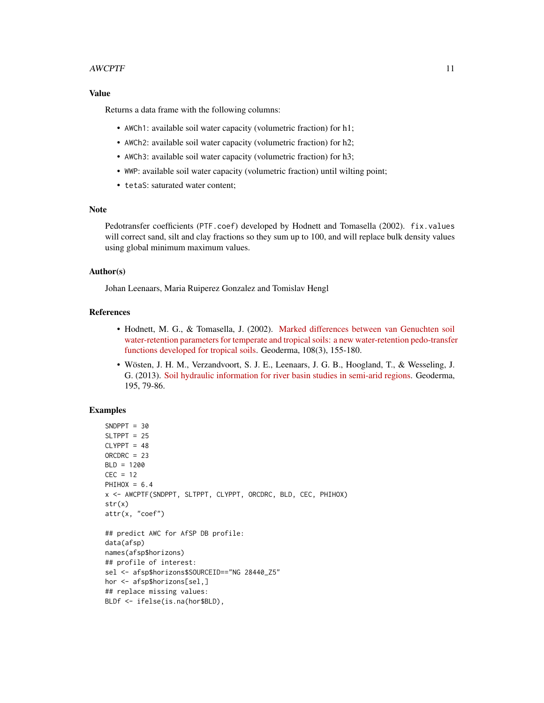# $\bf A W C P T F$  11

# Value

Returns a data frame with the following columns:

- AWCh1: available soil water capacity (volumetric fraction) for h1;
- AWCh2: available soil water capacity (volumetric fraction) for h2;
- AWCh3: available soil water capacity (volumetric fraction) for h3;
- WWP: available soil water capacity (volumetric fraction) until wilting point;
- tetaS: saturated water content;

# Note

Pedotransfer coefficients (PTF.coef) developed by Hodnett and Tomasella (2002). fix.values will correct sand, silt and clay fractions so they sum up to 100, and will replace bulk density values using global minimum maximum values.

# Author(s)

Johan Leenaars, Maria Ruiperez Gonzalez and Tomislav Hengl

# References

- Hodnett, M. G., & Tomasella, J. (2002). [Marked differences between van Genuchten soil](http://dx.doi.org/10.1016/S0016-7061(02)00105-2) [water-retention parameters for temperate and tropical soils: a new water-retention pedo-transfer](http://dx.doi.org/10.1016/S0016-7061(02)00105-2) [functions developed for tropical soils.](http://dx.doi.org/10.1016/S0016-7061(02)00105-2) Geoderma, 108(3), 155-180.
- Wösten, J. H. M., Verzandvoort, S. J. E., Leenaars, J. G. B., Hoogland, T., & Wesseling, J. G. (2013). [Soil hydraulic information for river basin studies in semi-arid regions.](http://dx.doi.org/10.1016/j.geoderma.2012.11.021) Geoderma, 195, 79-86.

```
SNDPPT = 30SLTPPT = 25
CLYPPT = 48ORCDRC = 23
BLD = 1200
CEC = 12PHIHOX = 6.4x <- AWCPTF(SNDPPT, SLTPPT, CLYPPT, ORCDRC, BLD, CEC, PHIHOX)
str(x)
attr(x, "coef")
## predict AWC for AfSP DB profile:
data(afsp)
names(afsp$horizons)
## profile of interest:
sel <- afsp$horizons$SOURCEID=="NG 28440_Z5"
hor <- afsp$horizons[sel,]
## replace missing values:
BLDf <- ifelse(is.na(hor$BLD),
```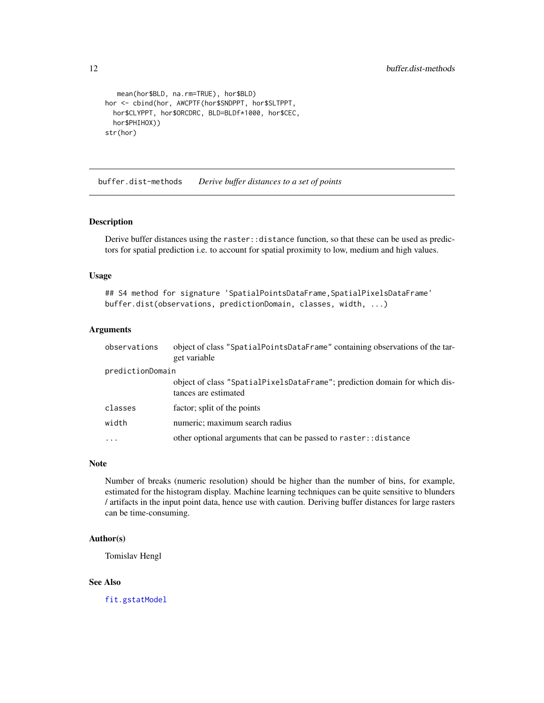```
mean(hor$BLD, na.rm=TRUE), hor$BLD)
hor <- cbind(hor, AWCPTF(hor$SNDPPT, hor$SLTPPT,
  hor$CLYPPT, hor$ORCDRC, BLD=BLDf*1000, hor$CEC,
  hor$PHIHOX))
str(hor)
```
buffer.dist-methods *Derive buffer distances to a set of points*

# Description

Derive buffer distances using the raster::distance function, so that these can be used as predictors for spatial prediction i.e. to account for spatial proximity to low, medium and high values.

# Usage

```
## S4 method for signature 'SpatialPointsDataFrame, SpatialPixelsDataFrame'
buffer.dist(observations, predictionDomain, classes, width, ...)
```
# Arguments

| observations     | object of class "SpatialPointsDataFrame" containing observations of the tar-<br>get variable       |
|------------------|----------------------------------------------------------------------------------------------------|
| predictionDomain |                                                                                                    |
|                  | object of class "SpatialPixelsDataFrame"; prediction domain for which dis-<br>tances are estimated |
| classes          | factor; split of the points                                                                        |
| width            | numeric; maximum search radius                                                                     |
| $\cdot$          | other optional arguments that can be passed to raster: : distance                                  |
|                  |                                                                                                    |

#### Note

Number of breaks (numeric resolution) should be higher than the number of bins, for example, estimated for the histogram display. Machine learning techniques can be quite sensitive to blunders / artifacts in the input point data, hence use with caution. Deriving buffer distances for large rasters can be time-consuming.

# Author(s)

Tomislav Hengl

# See Also

[fit.gstatModel](#page-23-1)

<span id="page-11-0"></span>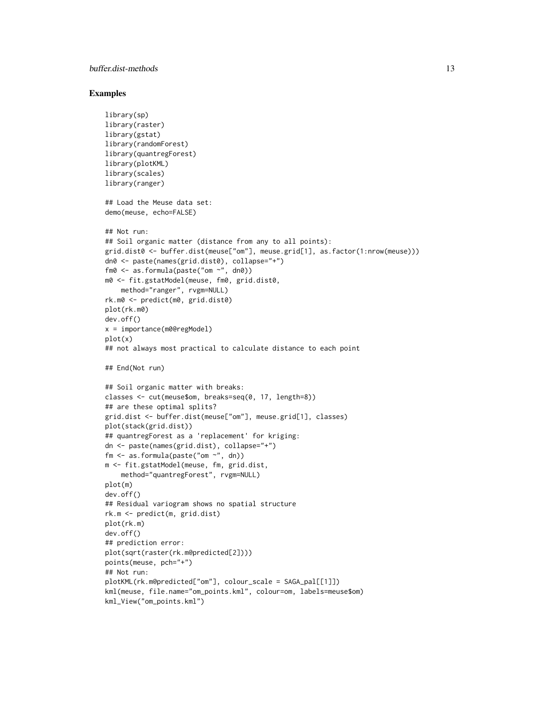# buffer.dist-methods 13

```
library(sp)
library(raster)
library(gstat)
library(randomForest)
library(quantregForest)
library(plotKML)
library(scales)
library(ranger)
## Load the Meuse data set:
demo(meuse, echo=FALSE)
## Not run:
## Soil organic matter (distance from any to all points):
grid.dist0 <- buffer.dist(meuse["om"], meuse.grid[1], as.factor(1:nrow(meuse)))
dn0 <- paste(names(grid.dist0), collapse="+")
fm0 <- as.formula(paste("om ~", dn0))
m0 <- fit.gstatModel(meuse, fm0, grid.dist0,
    method="ranger", rvgm=NULL)
rk.m0 <- predict(m0, grid.dist0)
plot(rk.m0)
dev.off()
x = importance(m0@regModel)
plot(x)
## not always most practical to calculate distance to each point
## End(Not run)
## Soil organic matter with breaks:
classes <- cut(meuse$om, breaks=seq(0, 17, length=8))
## are these optimal splits?
grid.dist <- buffer.dist(meuse["om"], meuse.grid[1], classes)
plot(stack(grid.dist))
## quantregForest as a 'replacement' for kriging:
dn <- paste(names(grid.dist), collapse="+")
fm <- as.formula(paste("om ~", dn))
m <- fit.gstatModel(meuse, fm, grid.dist,
    method="quantregForest", rvgm=NULL)
plot(m)
dev.off()
## Residual variogram shows no spatial structure
rk.m <- predict(m, grid.dist)
plot(rk.m)
dev.off()
## prediction error:
plot(sqrt(raster(rk.m@predicted[2])))
points(meuse, pch="+")
## Not run:
plotKML(rk.m@predicted["om"], colour_scale = SAGA_pal[[1]])
kml(meuse, file.name="om_points.kml", colour=om, labels=meuse$om)
kml_View("om_points.kml")
```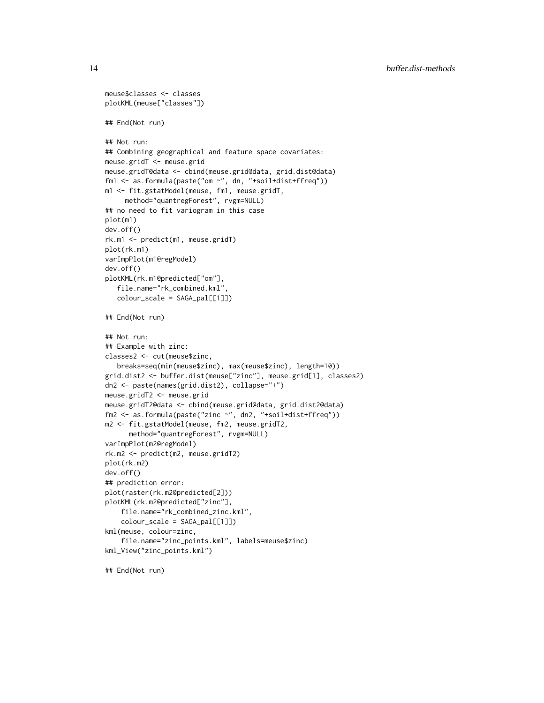```
meuse$classes <- classes
plotKML(meuse["classes"])
## End(Not run)
## Not run:
## Combining geographical and feature space covariates:
meuse.gridT <- meuse.grid
meuse.gridT@data <- cbind(meuse.grid@data, grid.dist@data)
fm1 <- as.formula(paste("om ~", dn, "+soil+dist+ffreq"))
m1 <- fit.gstatModel(meuse, fm1, meuse.gridT,
     method="quantregForest", rvgm=NULL)
## no need to fit variogram in this case
plot(m1)
dev.off()
rk.m1 <- predict(m1, meuse.gridT)
plot(rk.m1)
varImpPlot(m1@regModel)
dev.off()
plotKML(rk.m1@predicted["om"],
   file.name="rk_combined.kml",
   colour_scale = SAGA_pal[[1]])
## End(Not run)
## Not run:
## Example with zinc:
classes2 <- cut(meuse$zinc,
   breaks=seq(min(meuse$zinc), max(meuse$zinc), length=10))
grid.dist2 <- buffer.dist(meuse["zinc"], meuse.grid[1], classes2)
dn2 <- paste(names(grid.dist2), collapse="+")
meuse.gridT2 <- meuse.grid
meuse.gridT2@data <- cbind(meuse.grid@data, grid.dist2@data)
fm2 <- as.formula(paste("zinc ~", dn2, "+soil+dist+ffreq"))
m2 <- fit.gstatModel(meuse, fm2, meuse.gridT2,
      method="quantregForest", rvgm=NULL)
varImpPlot(m2@regModel)
rk.m2 <- predict(m2, meuse.gridT2)
plot(rk.m2)
dev.off()
## prediction error:
plot(raster(rk.m2@predicted[2]))
plotKML(rk.m2@predicted["zinc"],
    file.name="rk_combined_zinc.kml",
    colour_scale = SAGA_pal[[1]])
kml(meuse, colour=zinc,
    file.name="zinc_points.kml", labels=meuse$zinc)
kml_View("zinc_points.kml")
```
## End(Not run)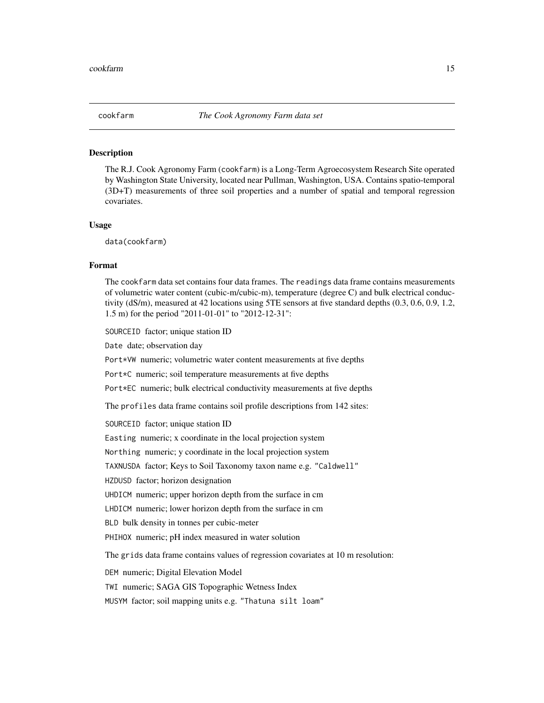<span id="page-14-0"></span>

# Description

The R.J. Cook Agronomy Farm (cookfarm) is a Long-Term Agroecosystem Research Site operated by Washington State University, located near Pullman, Washington, USA. Contains spatio-temporal (3D+T) measurements of three soil properties and a number of spatial and temporal regression covariates.

#### Usage

data(cookfarm)

# Format

The cookfarm data set contains four data frames. The readings data frame contains measurements of volumetric water content (cubic-m/cubic-m), temperature (degree C) and bulk electrical conductivity (dS/m), measured at 42 locations using 5TE sensors at five standard depths (0.3, 0.6, 0.9, 1.2, 1.5 m) for the period "2011-01-01" to "2012-12-31":

SOURCEID factor; unique station ID

Date date; observation day

Port\*VW numeric; volumetric water content measurements at five depths

Port\*C numeric; soil temperature measurements at five depths

Port\*EC numeric; bulk electrical conductivity measurements at five depths

The profiles data frame contains soil profile descriptions from 142 sites:

SOURCEID factor; unique station ID

Easting numeric; x coordinate in the local projection system

Northing numeric; y coordinate in the local projection system

TAXNUSDA factor; Keys to Soil Taxonomy taxon name e.g. "Caldwell"

HZDUSD factor; horizon designation

UHDICM numeric; upper horizon depth from the surface in cm

LHDICM numeric; lower horizon depth from the surface in cm

BLD bulk density in tonnes per cubic-meter

PHIHOX numeric; pH index measured in water solution

The grids data frame contains values of regression covariates at 10 m resolution:

DEM numeric; Digital Elevation Model

TWI numeric; SAGA GIS Topographic Wetness Index

MUSYM factor; soil mapping units e.g. "Thatuna silt loam"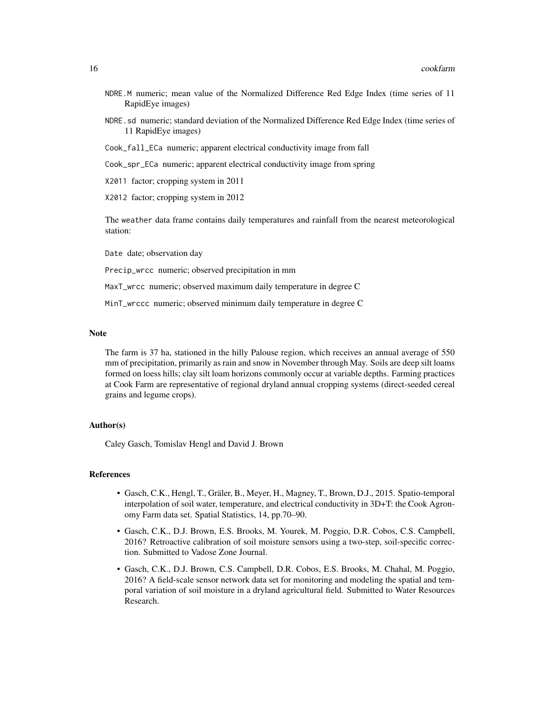- NDRE.M numeric; mean value of the Normalized Difference Red Edge Index (time series of 11 RapidEye images)
- NDRE.sd numeric; standard deviation of the Normalized Difference Red Edge Index (time series of 11 RapidEye images)
- Cook\_fall\_ECa numeric; apparent electrical conductivity image from fall
- Cook\_spr\_ECa numeric; apparent electrical conductivity image from spring
- X2011 factor; cropping system in 2011
- X2012 factor; cropping system in 2012

The weather data frame contains daily temperatures and rainfall from the nearest meteorological station:

Date date; observation day

Precip\_wrcc numeric; observed precipitation in mm

MaxT\_wrcc numeric; observed maximum daily temperature in degree C

MinT\_wrccc numeric; observed minimum daily temperature in degree C

#### **Note**

The farm is 37 ha, stationed in the hilly Palouse region, which receives an annual average of 550 mm of precipitation, primarily as rain and snow in November through May. Soils are deep silt loams formed on loess hills; clay silt loam horizons commonly occur at variable depths. Farming practices at Cook Farm are representative of regional dryland annual cropping systems (direct-seeded cereal grains and legume crops).

# Author(s)

Caley Gasch, Tomislav Hengl and David J. Brown

# References

- Gasch, C.K., Hengl, T., Gräler, B., Meyer, H., Magney, T., Brown, D.J., 2015. Spatio-temporal interpolation of soil water, temperature, and electrical conductivity in 3D+T: the Cook Agronomy Farm data set. Spatial Statistics, 14, pp.70–90.
- Gasch, C.K., D.J. Brown, E.S. Brooks, M. Yourek, M. Poggio, D.R. Cobos, C.S. Campbell, 2016? Retroactive calibration of soil moisture sensors using a two-step, soil-specific correction. Submitted to Vadose Zone Journal.
- Gasch, C.K., D.J. Brown, C.S. Campbell, D.R. Cobos, E.S. Brooks, M. Chahal, M. Poggio, 2016? A field-scale sensor network data set for monitoring and modeling the spatial and temporal variation of soil moisture in a dryland agricultural field. Submitted to Water Resources Research.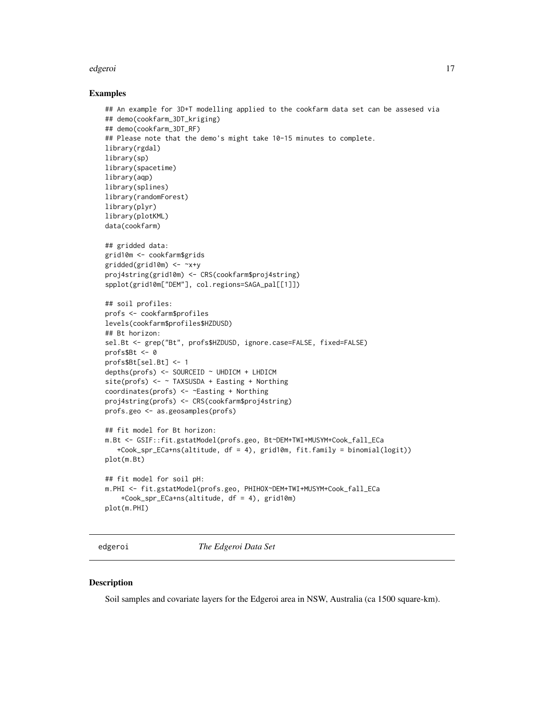#### <span id="page-16-0"></span>edgeroi terministra en la construction de la construction de la construction de la construction de la construction de la construction de la construction de la construction de la construction de la construction de la constr

#### Examples

```
## An example for 3D+T modelling applied to the cookfarm data set can be assesed via
## demo(cookfarm_3DT_kriging)
## demo(cookfarm_3DT_RF)
## Please note that the demo's might take 10-15 minutes to complete.
library(rgdal)
library(sp)
library(spacetime)
library(aqp)
library(splines)
library(randomForest)
library(plyr)
library(plotKML)
data(cookfarm)
## gridded data:
grid10m <- cookfarm$grids
gridded(grid10m) <- ~x+y
proj4string(grid10m) <- CRS(cookfarm$proj4string)
spplot(grid10m["DEM"], col.regions=SAGA_pal[[1]])
## soil profiles:
profs <- cookfarm$profiles
levels(cookfarm$profiles$HZDUSD)
## Bt horizon:
sel.Bt <- grep("Bt", profs$HZDUSD, ignore.case=FALSE, fixed=FALSE)
profs$Bt <- 0
profs$Bt[sel.Bt] <- 1
depths(profs) <- SOURCEID ~ UHDICM + LHDICM
site(profs) <- ~ TAXSUSDA + Easting + Northing
coordinates(profs) <- ~Easting + Northing
proj4string(profs) <- CRS(cookfarm$proj4string)
profs.geo <- as.geosamples(profs)
## fit model for Bt horizon:
m.Bt <- GSIF::fit.gstatModel(profs.geo, Bt~DEM+TWI+MUSYM+Cook_fall_ECa
   +Cook_spr_ECa+ns(altitude, df = 4), grid10m, fit.family = binomial(logit))
plot(m.Bt)
## fit model for soil pH:
m.PHI <- fit.gstatModel(profs.geo, PHIHOX~DEM+TWI+MUSYM+Cook_fall_ECa
    +Cook_spr_ECa+ns(altitude, df = 4), grid10m)
plot(m.PHI)
```
edgeroi *The Edgeroi Data Set*

#### Description

Soil samples and covariate layers for the Edgeroi area in NSW, Australia (ca 1500 square-km).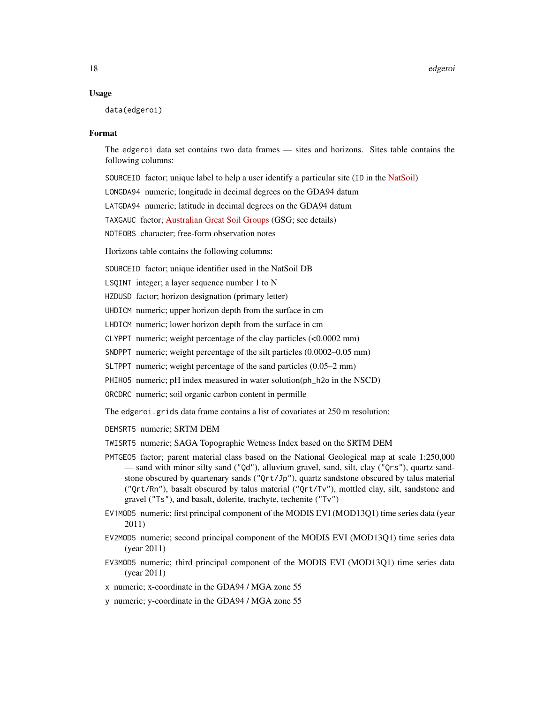#### Usage

data(edgeroi)

#### Format

The edgeroi data set contains two data frames — sites and horizons. Sites table contains the following columns:

SOURCEID factor; unique label to help a user identify a particular site (ID in the [NatSoil\)](http://www.asris.csiro.au/mapping/hyperdocs/NatSoil/)

LONGDA94 numeric; longitude in decimal degrees on the GDA94 datum

LATGDA94 numeric; latitude in decimal degrees on the GDA94 datum

TAXGAUC factor; [Australian Great Soil Groups](http://www.clw.csiro.au/aclep/) (GSG; see details)

NOTEOBS character; free-form observation notes

Horizons table contains the following columns:

SOURCEID factor; unique identifier used in the NatSoil DB

LSQINT integer; a layer sequence number 1 to N

HZDUSD factor; horizon designation (primary letter)

UHDICM numeric; upper horizon depth from the surface in cm

LHDICM numeric; lower horizon depth from the surface in cm

CLYPPT numeric; weight percentage of the clay particles (<0.0002 mm)

SNDPPT numeric; weight percentage of the silt particles (0.0002–0.05 mm)

SLTPPT numeric; weight percentage of the sand particles (0.05–2 mm)

PHIHO5 numeric; pH index measured in water solution(ph\_h2o in the NSCD)

ORCDRC numeric; soil organic carbon content in permille

The edgeroi.grids data frame contains a list of covariates at 250 m resolution:

DEMSRT5 numeric; SRTM DEM

TWISRT5 numeric; SAGA Topographic Wetness Index based on the SRTM DEM

- PMTGEO5 factor; parent material class based on the National Geological map at scale 1:250,000 — sand with minor silty sand ("Qd"), alluvium gravel, sand, silt, clay ("Qrs"), quartz sandstone obscured by quartenary sands ("Qrt/Jp"), quartz sandstone obscured by talus material ("Qrt/Rn"), basalt obscured by talus material ("Qrt/Tv"), mottled clay, silt, sandstone and gravel ("Ts"), and basalt, dolerite, trachyte, techenite ("Tv")
- EV1MOD5 numeric; first principal component of the MODIS EVI (MOD13Q1) time series data (year 2011)
- EV2MOD5 numeric; second principal component of the MODIS EVI (MOD13Q1) time series data (year 2011)
- EV3MOD5 numeric; third principal component of the MODIS EVI (MOD13Q1) time series data (year 2011)
- x numeric; x-coordinate in the GDA94 / MGA zone 55
- y numeric; y-coordinate in the GDA94 / MGA zone 55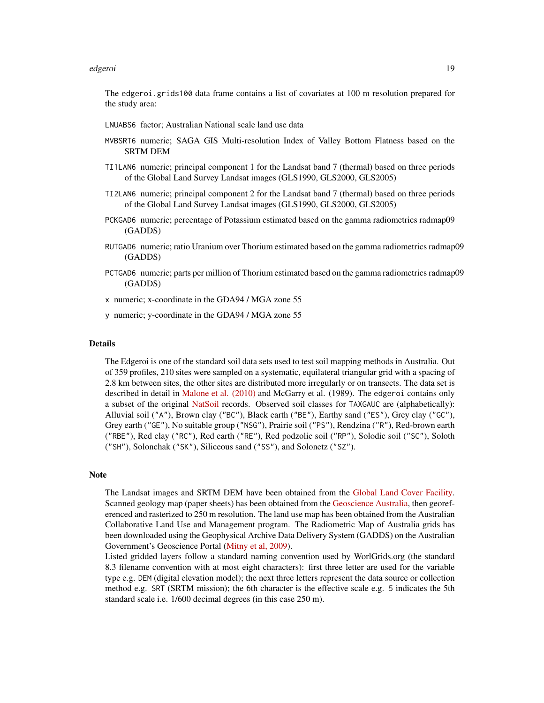#### edgeroi terministra en la construction de la construction de la construction de la construction de la construction de la construction de la construction de la construction de la construction de la construction de la constr

The edgeroi.grids100 data frame contains a list of covariates at 100 m resolution prepared for the study area:

- LNUABS6 factor; Australian National scale land use data
- MVBSRT6 numeric; SAGA GIS Multi-resolution Index of Valley Bottom Flatness based on the SRTM DEM
- TI1LAN6 numeric; principal component 1 for the Landsat band 7 (thermal) based on three periods of the Global Land Survey Landsat images (GLS1990, GLS2000, GLS2005)
- TI2LAN6 numeric; principal component 2 for the Landsat band 7 (thermal) based on three periods of the Global Land Survey Landsat images (GLS1990, GLS2000, GLS2005)
- PCKGAD6 numeric; percentage of Potassium estimated based on the gamma radiometrics radmap09 (GADDS)
- RUTGAD6 numeric; ratio Uranium over Thorium estimated based on the gamma radiometrics radmap09 (GADDS)
- PCTGAD6 numeric; parts per million of Thorium estimated based on the gamma radiometrics radmap09 (GADDS)
- x numeric; x-coordinate in the GDA94 / MGA zone 55
- y numeric; y-coordinate in the GDA94 / MGA zone 55

# Details

The Edgeroi is one of the standard soil data sets used to test soil mapping methods in Australia. Out of 359 profiles, 210 sites were sampled on a systematic, equilateral triangular grid with a spacing of 2.8 km between sites, the other sites are distributed more irregularly or on transects. The data set is described in detail in [Malone et al. \(2010\)](http://dx.doi.org/10.1016/j.geoderma.2009.10.007) and McGarry et al. (1989). The edgeroi contains only a subset of the original [NatSoil](http://www.asris.csiro.au/mapping/hyperdocs/NatSoil/) records. Observed soil classes for TAXGAUC are (alphabetically): Alluvial soil ("A"), Brown clay ("BC"), Black earth ("BE"), Earthy sand ("ES"), Grey clay ("GC"), Grey earth ("GE"), No suitable group ("NSG"), Prairie soil ("PS"), Rendzina ("R"), Red-brown earth ("RBE"), Red clay ("RC"), Red earth ("RE"), Red podzolic soil ("RP"), Solodic soil ("SC"), Soloth ("SH"), Solonchak ("SK"), Siliceous sand ("SS"), and Solonetz ("SZ").

#### Note

The Landsat images and SRTM DEM have been obtained from the [Global Land Cover Facility.](http://glcf.umd.edu/) Scanned geology map (paper sheets) has been obtained from the [Geoscience Australia,](http://www.geoscience.gov.au) then georeferenced and rasterized to 250 m resolution. The land use map has been obtained from the Australian Collaborative Land Use and Management program. The Radiometric Map of Australia grids has been downloaded using the Geophysical Archive Data Delivery System (GADDS) on the Australian Government's Geoscience Portal [\(Mitny et al, 2009\)](http://dx.doi.org/10.1071/EG09025).

Listed gridded layers follow a standard naming convention used by WorlGrids.org (the standard 8.3 filename convention with at most eight characters): first three letter are used for the variable type e.g. DEM (digital elevation model); the next three letters represent the data source or collection method e.g. SRT (SRTM mission); the 6th character is the effective scale e.g. 5 indicates the 5th standard scale i.e. 1/600 decimal degrees (in this case 250 m).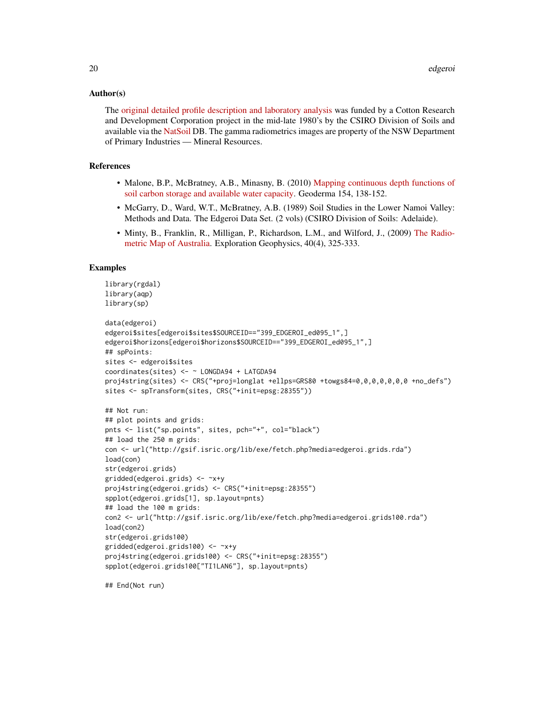# Author(s)

The [original detailed profile description and laboratory analysis](http://www.asris.csiro.au/mapping/hyperdocs/NatSoil/) was funded by a Cotton Research and Development Corporation project in the mid-late 1980's by the CSIRO Division of Soils and available via the [NatSoil](http://www.asris.csiro.au/mapping/hyperdocs/NatSoil/) DB. The gamma radiometrics images are property of the NSW Department of Primary Industries — Mineral Resources.

# References

- Malone, B.P., McBratney, A.B., Minasny, B. (2010) [Mapping continuous depth functions of](http://dx.doi.org/10.1016/j.geoderma.2009.10.007) [soil carbon storage and available water capacity.](http://dx.doi.org/10.1016/j.geoderma.2009.10.007) Geoderma 154, 138-152.
- McGarry, D., Ward, W.T., McBratney, A.B. (1989) Soil Studies in the Lower Namoi Valley: Methods and Data. The Edgeroi Data Set. (2 vols) (CSIRO Division of Soils: Adelaide).
- Minty, B., Franklin, R., Milligan, P., Richardson, L.M., and Wilford, J., (2009) [The Radio](http://dx.doi.org/10.1071/EG09025)[metric Map of Australia.](http://dx.doi.org/10.1071/EG09025) Exploration Geophysics, 40(4), 325-333.

# Examples

```
library(rgdal)
library(aqp)
library(sp)
data(edgeroi)
edgeroi$sites[edgeroi$sites$SOURCEID=="399_EDGEROI_ed095_1",]
edgeroi$horizons[edgeroi$horizons$SOURCEID=="399_EDGEROI_ed095_1",]
## spPoints:
sites <- edgeroi$sites
coordinates(sites) <- ~ LONGDA94 + LATGDA94
proj4string(sites) <- CRS("+proj=longlat +ellps=GRS80 +towgs84=0,0,0,0,0,0,0 +no_defs")
sites <- spTransform(sites, CRS("+init=epsg:28355"))
## Not run:
## plot points and grids:
pnts <- list("sp.points", sites, pch="+", col="black")
## load the 250 m grids:
con <- url("http://gsif.isric.org/lib/exe/fetch.php?media=edgeroi.grids.rda")
load(con)
str(edgeroi.grids)
gridded(edgeroi.grids) <- ~x+y
proj4string(edgeroi.grids) <- CRS("+init=epsg:28355")
spplot(edgeroi.grids[1], sp.layout=pnts)
## load the 100 m grids:
con2 <- url("http://gsif.isric.org/lib/exe/fetch.php?media=edgeroi.grids100.rda")
load(con2)
str(edgeroi.grids100)
gridded(edgeroi.grids100) <- ~x+y
proj4string(edgeroi.grids100) <- CRS("+init=epsg:28355")
spplot(edgeroi.grids100["TI1LAN6"], sp.layout=pnts)
```
## End(Not run)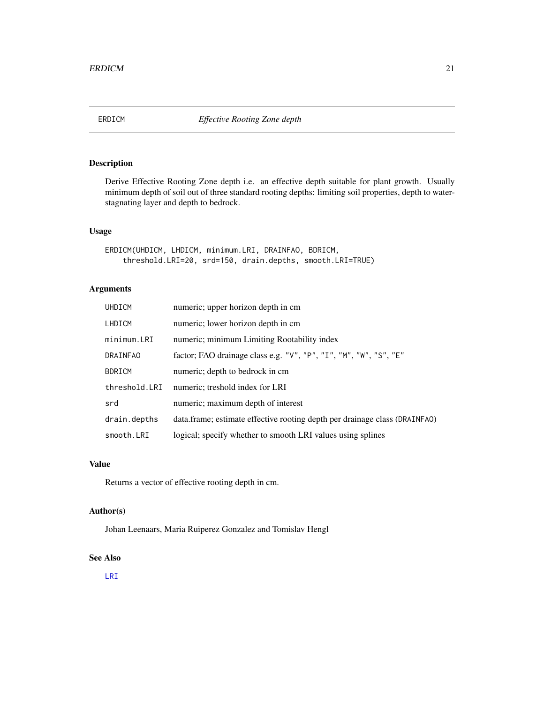<span id="page-20-0"></span>

# Description

Derive Effective Rooting Zone depth i.e. an effective depth suitable for plant growth. Usually minimum depth of soil out of three standard rooting depths: limiting soil properties, depth to waterstagnating layer and depth to bedrock.

# Usage

```
ERDICM(UHDICM, LHDICM, minimum.LRI, DRAINFAO, BDRICM,
    threshold.LRI=20, srd=150, drain.depths, smooth.LRI=TRUE)
```
# Arguments

| UHDICM          | numeric; upper horizon depth in cm                                         |
|-----------------|----------------------------------------------------------------------------|
| LHDICM          | numeric; lower horizon depth in cm                                         |
| minimum.LRI     | numeric; minimum Limiting Rootability index                                |
| <b>DRAINFAO</b> | factor; FAO drainage class e.g. "V", "P", "I", "M", "W", "S", "E"          |
| <b>BDRICM</b>   | numeric; depth to bedrock in cm                                            |
| threshold.LRI   | numeric; treshold index for LRI                                            |
| srd             | numeric; maximum depth of interest                                         |
| drain.depths    | data.frame; estimate effective rooting depth per drainage class (DRAINFAO) |
| smooth.LRI      | logical; specify whether to smooth LRI values using splines                |

# Value

Returns a vector of effective rooting depth in cm.

# Author(s)

Johan Leenaars, Maria Ruiperez Gonzalez and Tomislav Hengl

# See Also

[LRI](#page-44-1)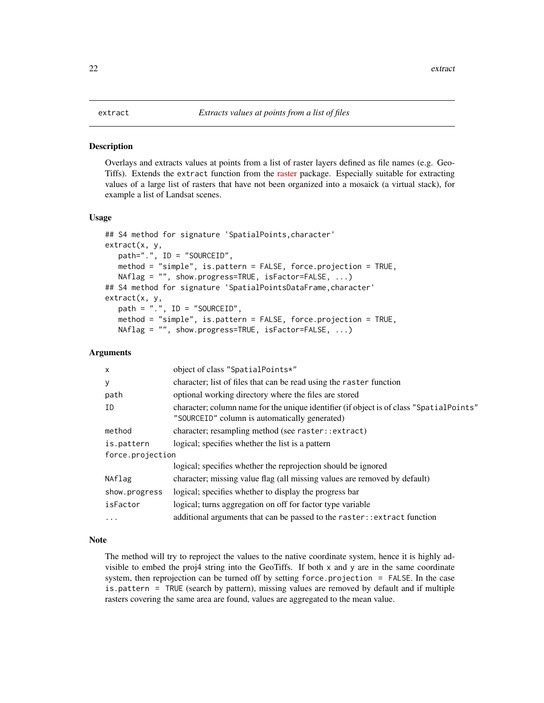# <span id="page-21-0"></span>Description

Overlays and extracts values at points from a list of raster layers defined as file names (e.g. Geo-Tiffs). Extends the extract function from the [raster](https://cran.r-project.org/package=raster) package. Especially suitable for extracting values of a large list of rasters that have not been organized into a mosaick (a virtual stack), for example a list of Landsat scenes.

#### Usage

```
## S4 method for signature 'SpatialPoints,character'
extract(x, y,
   path=".", ID = "SOURCEID",
   method = "simple", is.pattern = FALSE, force.projection = TRUE,
   NAflag = "", show.progress=TRUE, isFactor=FALSE, ...)
## S4 method for signature 'SpatialPointsDataFrame, character'
extract(x, y,
   path = ".". ID = "SOURCEID",
   method = "simple", is.pattern = FALSE, force.projection = TRUE,
   NAflag = "", show.progress=TRUE, isFactor=FALSE, ...)
```
# Arguments

| $\mathsf{x}$     | object of class "SpatialPoints*"                                                                                                         |
|------------------|------------------------------------------------------------------------------------------------------------------------------------------|
| У                | character; list of files that can be read using the raster function                                                                      |
| path             | optional working directory where the files are stored                                                                                    |
| ID               | character; column name for the unique identifier (if object is of class "SpatialPoints"<br>"SOURCEID" column is automatically generated) |
| method           | character; resampling method (see raster:: extract)                                                                                      |
| is.pattern       | logical; specifies whether the list is a pattern                                                                                         |
| force.projection |                                                                                                                                          |
|                  | logical; specifies whether the reprojection should be ignored                                                                            |
| NAflag           | character; missing value flag (all missing values are removed by default)                                                                |
| show.progress    | logical; specifies whether to display the progress bar                                                                                   |
| isFactor         | logical; turns aggregation on off for factor type variable                                                                               |
| $\ddots$         | additional arguments that can be passed to the raster: : extract function                                                                |

#### Note

The method will try to reproject the values to the native coordinate system, hence it is highly advisible to embed the proj4 string into the GeoTiffs. If both x and y are in the same coordinate system, then reprojection can be turned off by setting force.projection = FALSE. In the case is.pattern = TRUE (search by pattern), missing values are removed by default and if multiple rasters covering the same area are found, values are aggregated to the mean value.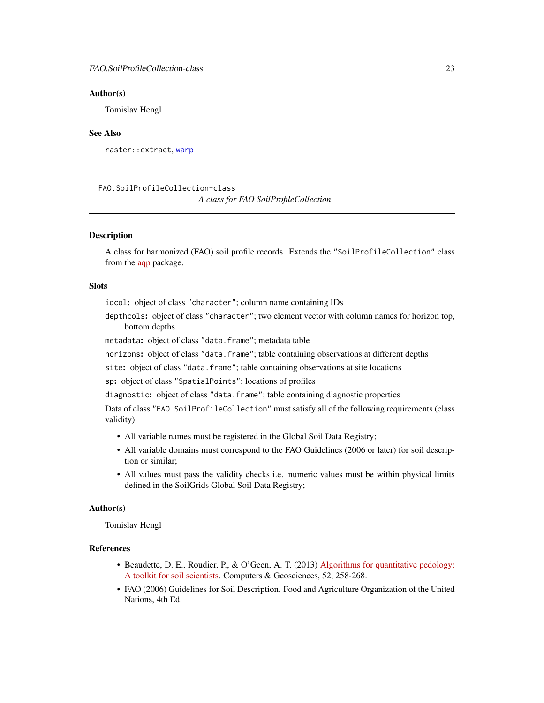# <span id="page-22-0"></span>Author(s)

Tomislav Hengl

# See Also

raster::extract, [warp](#page-84-1)

FAO.SoilProfileCollection-class

*A class for FAO SoilProfileCollection*

# **Description**

A class for harmonized (FAO) soil profile records. Extends the "SoilProfileCollection" class from the [aqp](https://cran.r-project.org/package=aqp?) package.

# **Slots**

idcol: object of class "character"; column name containing IDs

depthcols: object of class "character"; two element vector with column names for horizon top, bottom depths

metadata: object of class "data.frame"; metadata table

horizons: object of class "data.frame"; table containing observations at different depths

site: object of class "data.frame"; table containing observations at site locations

sp: object of class "SpatialPoints"; locations of profiles

diagnostic: object of class "data.frame"; table containing diagnostic properties

Data of class "FAO.SoilProfileCollection" must satisfy all of the following requirements (class validity):

- All variable names must be registered in the Global Soil Data Registry;
- All variable domains must correspond to the FAO Guidelines (2006 or later) for soil description or similar;
- All values must pass the validity checks i.e. numeric values must be within physical limits defined in the SoilGrids Global Soil Data Registry;

#### Author(s)

Tomislav Hengl

# References

- Beaudette, D. E., Roudier, P., & O'Geen, A. T. (2013) [Algorithms for quantitative pedology:](http://dx.doi.org/10.1016/j.cageo.2012.10.020) [A toolkit for soil scientists.](http://dx.doi.org/10.1016/j.cageo.2012.10.020) Computers & Geosciences, 52, 258-268.
- FAO (2006) Guidelines for Soil Description. Food and Agriculture Organization of the United Nations, 4th Ed.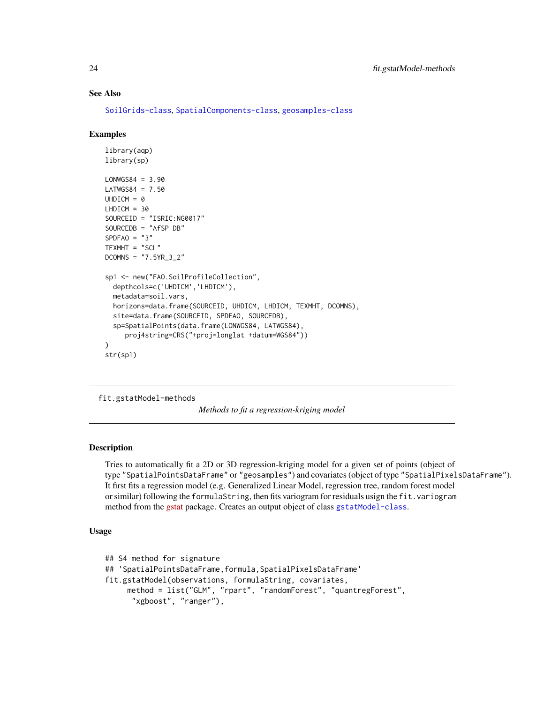# See Also

[SoilGrids-class](#page-64-1), [SpatialComponents-class](#page-66-1), [geosamples-class](#page-34-1)

# Examples

```
library(aqp)
library(sp)
LONWGS84 = 3.90
LATWGS84 = 7.50UHDICM = 0LHDICM = 30SOURCEID = "ISRIC:NG0017"
SOURCEDB = "AfSP DB"
SPDFAO = "3"TEXMHT = "SCL"
DCOMNS = "7.5YR_3_2"
sp1 <- new("FAO.SoilProfileCollection",
  depthcols=c('UHDICM','LHDICM'),
  metadata=soil.vars,
  horizons=data.frame(SOURCEID, UHDICM, LHDICM, TEXMHT, DCOMNS),
  site=data.frame(SOURCEID, SPDFAO, SOURCEDB),
  sp=SpatialPoints(data.frame(LONWGS84, LATWGS84),
     proj4string=CRS("+proj=longlat +datum=WGS84"))
\lambdastr(sp1)
```
fit.gstatModel-methods

*Methods to fit a regression-kriging model*

# <span id="page-23-1"></span>Description

Tries to automatically fit a 2D or 3D regression-kriging model for a given set of points (object of type "SpatialPointsDataFrame" or "geosamples") and covariates (object of type "SpatialPixelsDataFrame"). It first fits a regression model (e.g. Generalized Linear Model, regression tree, random forest model or similar) following the formulaString, then fits variogram for residuals usign the fit.variogram method from the [gstat](http://www.gstat.org) package. Creates an output object of class [gstatModel-class](#page-39-1).

# Usage

```
## S4 method for signature
## 'SpatialPointsDataFrame,formula,SpatialPixelsDataFrame'
fit.gstatModel(observations, formulaString, covariates,
     method = list("GLM", "rpart", "randomForest", "quantregForest",
      "xgboost", "ranger"),
```
<span id="page-23-0"></span>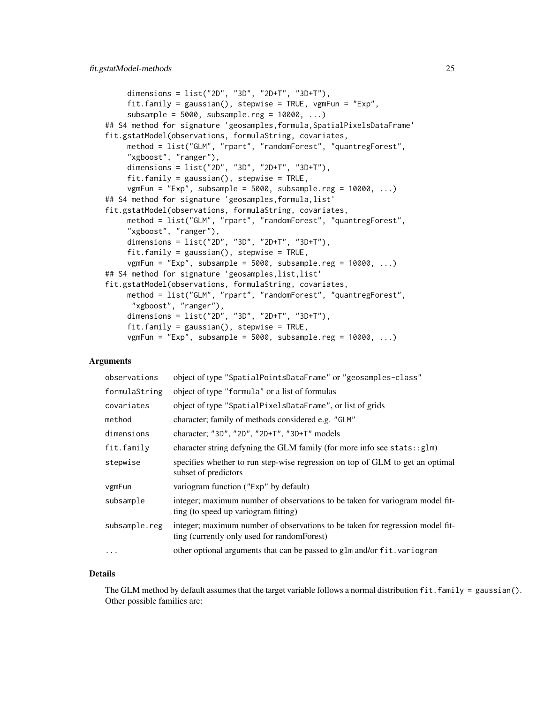```
dimensions = list("2D", "3D", "2D+T", "3D+T"),
    fit.family = gaussian(), stepwise = TRUE, vgmFun = "Exp",
    subsample = 5000, subsample.reg = 10000, ...)
## S4 method for signature 'geosamples,formula,SpatialPixelsDataFrame'
fit.gstatModel(observations, formulaString, covariates,
    method = list("GLM", "rpart", "randomForest", "quantregForest",
    "xgboost", "ranger"),
    dimensions = list("2D", "3D", "2D+T", "3D+T"),
    fit.family = gaussian(), stepwise = TRUE,
    vgmFun = "Exp", subsample = 5000, subsample.reg = 10000, ...)
## S4 method for signature 'geosamples,formula,list'
fit.gstatModel(observations, formulaString, covariates,
    method = list("GLM", "rpart", "randomForest", "quantregForest",
    "xgboost", "ranger"),
    dimensions = list("2D", "3D", "2D+T", "3D+T"),
    fit.family = gaussian(), stepwise = TRUE,
    vgmFun = "Exp", subsample = 5000, subsample.reg = 10000, ...)
## S4 method for signature 'geosamples, list, list'
fit.gstatModel(observations, formulaString, covariates,
    method = list("GLM", "rpart", "randomForest", "quantregForest",
     "xgboost", "ranger"),
    dimensions = list("2D", "3D", "2D+T", "3D+T"),
    fit.family = gaussian(), stepwise = TRUE,
    vgmFun = "Exp", subsample = 5000, subsample.reg = 10000, ...)
```
### **Arguments**

| formulaString<br>object of type "formula" or a list of formulas<br>object of type "SpatialPixelsDataFrame", or list of grids<br>covariates<br>character; family of methods considered e.g. "GLM"<br>method |  |
|------------------------------------------------------------------------------------------------------------------------------------------------------------------------------------------------------------|--|
|                                                                                                                                                                                                            |  |
|                                                                                                                                                                                                            |  |
|                                                                                                                                                                                                            |  |
| character; "3D", "2D", "2D+T", "3D+T" models<br>dimensions                                                                                                                                                 |  |
| character string defyning the GLM family (for more info see stats::glm)<br>fit.family                                                                                                                      |  |
| specifies whether to run step-wise regression on top of GLM to get an optimal<br>stepwise<br>subset of predictors                                                                                          |  |
| variogram function ("Exp" by default)<br>vgmFun                                                                                                                                                            |  |
| integer; maximum number of observations to be taken for variogram model fit-<br>subsample<br>ting (to speed up variogram fitting)                                                                          |  |
|                                                                                                                                                                                                            |  |
| integer; maximum number of observations to be taken for regression model fit-<br>subsample.reg<br>ting (currently only used for random Forest)                                                             |  |

#### Details

The GLM method by default assumes that the target variable follows a normal distribution  $fit$ .  $family = gaussian()$ . Other possible families are: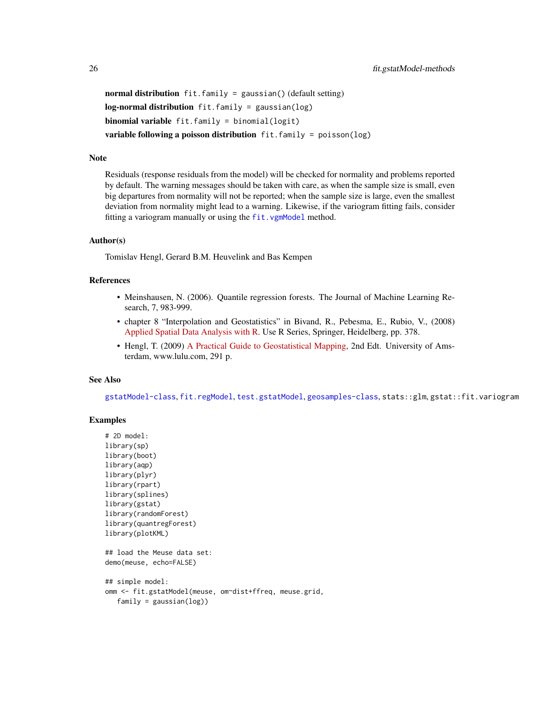normal distribution fit.family = gaussian() (default setting) log-normal distribution fit.family = gaussian(log) binomial variable fit.family = binomial(logit) variable following a poisson distribution fit.family = poisson(log)

#### Note

Residuals (response residuals from the model) will be checked for normality and problems reported by default. The warning messages should be taken with care, as when the sample size is small, even big departures from normality will not be reported; when the sample size is large, even the smallest deviation from normality might lead to a warning. Likewise, if the variogram fitting fails, consider fitting a variogram manually or using the fit. vgmModel method.

# Author(s)

Tomislav Hengl, Gerard B.M. Heuvelink and Bas Kempen

# References

- Meinshausen, N. (2006). Quantile regression forests. The Journal of Machine Learning Research, 7, 983-999.
- chapter 8 "Interpolation and Geostatistics" in Bivand, R., Pebesma, E., Rubio, V., (2008) [Applied Spatial Data Analysis with R.](http://asdar-book.org/) Use R Series, Springer, Heidelberg, pp. 378.
- Hengl, T. (2009) [A Practical Guide to Geostatistical Mapping,](http://spatial-analyst.net/book/) 2nd Edt. University of Amsterdam, www.lulu.com, 291 p.

# See Also

[gstatModel-class](#page-39-1), [fit.regModel](#page-27-1), [test.gstatModel](#page-79-1), [geosamples-class](#page-34-1), stats::glm, gstat::fit.variogram

```
# 2D model:
library(sp)
library(boot)
library(aqp)
library(plyr)
library(rpart)
library(splines)
library(gstat)
library(randomForest)
library(quantregForest)
library(plotKML)
## load the Meuse data set:
demo(meuse, echo=FALSE)
## simple model:
omm <- fit.gstatModel(meuse, om~dist+ffreq, meuse.grid,
   family = gaussian(log))
```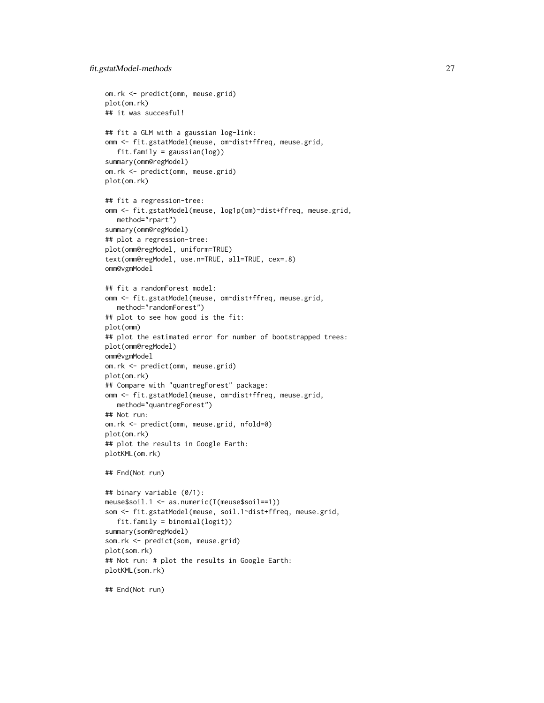```
om.rk <- predict(omm, meuse.grid)
plot(om.rk)
## it was succesful!
## fit a GLM with a gaussian log-link:
omm <- fit.gstatModel(meuse, om~dist+ffreq, meuse.grid,
  fit.family = gaussian(log))
summary(omm@regModel)
om.rk <- predict(omm, meuse.grid)
plot(om.rk)
## fit a regression-tree:
omm <- fit.gstatModel(meuse, log1p(om)~dist+ffreq, meuse.grid,
  method="rpart")
summary(omm@regModel)
## plot a regression-tree:
plot(omm@regModel, uniform=TRUE)
text(omm@regModel, use.n=TRUE, all=TRUE, cex=.8)
omm@vgmModel
## fit a randomForest model:
omm <- fit.gstatModel(meuse, om~dist+ffreq, meuse.grid,
  method="randomForest")
## plot to see how good is the fit:
plot(omm)
## plot the estimated error for number of bootstrapped trees:
plot(omm@regModel)
omm@vgmModel
om.rk <- predict(omm, meuse.grid)
plot(om.rk)
## Compare with "quantregForest" package:
omm <- fit.gstatModel(meuse, om~dist+ffreq, meuse.grid,
  method="quantregForest")
## Not run:
om.rk <- predict(omm, meuse.grid, nfold=0)
plot(om.rk)
## plot the results in Google Earth:
plotKML(om.rk)
## End(Not run)
## binary variable (0/1):
meuse$soil.1 <- as.numeric(I(meuse$soil==1))
som <- fit.gstatModel(meuse, soil.1~dist+ffreq, meuse.grid,
   fit.family = binomial(logit))
summary(som@regModel)
som.rk <- predict(som, meuse.grid)
plot(som.rk)
## Not run: # plot the results in Google Earth:
plotKML(som.rk)
## End(Not run)
```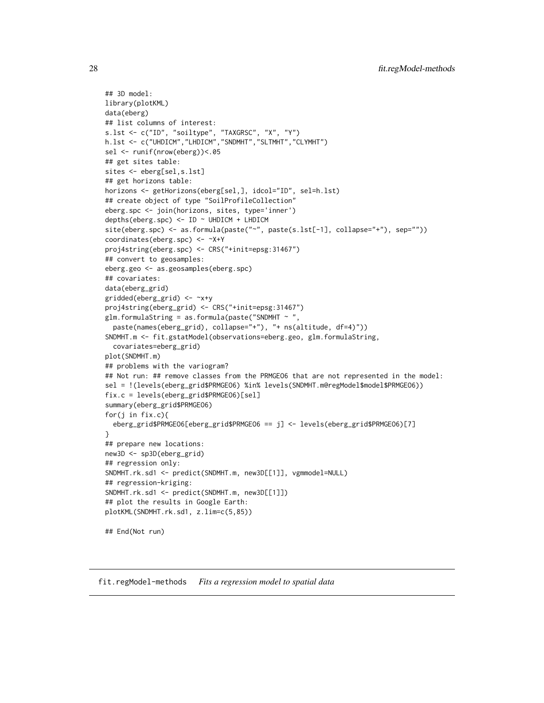```
## 3D model:
library(plotKML)
data(eberg)
## list columns of interest:
s.lst <- c("ID", "soiltype", "TAXGRSC", "X", "Y")
h.lst <- c("UHDICM","LHDICM","SNDMHT","SLTMHT","CLYMHT")
sel <- runif(nrow(eberg))<.05
## get sites table:
sites <- eberg[sel,s.lst]
## get horizons table:
horizons <- getHorizons(eberg[sel,], idcol="ID", sel=h.lst)
## create object of type "SoilProfileCollection"
eberg.spc <- join(horizons, sites, type='inner')
depths(eberg.spc) <- ID ~ UHDICM + LHDICM
site(eberg.spc) <- as.formula(paste("~", paste(s.lst[-1], collapse="+"), sep=""))
coordinates(eberg.spc) <- ~X+Y
proj4string(eberg.spc) <- CRS("+init=epsg:31467")
## convert to geosamples:
eberg.geo <- as.geosamples(eberg.spc)
## covariates:
data(eberg_grid)
gridded(eberg_grid) <- ~x+y
proj4string(eberg_grid) <- CRS("+init=epsg:31467")
glm.formulaString = as.formula(paste("SNDMHT \sim "
  paste(names(eberg_grid), collapse="+"), "+ ns(altitude, df=4)"))
SNDMHT.m <- fit.gstatModel(observations=eberg.geo, glm.formulaString,
  covariates=eberg_grid)
plot(SNDMHT.m)
## problems with the variogram?
## Not run: ## remove classes from the PRMGE06 that are not represented in the model:
sel = !(levels(eberg_grid$PRMGEO6) %in% levels(SNDMHT.m@regModel$model$PRMGEO6))
fix.c = levels(eberg_grid$PRMGEO6)[sel]
summary(eberg_grid$PRMGEO6)
for(j in fix.c){
  eberg_grid$PRMGEO6[eberg_grid$PRMGEO6 == j] <- levels(eberg_grid$PRMGEO6)[7]
}
## prepare new locations:
new3D <- sp3D(eberg_grid)
## regression only:
SNDMHT.rk.sd1 <- predict(SNDMHT.m, new3D[[1]], vgmmodel=NULL)
## regression-kriging:
SNDMHT.rk.sd1 <- predict(SNDMHT.m, new3D[[1]])
## plot the results in Google Earth:
plotKML(SNDMHT.rk.sd1, z.lim=c(5,85))
## End(Not run)
```
<span id="page-27-1"></span>fit.regModel-methods *Fits a regression model to spatial data*

<span id="page-27-0"></span>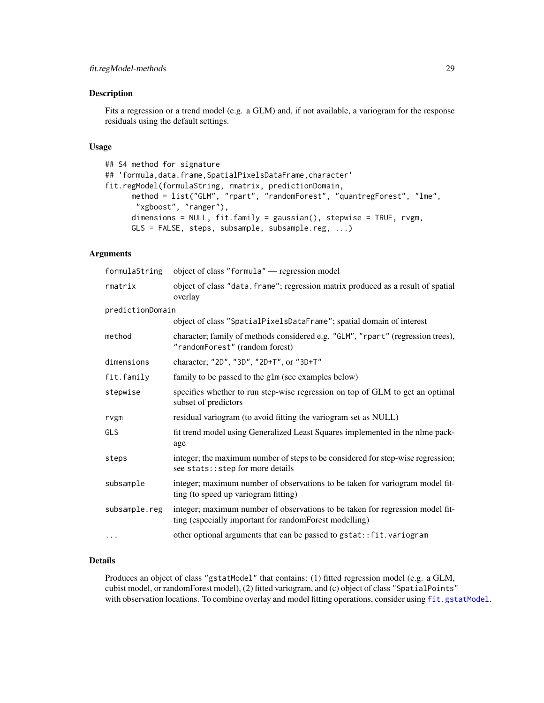# Description

Fits a regression or a trend model (e.g. a GLM) and, if not available, a variogram for the response residuals using the default settings.

#### Usage

```
## S4 method for signature
## 'formula,data.frame,SpatialPixelsDataFrame,character'
fit.regModel(formulaString, rmatrix, predictionDomain,
     method = list("GLM", "rpart", "randomForest", "quantregForest", "lme",
       "xgboost", "ranger"),
     dimensions = NULL, fit.family = gaussian(), stepwise = TRUE, rvgm,
     GLS = FALSE, steps, subsample, subsample.reg, ...)
```
# Arguments

| formulaString    | object of class "formula" — regression model                                                                                            |  |
|------------------|-----------------------------------------------------------------------------------------------------------------------------------------|--|
| rmatrix          | object of class "data. frame"; regression matrix produced as a result of spatial<br>overlay                                             |  |
| predictionDomain |                                                                                                                                         |  |
|                  | object of class "SpatialPixelsDataFrame"; spatial domain of interest                                                                    |  |
| method           | character; family of methods considered e.g. "GLM", "rpart" (regression trees),<br>"randomForest" (random forest)                       |  |
| dimensions       | character; "2D", "3D", "2D+T", or "3D+T"                                                                                                |  |
| fit.family       | family to be passed to the glm (see examples below)                                                                                     |  |
| stepwise         | specifies whether to run step-wise regression on top of GLM to get an optimal<br>subset of predictors                                   |  |
| rvgm             | residual variogram (to avoid fitting the variogram set as NULL)                                                                         |  |
| <b>GLS</b>       | fit trend model using Generalized Least Squares implemented in the nlme pack-<br>age                                                    |  |
| steps            | integer; the maximum number of steps to be considered for step-wise regression;<br>see stats:: step for more details                    |  |
| subsample        | integer; maximum number of observations to be taken for variogram model fit-<br>ting (to speed up variogram fitting)                    |  |
| subsample.reg    | integer; maximum number of observations to be taken for regression model fit-<br>ting (especially important for randomForest modelling) |  |
| $\cdots$         | other optional arguments that can be passed to gstat::fit.variogram                                                                     |  |

# Details

Produces an object of class "gstatModel" that contains: (1) fitted regression model (e.g. a GLM, cubist model, or randomForest model), (2) fitted variogram, and (c) object of class "SpatialPoints" with observation locations. To combine overlay and model fitting operations, consider using  $fit. gstatModel.$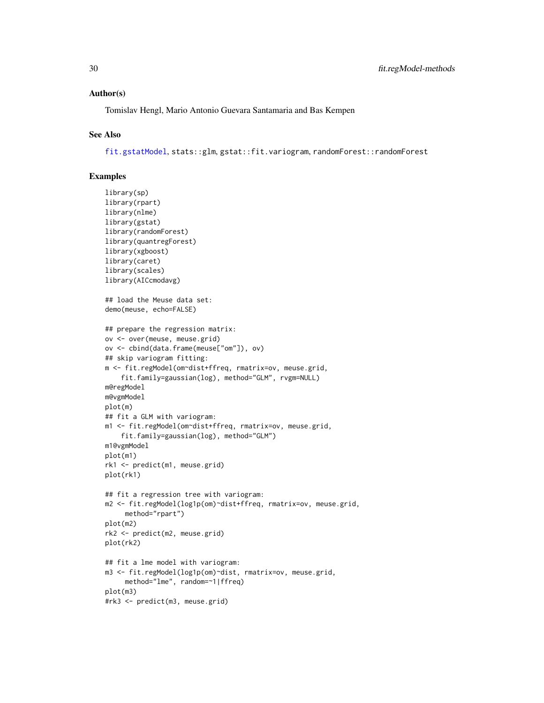# Author(s)

Tomislav Hengl, Mario Antonio Guevara Santamaria and Bas Kempen

# See Also

[fit.gstatModel](#page-23-1), stats::glm, gstat::fit.variogram, randomForest::randomForest

```
library(sp)
library(rpart)
library(nlme)
library(gstat)
library(randomForest)
library(quantregForest)
library(xgboost)
library(caret)
library(scales)
library(AICcmodavg)
## load the Meuse data set:
demo(meuse, echo=FALSE)
## prepare the regression matrix:
ov <- over(meuse, meuse.grid)
ov <- cbind(data.frame(meuse["om"]), ov)
## skip variogram fitting:
m <- fit.regModel(om~dist+ffreq, rmatrix=ov, meuse.grid,
    fit.family=gaussian(log), method="GLM", rvgm=NULL)
m@regModel
m@vgmModel
plot(m)
## fit a GLM with variogram:
m1 <- fit.regModel(om~dist+ffreq, rmatrix=ov, meuse.grid,
    fit.family=gaussian(log), method="GLM")
m1@vgmModel
plot(m1)
rk1 <- predict(m1, meuse.grid)
plot(rk1)
## fit a regression tree with variogram:
m2 <- fit.regModel(log1p(om)~dist+ffreq, rmatrix=ov, meuse.grid,
     method="rpart")
plot(m2)
rk2 <- predict(m2, meuse.grid)
plot(rk2)
## fit a lme model with variogram:
m3 <- fit.regModel(log1p(om)~dist, rmatrix=ov, meuse.grid,
     method="lme", random=~1|ffreq)
plot(m3)
#rk3 <- predict(m3, meuse.grid)
```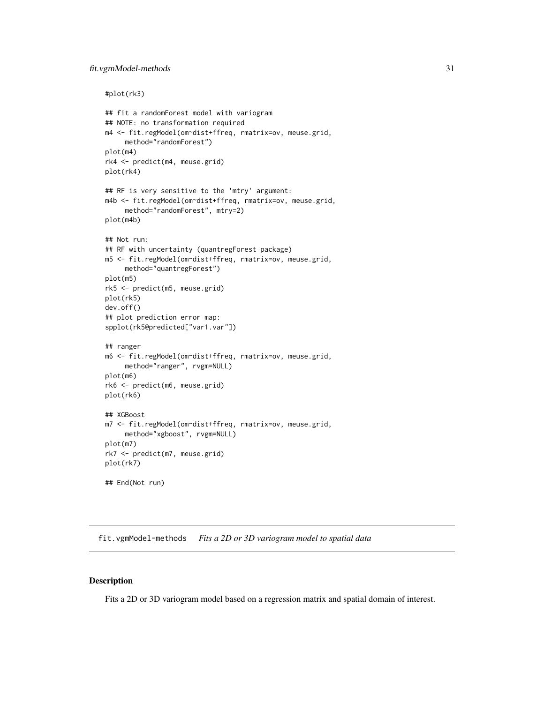```
#plot(rk3)
## fit a randomForest model with variogram
## NOTE: no transformation required
m4 <- fit.regModel(om~dist+ffreq, rmatrix=ov, meuse.grid,
     method="randomForest")
plot(m4)
rk4 <- predict(m4, meuse.grid)
plot(rk4)
## RF is very sensitive to the 'mtry' argument:
m4b <- fit.regModel(om~dist+ffreq, rmatrix=ov, meuse.grid,
     method="randomForest", mtry=2)
plot(m4b)
## Not run:
## RF with uncertainty (quantregForest package)
m5 <- fit.regModel(om~dist+ffreq, rmatrix=ov, meuse.grid,
     method="quantregForest")
plot(m5)
rk5 <- predict(m5, meuse.grid)
plot(rk5)
dev.off()
## plot prediction error map:
spplot(rk5@predicted["var1.var"])
## ranger
m6 <- fit.regModel(om~dist+ffreq, rmatrix=ov, meuse.grid,
     method="ranger", rvgm=NULL)
plot(m6)
rk6 <- predict(m6, meuse.grid)
plot(rk6)
## XGBoost
m7 <- fit.regModel(om~dist+ffreq, rmatrix=ov, meuse.grid,
     method="xgboost", rvgm=NULL)
plot(m7)
rk7 <- predict(m7, meuse.grid)
plot(rk7)
## End(Not run)
```
fit.vgmModel-methods *Fits a 2D or 3D variogram model to spatial data*

# <span id="page-30-1"></span>Description

Fits a 2D or 3D variogram model based on a regression matrix and spatial domain of interest.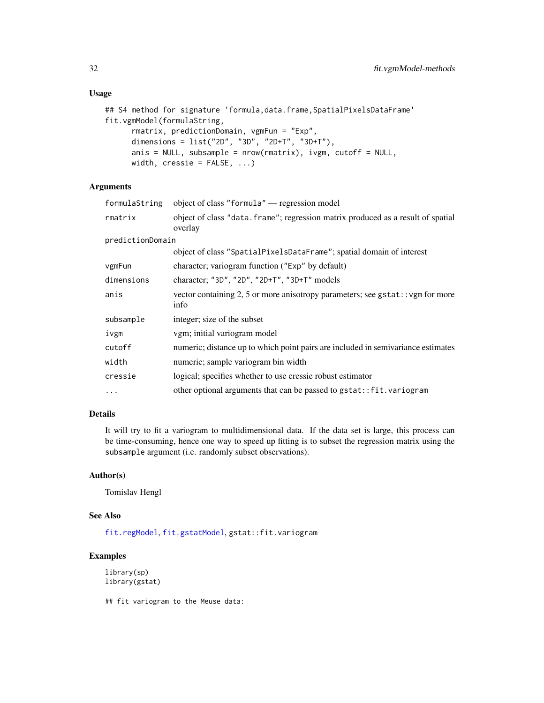# Usage

```
## S4 method for signature 'formula, data.frame, SpatialPixelsDataFrame'
fit.vgmModel(formulaString,
      rmatrix, predictionDomain, vgmFun = "Exp",
      dimensions = list("2D", "3D", "2D+T", "3D+T"),
      anis = NULL, subsample = nrow(rmatrix), ivgm, cutoff = NULL,
     width, cressie = FALSE, \ldots)
```
# Arguments

| formulaString    | object of class "formula" — regression model                                                |  |
|------------------|---------------------------------------------------------------------------------------------|--|
| rmatrix          | object of class "data. frame"; regression matrix produced as a result of spatial<br>overlay |  |
| predictionDomain |                                                                                             |  |
|                  | object of class "SpatialPixelsDataFrame"; spatial domain of interest                        |  |
| vgmFun           | character; variogram function ("Exp" by default)                                            |  |
| dimensions       | character; "3D", "2D", "2D+T", "3D+T" models                                                |  |
| anis             | vector containing 2, 5 or more anisotropy parameters; see $gstat$ : : vgm for more<br>info  |  |
| subsample        | integer; size of the subset                                                                 |  |
| ivgm             | vgm; initial variogram model                                                                |  |
| cutoff           | numeric; distance up to which point pairs are included in semivariance estimates            |  |
| width            | numeric; sample variogram bin width                                                         |  |
| cressie          | logical; specifies whether to use cressie robust estimator                                  |  |
| $\ddots$ .       | other optional arguments that can be passed to gstat::fit.variogram                         |  |

# Details

It will try to fit a variogram to multidimensional data. If the data set is large, this process can be time-consuming, hence one way to speed up fitting is to subset the regression matrix using the subsample argument (i.e. randomly subset observations).

# Author(s)

Tomislav Hengl

# See Also

[fit.regModel](#page-27-1), [fit.gstatModel](#page-23-1), gstat::fit.variogram

# Examples

library(sp) library(gstat)

## fit variogram to the Meuse data: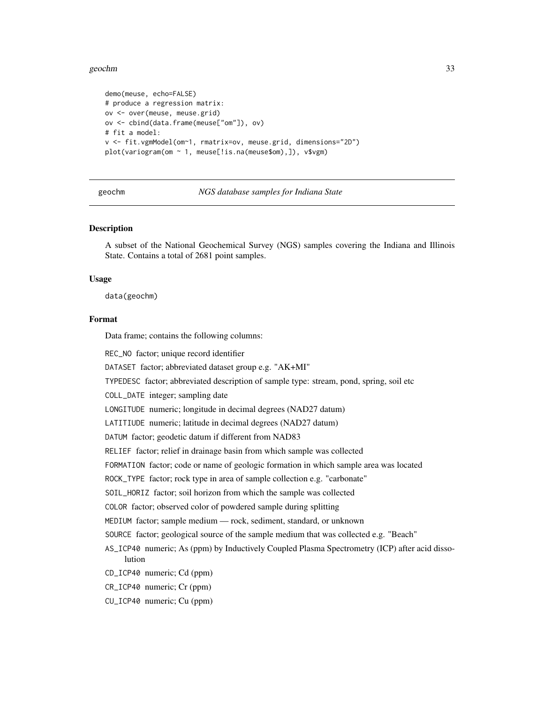#### <span id="page-32-0"></span>geochm 33

```
demo(meuse, echo=FALSE)
# produce a regression matrix:
ov <- over(meuse, meuse.grid)
ov <- cbind(data.frame(meuse["om"]), ov)
# fit a model:
v <- fit.vgmModel(om~1, rmatrix=ov, meuse.grid, dimensions="2D")
plot(variogram(om ~ 1, meuse[!is.na(meuse$om),]), v$vgm)
```
geochm *NGS database samples for Indiana State*

#### Description

A subset of the National Geochemical Survey (NGS) samples covering the Indiana and Illinois State. Contains a total of 2681 point samples.

# Usage

data(geochm)

#### Format

Data frame; contains the following columns:

REC\_NO factor; unique record identifier

DATASET factor; abbreviated dataset group e.g. "AK+MI"

TYPEDESC factor; abbreviated description of sample type: stream, pond, spring, soil etc

COLL\_DATE integer; sampling date

LONGITUDE numeric; longitude in decimal degrees (NAD27 datum)

LATITIUDE numeric; latitude in decimal degrees (NAD27 datum)

DATUM factor; geodetic datum if different from NAD83

RELIEF factor; relief in drainage basin from which sample was collected

FORMATION factor; code or name of geologic formation in which sample area was located

ROCK\_TYPE factor; rock type in area of sample collection e.g. "carbonate"

SOIL\_HORIZ factor; soil horizon from which the sample was collected

COLOR factor; observed color of powdered sample during splitting

MEDIUM factor; sample medium — rock, sediment, standard, or unknown

SOURCE factor; geological source of the sample medium that was collected e.g. "Beach"

- AS\_ICP40 numeric; As (ppm) by Inductively Coupled Plasma Spectrometry (ICP) after acid dissolution
- CD\_ICP40 numeric; Cd (ppm)
- CR\_ICP40 numeric; Cr (ppm)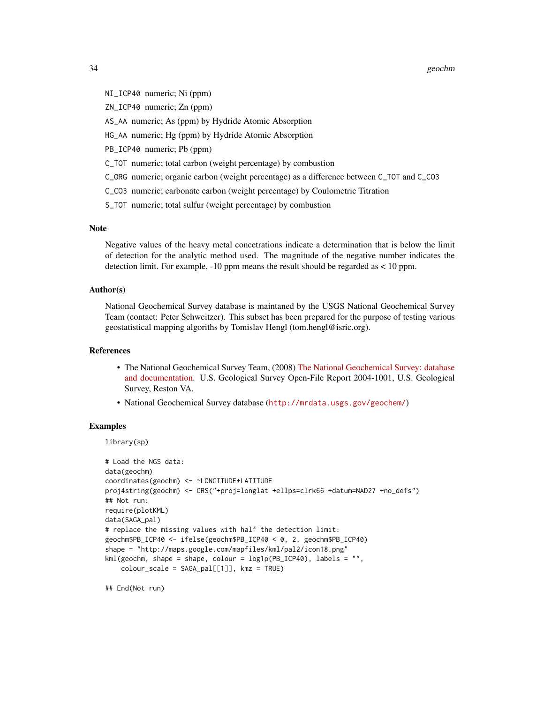34 geochm

NI\_ICP40 numeric; Ni (ppm)

ZN\_ICP40 numeric; Zn (ppm)

AS\_AA numeric; As (ppm) by Hydride Atomic Absorption

HG\_AA numeric; Hg (ppm) by Hydride Atomic Absorption

PB\_ICP40 numeric; Pb (ppm)

- C\_TOT numeric; total carbon (weight percentage) by combustion
- C\_ORG numeric; organic carbon (weight percentage) as a difference between C\_TOT and C\_CO3
- C\_CO3 numeric; carbonate carbon (weight percentage) by Coulometric Titration
- S\_TOT numeric; total sulfur (weight percentage) by combustion

# **Note**

Negative values of the heavy metal concetrations indicate a determination that is below the limit of detection for the analytic method used. The magnitude of the negative number indicates the detection limit. For example,  $-10$  ppm means the result should be regarded as  $< 10$  ppm.

## Author(s)

National Geochemical Survey database is maintaned by the USGS National Geochemical Survey Team (contact: Peter Schweitzer). This subset has been prepared for the purpose of testing various geostatistical mapping algoriths by Tomislav Hengl (tom.hengl@isric.org).

# References

- The National Geochemical Survey Team, (2008) [The National Geochemical Survey: database](http://mrdata.usgs.gov/geochem/doc/home.htm) [and documentation.](http://mrdata.usgs.gov/geochem/doc/home.htm) U.S. Geological Survey Open-File Report 2004-1001, U.S. Geological Survey, Reston VA.
- National Geochemical Survey database (<http://mrdata.usgs.gov/geochem/>)

# Examples

library(sp)

```
# Load the NGS data:
data(geochm)
coordinates(geochm) <- ~LONGITUDE+LATITUDE
proj4string(geochm) <- CRS("+proj=longlat +ellps=clrk66 +datum=NAD27 +no_defs")
## Not run:
require(plotKML)
data(SAGA_pal)
# replace the missing values with half the detection limit:
geochm$PB_ICP40 <- ifelse(geochm$PB_ICP40 < 0, 2, geochm$PB_ICP40)
shape = "http://maps.google.com/mapfiles/kml/pal2/icon18.png"
kml(geochm, shape = shape, colour = log1p(PB_ICP40), labels = "",
    colour_scale = SAGA_pal[[1]], kmz = TRUE)
```
## End(Not run)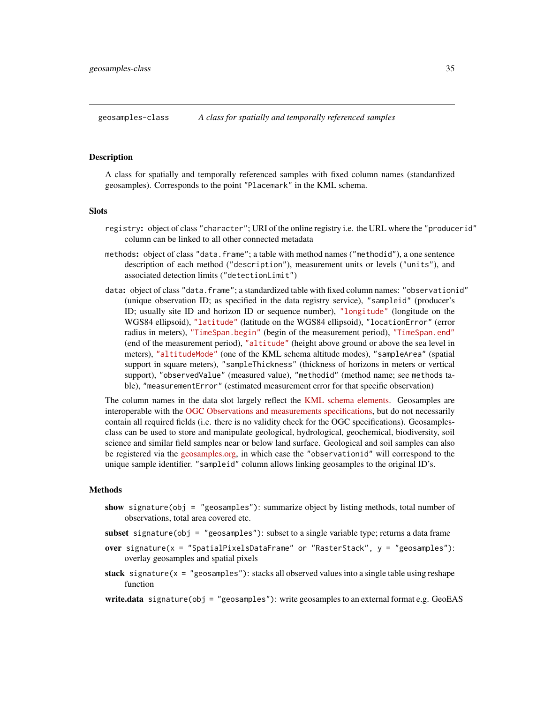<span id="page-34-1"></span><span id="page-34-0"></span>

#### Description

A class for spatially and temporally referenced samples with fixed column names (standardized geosamples). Corresponds to the point "Placemark" in the KML schema.

#### **Slots**

- registry: object of class "character"; URI of the online registry i.e. the URL where the "producerid" column can be linked to all other connected metadata
- methods: object of class "data.frame"; a table with method names ("methodid"), a one sentence description of each method ("description"), measurement units or levels ("units"), and associated detection limits ("detectionLimit")
- data: object of class "data.frame"; a standardized table with fixed column names: "observationid" (unique observation ID; as specified in the data registry service), "sampleid" (producer's ID; usually site ID and horizon ID or sequence number), ["longitude"](https://developers.google.com/kml/documentation/kmlreference) (longitude on the WGS84 ellipsoid), ["latitude"](https://developers.google.com/kml/documentation/kmlreference) (latitude on the WGS84 ellipsoid), "locationError" (error radius in meters), ["TimeSpan.begin"](https://developers.google.com/kml/documentation/kmlreference) (begin of the measurement period), ["TimeSpan.end"](https://developers.google.com/kml/documentation/kmlreference) (end of the measurement period), ["altitude"](https://developers.google.com/kml/documentation/kmlreference) (height above ground or above the sea level in meters), ["altitudeMode"](https://developers.google.com/kml/documentation/altitudemode) (one of the KML schema altitude modes), "sampleArea" (spatial support in square meters), "sampleThickness" (thickness of horizons in meters or vertical support), "observedValue" (measured value), "methodid" (method name; see methods table), "measurementError" (estimated measurement error for that specific observation)

The column names in the data slot largely reflect the [KML schema elements.](https://developers.google.com/kml/documentation/kmlreference) Geosamples are interoperable with the [OGC Observations and measurements specifications,](http://www.opengeospatial.org/standards/om/) but do not necessarily contain all required fields (i.e. there is no validity check for the OGC specifications). Geosamplesclass can be used to store and manipulate geological, hydrological, geochemical, biodiversity, soil science and similar field samples near or below land surface. Geological and soil samples can also be registered via the [geosamples.org,](http://www.geosamples.org/) in which case the "observationid" will correspond to the unique sample identifier. "sampleid" column allows linking geosamples to the original ID's.

#### Methods

- show signature(obj = "geosamples"): summarize object by listing methods, total number of observations, total area covered etc.
- subset signature(obj = "geosamples"): subset to a single variable type; returns a data frame
- over signature( $x =$  "SpatialPixelsDataFrame" or "RasterStack",  $y =$  "geosamples"): overlay geosamples and spatial pixels
- stack signature( $x =$  "geosamples"): stacks all observed values into a single table using reshape function

write.data signature(obj = "geosamples"): write geosamples to an external format e.g. GeoEAS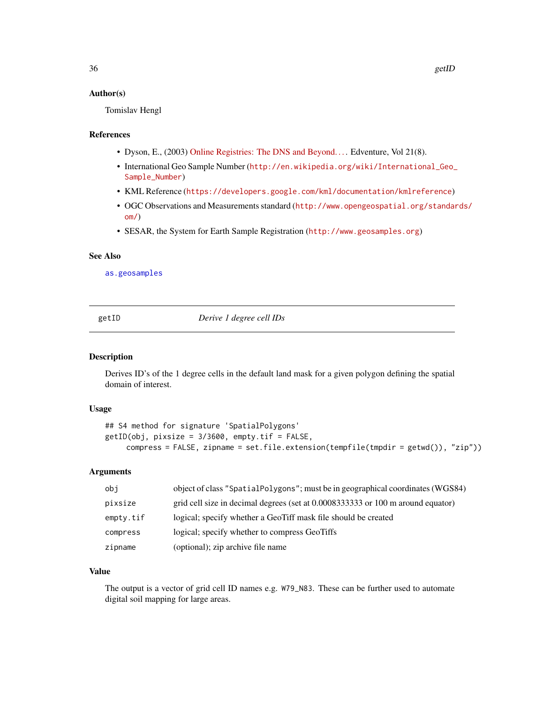# <span id="page-35-0"></span>Author(s)

Tomislav Hengl

# References

- Dyson, E., (2003) Online Registries: The DNS and Beyond.... Edventure, Vol 21(8).
- International Geo Sample Number ([http://en.wikipedia.org/wiki/International\\_Geo\\_](http://en.wikipedia.org/wiki/International_Geo_Sample_Number) [Sample\\_Number](http://en.wikipedia.org/wiki/International_Geo_Sample_Number))
- KML Reference (<https://developers.google.com/kml/documentation/kmlreference>)
- OGC Observations and Measurements standard ([http://www.opengeospatial.org/standar](http://www.opengeospatial.org/standards/om/)ds/ [om/](http://www.opengeospatial.org/standards/om/))
- SESAR, the System for Earth Sample Registration (<http://www.geosamples.org>)

### See Also

[as.geosamples](#page-5-1)

getID *Derive 1 degree cell IDs*

# Description

Derives ID's of the 1 degree cells in the default land mask for a given polygon defining the spatial domain of interest.

# Usage

```
## S4 method for signature 'SpatialPolygons'
getID(obj, pixsize = 3/3600, empty.tif = FALSE,
    compress = FALSE, zipname = set.file.extension(tempfile(tmpdir = getwd()), "zip"))
```
# Arguments

| obi       | object of class "SpatialPolygons"; must be in geographical coordinates (WGS84)   |
|-----------|----------------------------------------------------------------------------------|
| pixsize   | grid cell size in decimal degrees (set at 0.00083333333 or 100 m around equator) |
| empty.tif | logical; specify whether a GeoTiff mask file should be created                   |
| compress  | logical; specify whether to compress GeoTiffs                                    |
| zipname   | (optional); zip archive file name                                                |

# Value

The output is a vector of grid cell ID names e.g. W79\_N83. These can be further used to automate digital soil mapping for large areas.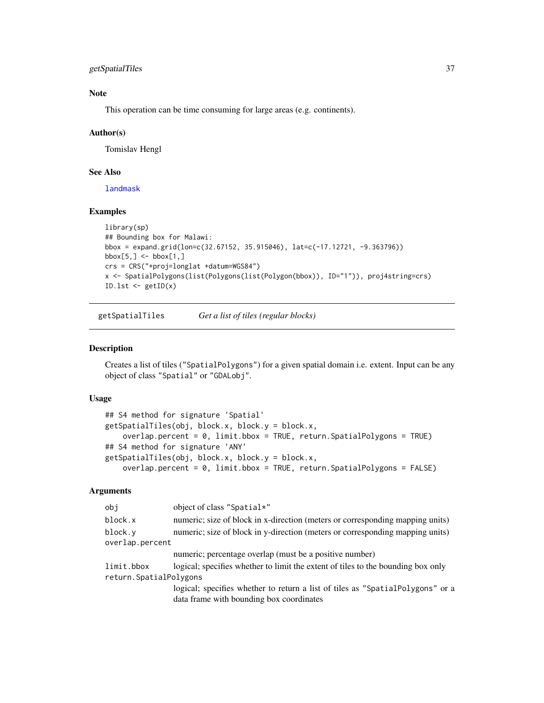# getSpatialTiles 37

# Note

This operation can be time consuming for large areas (e.g. continents).

## Author(s)

Tomislav Hengl

# See Also

[landmask](#page-43-0)

# Examples

```
library(sp)
## Bounding box for Malawi:
bbox = expand.grid(lon=c(32.67152, 35.915046), lat=c(-17.12721, -9.363796))
bbox[5,] <- bbox[1,]crs = CRS("+proj=longlat +datum=WGS84")
x <- SpatialPolygons(list(Polygons(list(Polygon(bbox)), ID="1")), proj4string=crs)
ID.lst \leq getID(x)
```
getSpatialTiles *Get a list of tiles (regular blocks)*

#### Description

Creates a list of tiles ("SpatialPolygons") for a given spatial domain i.e. extent. Input can be any object of class "Spatial" or "GDALobj".

## Usage

```
## S4 method for signature 'Spatial'
getSpatialTiles(obj, block.x, block.y = block.x,
   overlap.percent = 0, limit.bbox = TRUE, return.SpatialPolygons = TRUE)
## S4 method for signature 'ANY'
getSpatialTiles(obj, block.x, block.y = block.x,
   overlap.percent = 0, limit.bbox = TRUE, return.SpatialPolygons = FALSE)
```
## Arguments

| object of class "Spatial*"                                                                                                 |
|----------------------------------------------------------------------------------------------------------------------------|
| numeric; size of block in x-direction (meters or corresponding mapping units)                                              |
| numeric; size of block in y-direction (meters or corresponding mapping units)                                              |
| overlap.percent                                                                                                            |
| numeric; percentage overlap (must be a positive number)                                                                    |
| logical; specifies whether to limit the extent of tiles to the bounding box only                                           |
| return. SpatialPolygons                                                                                                    |
| logical; specifies whether to return a list of tiles as "SpatialPolygons" or a<br>data frame with bounding box coordinates |
|                                                                                                                            |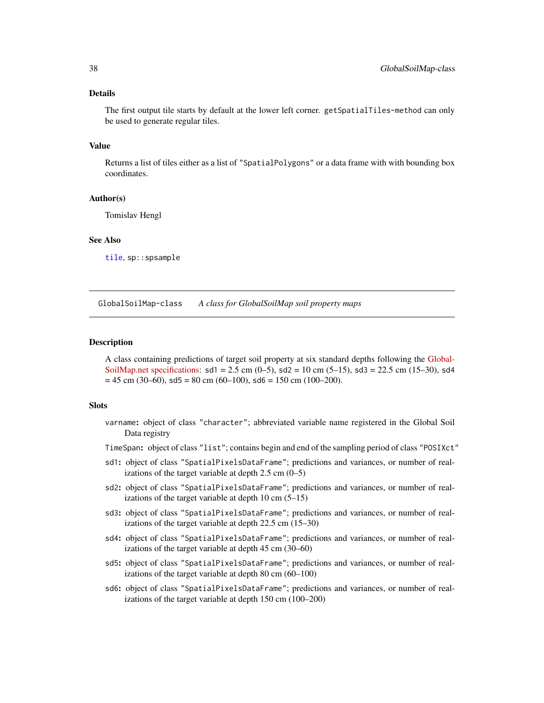## Details

The first output tile starts by default at the lower left corner. getSpatialTiles-method can only be used to generate regular tiles.

## Value

Returns a list of tiles either as a list of "SpatialPolygons" or a data frame with with bounding box coordinates.

#### Author(s)

Tomislav Hengl

# See Also

[tile](#page-80-0), sp::spsample

<span id="page-37-0"></span>GlobalSoilMap-class *A class for GlobalSoilMap soil property maps*

## Description

A class containing predictions of target soil property at six standard depths following the [Global-](http://globalsoilmap.net/)[SoilMap.net specifications:](http://globalsoilmap.net/)  $sd1 = 2.5$  cm  $(0-5)$ ,  $sd2 = 10$  cm  $(5-15)$ ,  $sd3 = 22.5$  cm  $(15-30)$ ,  $sd4$  $= 45$  cm (30–60), sd5 = 80 cm (60–100), sd6 = 150 cm (100–200).

#### Slots

- varname: object of class "character"; abbreviated variable name registered in the Global Soil Data registry
- TimeSpan: object of class "list"; contains begin and end of the sampling period of class "POSIXct"
- sd1: object of class "SpatialPixelsDataFrame"; predictions and variances, or number of realizations of the target variable at depth  $2.5 \text{ cm } (0-5)$
- sd2: object of class "SpatialPixelsDataFrame"; predictions and variances, or number of realizations of the target variable at depth 10 cm (5–15)
- sd3: object of class "SpatialPixelsDataFrame"; predictions and variances, or number of realizations of the target variable at depth 22.5 cm (15–30)
- sd4: object of class "SpatialPixelsDataFrame"; predictions and variances, or number of realizations of the target variable at depth 45 cm (30–60)
- sd5: object of class "SpatialPixelsDataFrame"; predictions and variances, or number of realizations of the target variable at depth 80 cm (60–100)
- sd6: object of class "SpatialPixelsDataFrame"; predictions and variances, or number of realizations of the target variable at depth 150 cm (100–200)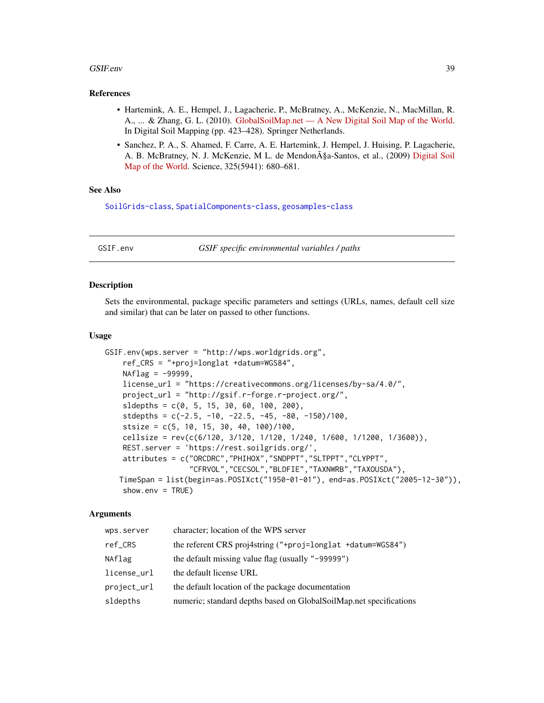## GSIF.env 39

## References

- Hartemink, A. E., Hempel, J., Lagacherie, P., McBratney, A., McKenzie, N., MacMillan, R. A., ... & Zhang, G. L. (2010). [GlobalSoilMap.net — A New Digital Soil Map of the World.](http://dx.doi.org/10.1007/978-90-481-8863-5_33) In Digital Soil Mapping (pp. 423–428). Springer Netherlands.
- Sanchez, P. A., S. Ahamed, F. Carre, A. E. Hartemink, J. Hempel, J. Huising, P. Lagacherie, A. B. McBratney, N. J. McKenzie, M L. de Mendon $\tilde{A}$ §a-Santos, et al., (2009) [Digital Soil](http://dx.doi.org/10.1126/science.1175084) [Map of the World.](http://dx.doi.org/10.1126/science.1175084) Science, 325(5941): 680–681.

## See Also

[SoilGrids-class](#page-64-0), [SpatialComponents-class](#page-66-0), [geosamples-class](#page-34-0)

GSIF.env *GSIF specific environmental variables / paths*

#### Description

Sets the environmental, package specific parameters and settings (URLs, names, default cell size and similar) that can be later on passed to other functions.

## Usage

```
GSIF.env(wps.server = "http://wps.worldgrids.org",
   ref_CRS = "+proj=longlat +datum=WGS84",
   NAfflag = -999999,license_url = "https://creativecommons.org/licenses/by-sa/4.0/",
   project_url = "http://gsif.r-forge.r-project.org/",
   sldepths = c(0, 5, 15, 30, 60, 100, 200),
   stdepths = c(-2.5, -10, -22.5, -45, -80, -150)/100,
   stsize = c(5, 10, 15, 30, 40, 100)/100,
   cellsize = rev(c(6/120, 3/120, 1/120, 1/240, 1/600, 1/1200, 1/3600)),
   REST.server = 'https://rest.soilgrids.org/',
   attributes = c("ORCDRC","PHIHOX","SNDPPT","SLTPPT","CLYPPT",
                   "CFRVOL","CECSOL","BLDFIE","TAXNWRB","TAXOUSDA"),
   TimeSpan = list(begin=as.POSIXct("1950-01-01"), end=as.POSIXct("2005-12-30")),
    show.env = TRUE)
```
## **Arguments**

| wps.server  | character; location of the WPS server                              |
|-------------|--------------------------------------------------------------------|
| ref_CRS     | the referent CRS proj4string ("+proj=longlat +datum=WGS84")        |
| NAflag      | the default missing value flag (usually "-99999")                  |
| license_url | the default license URL                                            |
| project_url | the default location of the package documentation                  |
| sldepths    | numeric; standard depths based on GlobalSoilMap.net specifications |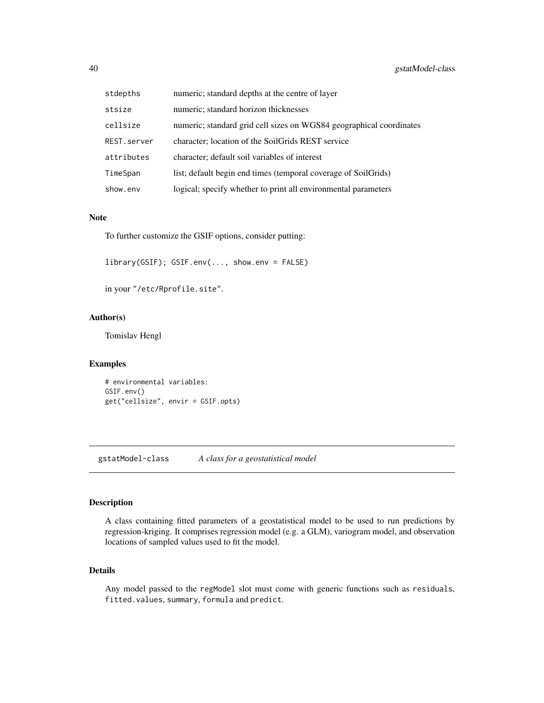| stdepths    | numeric; standard depths at the centre of layer                     |
|-------------|---------------------------------------------------------------------|
| stsize      | numeric; standard horizon thicknesses                               |
| cellsize    | numeric; standard grid cell sizes on WGS84 geographical coordinates |
| REST.server | character; location of the SoilGrids REST service                   |
| attributes  | character; default soil variables of interest                       |
| TimeSpan    | list; default begin end times (temporal coverage of SoilGrids)      |
| show.env    | logical; specify whether to print all environmental parameters      |

#### Note

To further customize the GSIF options, consider putting:

library(GSIF); GSIF.env(..., show.env = FALSE)

in your "/etc/Rprofile.site".

# Author(s)

Tomislav Hengl

# Examples

```
# environmental variables:
GSIF.env()
get("cellsize", envir = GSIF.opts)
```
<span id="page-39-0"></span>gstatModel-class *A class for a geostatistical model*

# Description

A class containing fitted parameters of a geostatistical model to be used to run predictions by regression-kriging. It comprises regression model (e.g. a GLM), variogram model, and observation locations of sampled values used to fit the model.

## Details

Any model passed to the regModel slot must come with generic functions such as residuals, fitted.values, summary, formula and predict.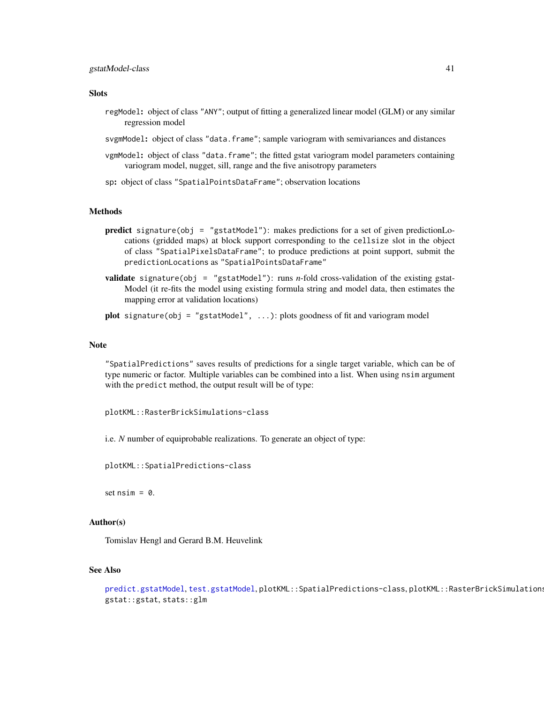## **Slots**

- regModel: object of class "ANY"; output of fitting a generalized linear model (GLM) or any similar regression model
- svgmModel: object of class "data.frame"; sample variogram with semivariances and distances
- vgmModel: object of class "data.frame"; the fitted gstat variogram model parameters containing variogram model, nugget, sill, range and the five anisotropy parameters
- sp: object of class "SpatialPointsDataFrame"; observation locations

## Methods

- predict signature(obj = "gstatModel"): makes predictions for a set of given predictionLocations (gridded maps) at block support corresponding to the cellsize slot in the object of class "SpatialPixelsDataFrame"; to produce predictions at point support, submit the predictionLocations as "SpatialPointsDataFrame"
- validate signature(obj = "gstatModel"): runs *n*-fold cross-validation of the existing gstat-Model (it re-fits the model using existing formula string and model data, then estimates the mapping error at validation locations)
- plot signature(obj = "gstatModel",  $\dots$ ): plots goodness of fit and variogram model

#### Note

"SpatialPredictions" saves results of predictions for a single target variable, which can be of type numeric or factor. Multiple variables can be combined into a list. When using nsim argument with the predict method, the output result will be of type:

plotKML::RasterBrickSimulations-class

i.e. *N* number of equiprobable realizations. To generate an object of type:

plotKML::SpatialPredictions-class

set  $nsim = 0$ .

# Author(s)

Tomislav Hengl and Gerard B.M. Heuvelink

# See Also

```
predict.gstatModel, test.gstatModel, plotKML::SpatialPredictions-class, plotKML::RasterBrickSimulations-class,
gstat::gstat, stats::glm
```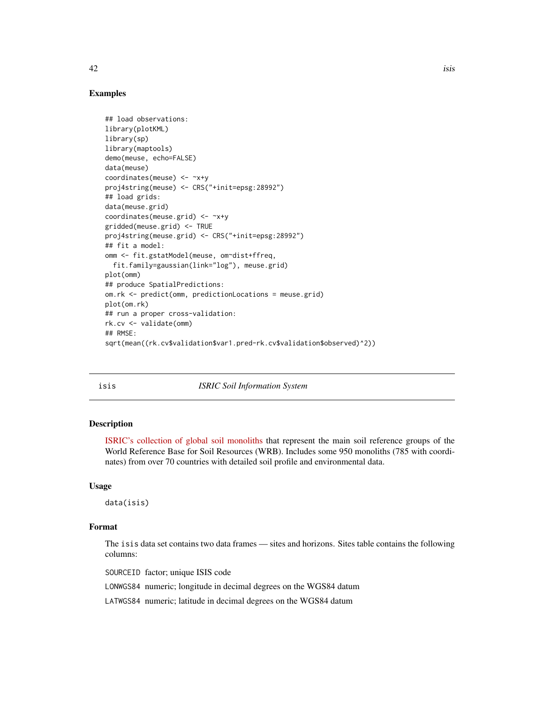## Examples

```
## load observations:
library(plotKML)
library(sp)
library(maptools)
demo(meuse, echo=FALSE)
data(meuse)
coordinates(meuse) <- ~x+y
proj4string(meuse) <- CRS("+init=epsg:28992")
## load grids:
data(meuse.grid)
coordinates(meuse.grid) <- ~x+y
gridded(meuse.grid) <- TRUE
proj4string(meuse.grid) <- CRS("+init=epsg:28992")
## fit a model:
omm <- fit.gstatModel(meuse, om~dist+ffreq,
  fit.family=gaussian(link="log"), meuse.grid)
plot(omm)
## produce SpatialPredictions:
om.rk <- predict(omm, predictionLocations = meuse.grid)
plot(om.rk)
## run a proper cross-validation:
rk.cv <- validate(omm)
## RMSE:
sqrt(mean((rk.cv$validation$var1.pred-rk.cv$validation$observed)^2))
```
#### isis *ISRIC Soil Information System*

## Description

[ISRIC's collection of global soil monoliths](http://www.isric.org) that represent the main soil reference groups of the World Reference Base for Soil Resources (WRB). Includes some 950 monoliths (785 with coordinates) from over 70 countries with detailed soil profile and environmental data.

#### Usage

data(isis)

## Format

The isis data set contains two data frames — sites and horizons. Sites table contains the following columns:

SOURCEID factor; unique ISIS code

LONWGS84 numeric; longitude in decimal degrees on the WGS84 datum

LATWGS84 numeric; latitude in decimal degrees on the WGS84 datum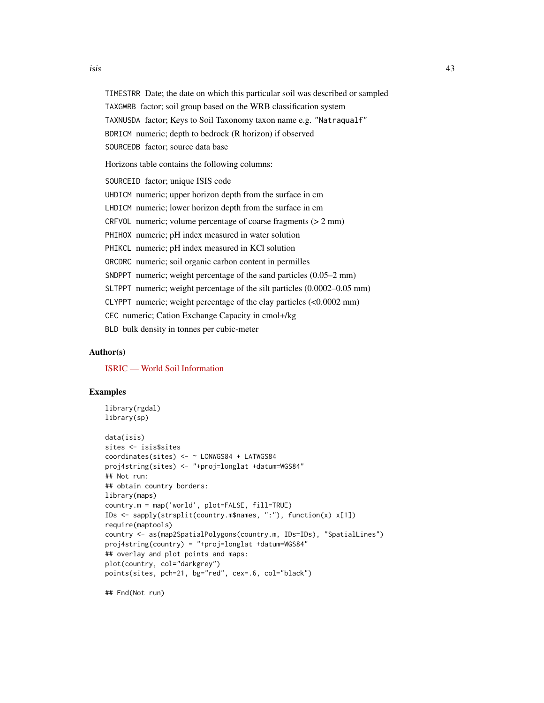isis 43

TIMESTRR Date; the date on which this particular soil was described or sampled TAXGWRB factor; soil group based on the WRB classification system TAXNUSDA factor; Keys to Soil Taxonomy taxon name e.g. "Natraqualf" BDRICM numeric; depth to bedrock (R horizon) if observed SOURCEDB factor; source data base Horizons table contains the following columns: SOURCEID factor; unique ISIS code UHDICM numeric; upper horizon depth from the surface in cm LHDICM numeric; lower horizon depth from the surface in cm CRFVOL numeric; volume percentage of coarse fragments (> 2 mm) PHIHOX numeric; pH index measured in water solution PHIKCL numeric; pH index measured in KCl solution ORCDRC numeric; soil organic carbon content in permilles SNDPPT numeric; weight percentage of the sand particles (0.05–2 mm) SLTPPT numeric; weight percentage of the silt particles (0.0002–0.05 mm) CLYPPT numeric; weight percentage of the clay particles (<0.0002 mm) CEC numeric; Cation Exchange Capacity in cmol+/kg BLD bulk density in tonnes per cubic-meter

# Author(s)

[ISRIC — World Soil Information](http://www.isric.org)

## Examples

```
library(rgdal)
library(sp)
data(isis)
sites <- isis$sites
coordinates(sites) <- ~ LONWGS84 + LATWGS84
proj4string(sites) <- "+proj=longlat +datum=WGS84"
## Not run:
## obtain country borders:
library(maps)
country.m = map('world', plot=FALSE, fill=TRUE)
IDs <- sapply(strsplit(country.m$names, ":"), function(x) x[1])
require(maptools)
country <- as(map2SpatialPolygons(country.m, IDs=IDs), "SpatialLines")
proj4string(country) = "+proj=longlat +datum=WGS84"
## overlay and plot points and maps:
plot(country, col="darkgrey")
points(sites, pch=21, bg="red", cex=.6, col="black")
```
## End(Not run)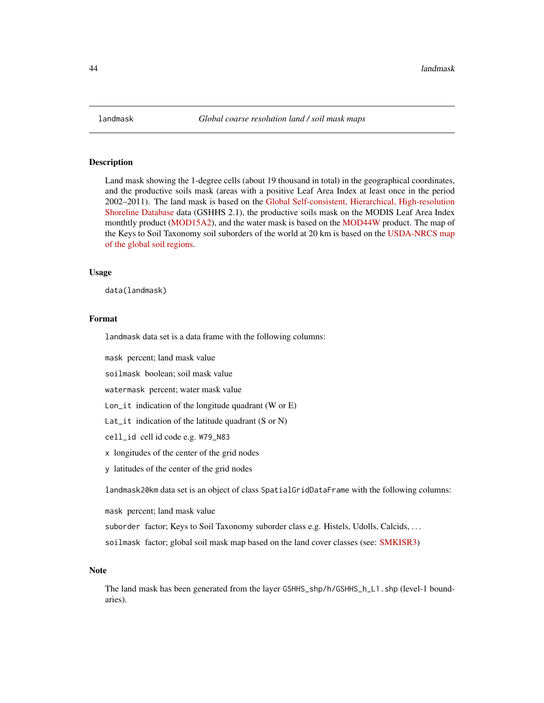<span id="page-43-0"></span>

## **Description**

Land mask showing the 1-degree cells (about 19 thousand in total) in the geographical coordinates, and the productive soils mask (areas with a positive Leaf Area Index at least once in the period 2002–2011). The land mask is based on the [Global Self-consistent, Hierarchical, High-resolution](https://en.wikipedia.org/wiki/GSHHG) [Shoreline Database](https://en.wikipedia.org/wiki/GSHHG) data (GSHHS 2.1), the productive soils mask on the MODIS Leaf Area Index monthtly product [\(MOD15A2\)](https://lpdaac.usgs.gov/products/modis_products_table), and the water mask is based on the [MOD44W](http://glcf.umd.edu/data/watermask/) product. The map of the Keys to Soil Taxonomy soil suborders of the world at 20 km is based on the [USDA-NRCS map](http://www.nrcs.usda.gov/) [of the global soil regions.](http://www.nrcs.usda.gov/)

## Usage

data(landmask)

#### Format

landmask data set is a data frame with the following columns:

mask percent; land mask value

soilmask boolean; soil mask value

watermask percent; water mask value

Lon\_it indication of the longitude quadrant (W or E)

Lat\_it indication of the latitude quadrant  $(S \text{ or } N)$ 

cell\_id cell id code e.g. W79\_N83

x longitudes of the center of the grid nodes

y latitudes of the center of the grid nodes

landmask20km data set is an object of class SpatialGridDataFrame with the following columns:

mask percent; land mask value

suborder factor; Keys to Soil Taxonomy suborder class e.g. Histels, Udolls, Calcids, ...

soilmask factor; global soil mask map based on the land cover classes (see: [SMKISR3\)](http://worldgrids.org)

# Note

The land mask has been generated from the layer GSHHS\_shp/h/GSHHS\_h\_L1.shp (level-1 boundaries).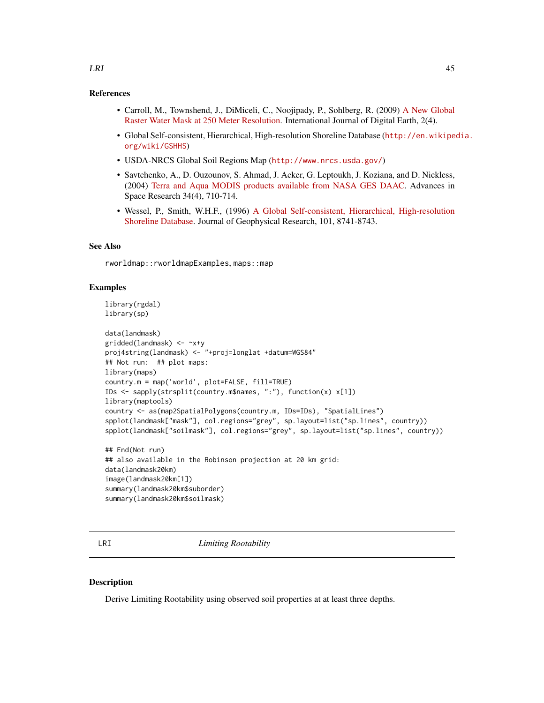# References

- Carroll, M., Townshend, J., DiMiceli, C., Noojipady, P., Sohlberg, R. (2009) [A New Global](http://dx.doi.org/10.1080/17538940902951401) [Raster Water Mask at 250 Meter Resolution.](http://dx.doi.org/10.1080/17538940902951401) International Journal of Digital Earth, 2(4).
- Global Self-consistent, Hierarchical, High-resolution Shoreline Database ([http://en.wikipe](http://en.wikipedia.org/wiki/GSHHS)dia. [org/wiki/GSHHS](http://en.wikipedia.org/wiki/GSHHS))
- USDA-NRCS Global Soil Regions Map (<http://www.nrcs.usda.gov/>)
- Savtchenko, A., D. Ouzounov, S. Ahmad, J. Acker, G. Leptoukh, J. Koziana, and D. Nickless, (2004) [Terra and Aqua MODIS products available from NASA GES DAAC.](http://dx.doi.org/10.1016/j.asr.2004.03.012) Advances in Space Research 34(4), 710-714.
- Wessel, P., Smith, W.H.F., (1996) [A Global Self-consistent, Hierarchical, High-resolution](http://dx.doi.org/10.1029/96JB00104) [Shoreline Database.](http://dx.doi.org/10.1029/96JB00104) Journal of Geophysical Research, 101, 8741-8743.

#### See Also

rworldmap::rworldmapExamples, maps::map

# Examples

```
library(rgdal)
library(sp)
data(landmask)
gridded(landmask) <- ~x+y
proj4string(landmask) <- "+proj=longlat +datum=WGS84"
## Not run: ## plot maps:
library(maps)
country.m = map('world', plot=FALSE, fill=TRUE)
IDs <- sapply(strsplit(country.m$names, ":"), function(x) x[1])
library(maptools)
country <- as(map2SpatialPolygons(country.m, IDs=IDs), "SpatialLines")
spplot(landmask["mask"], col.regions="grey", sp.layout=list("sp.lines", country))
spplot(landmask["soilmask"], col.regions="grey", sp.layout=list("sp.lines", country))
## End(Not run)
## also available in the Robinson projection at 20 km grid:
data(landmask20km)
image(landmask20km[1])
```
summary(landmask20km\$suborder) summary(landmask20km\$soilmask)

LRI *Limiting Rootability*

## **Description**

Derive Limiting Rootability using observed soil properties at at least three depths.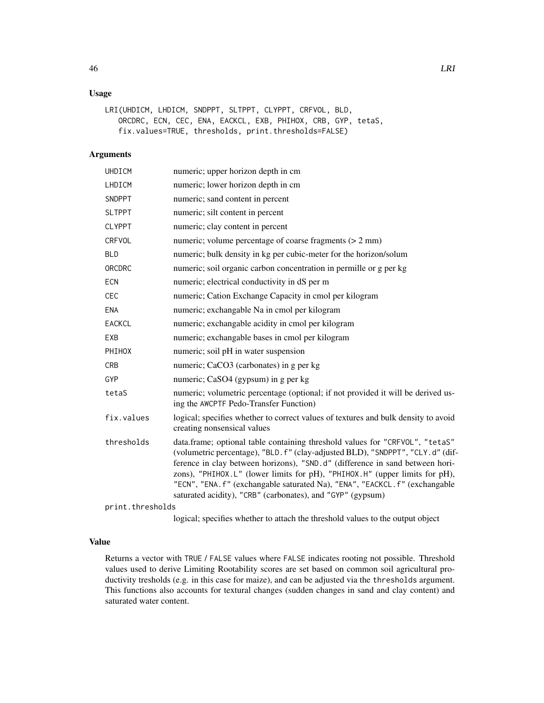# Usage

```
LRI(UHDICM, LHDICM, SNDPPT, SLTPPT, CLYPPT, CRFVOL, BLD,
   ORCDRC, ECN, CEC, ENA, EACKCL, EXB, PHIHOX, CRB, GYP, tetaS,
   fix.values=TRUE, thresholds, print.thresholds=FALSE)
```
# Arguments

| <b>UHDICM</b>    | numeric; upper horizon depth in cm                                                                                                                                                                                                                                                                                                                                                                                                                                       |
|------------------|--------------------------------------------------------------------------------------------------------------------------------------------------------------------------------------------------------------------------------------------------------------------------------------------------------------------------------------------------------------------------------------------------------------------------------------------------------------------------|
| LHDICM           | numeric; lower horizon depth in cm                                                                                                                                                                                                                                                                                                                                                                                                                                       |
| <b>SNDPPT</b>    | numeric; sand content in percent                                                                                                                                                                                                                                                                                                                                                                                                                                         |
| <b>SLTPPT</b>    | numeric; silt content in percent                                                                                                                                                                                                                                                                                                                                                                                                                                         |
| <b>CLYPPT</b>    | numeric; clay content in percent                                                                                                                                                                                                                                                                                                                                                                                                                                         |
| CRFVOL           | numeric; volume percentage of coarse fragments $(> 2 \text{ mm})$                                                                                                                                                                                                                                                                                                                                                                                                        |
| <b>BLD</b>       | numeric; bulk density in kg per cubic-meter for the horizon/solum                                                                                                                                                                                                                                                                                                                                                                                                        |
| ORCDRC           | numeric; soil organic carbon concentration in permille or g per kg                                                                                                                                                                                                                                                                                                                                                                                                       |
| <b>ECN</b>       | numeric; electrical conductivity in dS per m                                                                                                                                                                                                                                                                                                                                                                                                                             |
| <b>CEC</b>       | numeric; Cation Exchange Capacity in cmol per kilogram                                                                                                                                                                                                                                                                                                                                                                                                                   |
| <b>ENA</b>       | numeric; exchangable Na in cmol per kilogram                                                                                                                                                                                                                                                                                                                                                                                                                             |
| <b>EACKCL</b>    | numeric; exchangable acidity in cmol per kilogram                                                                                                                                                                                                                                                                                                                                                                                                                        |
| EXB              | numeric; exchangable bases in cmol per kilogram                                                                                                                                                                                                                                                                                                                                                                                                                          |
| PHIHOX           | numeric; soil pH in water suspension                                                                                                                                                                                                                                                                                                                                                                                                                                     |
| <b>CRB</b>       | numeric; CaCO3 (carbonates) in g per kg                                                                                                                                                                                                                                                                                                                                                                                                                                  |
| <b>GYP</b>       | numeric; CaSO4 (gypsum) in g per kg                                                                                                                                                                                                                                                                                                                                                                                                                                      |
| tetaS            | numeric; volumetric percentage (optional; if not provided it will be derived us-<br>ing the AWCPTF Pedo-Transfer Function)                                                                                                                                                                                                                                                                                                                                               |
| fix.values       | logical; specifies whether to correct values of textures and bulk density to avoid<br>creating nonsensical values                                                                                                                                                                                                                                                                                                                                                        |
| thresholds       | data.frame; optional table containing threshold values for "CRFVOL", "tetaS"<br>(volumetric percentage), "BLD.f" (clay-adjusted BLD), "SNDPPT", "CLY.d" (dif-<br>ference in clay between horizons), "SND.d" (difference in sand between hori-<br>zons), "PHIHOX.L" (lower limits for pH), "PHIHOX.H" (upper limits for pH),<br>"ECN", "ENA. f" (exchangable saturated Na), "ENA", "EACKCL. f" (exchangable<br>saturated acidity), "CRB" (carbonates), and "GYP" (gypsum) |
| print.thresholds |                                                                                                                                                                                                                                                                                                                                                                                                                                                                          |

logical; specifies whether to attach the threshold values to the output object

# Value

Returns a vector with TRUE / FALSE values where FALSE indicates rooting not possible. Threshold values used to derive Limiting Rootability scores are set based on common soil agricultural productivity tresholds (e.g. in this case for maize), and can be adjusted via the thresholds argument. This functions also accounts for textural changes (sudden changes in sand and clay content) and saturated water content.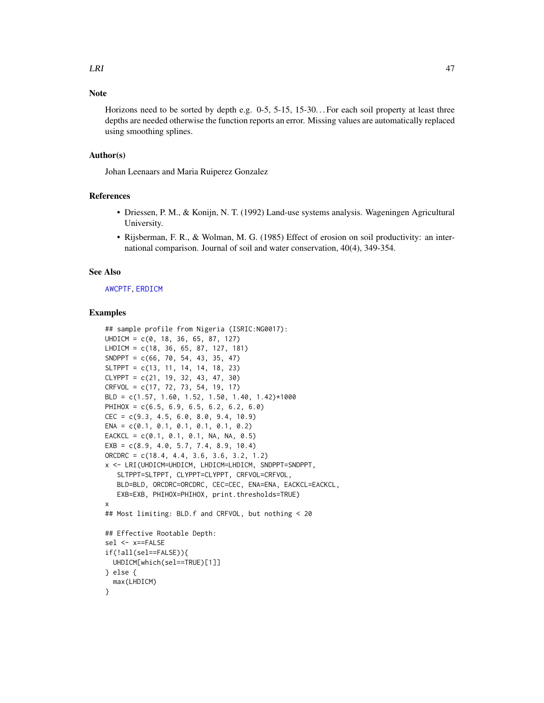# Note

Horizons need to be sorted by depth e.g. 0-5, 5-15, 15-30... For each soil property at least three depths are needed otherwise the function reports an error. Missing values are automatically replaced using smoothing splines.

## Author(s)

Johan Leenaars and Maria Ruiperez Gonzalez

## References

- Driessen, P. M., & Konijn, N. T. (1992) Land-use systems analysis. Wageningen Agricultural University.
- Rijsberman, F. R., & Wolman, M. G. (1985) Effect of erosion on soil productivity: an international comparison. Journal of soil and water conservation, 40(4), 349-354.

#### See Also

#### [AWCPTF](#page-9-0), [ERDICM](#page-20-0)

## Examples

```
## sample profile from Nigeria (ISRIC:NG0017):
UHDICM = c(0, 18, 36, 65, 87, 127)
LHDICM = c(18, 36, 65, 87, 127, 181)
SNDPPT = c(66, 70, 54, 43, 35, 47)
SLTPPT = c(13, 11, 14, 14, 18, 23)
CLYPPT = c(21, 19, 32, 43, 47, 30)
CRFVOL = c(17, 72, 73, 54, 19, 17)
BLD = c(1.57, 1.60, 1.52, 1.50, 1.40, 1.42)*1000
PHIHOX = c(6.5, 6.9, 6.5, 6.2, 6.2, 6.0)
CEC = c(9.3, 4.5, 6.0, 8.0, 9.4, 10.9)ENA = c(0.1, 0.1, 0.1, 0.1, 0.1, 0.2)
EACKCL = c(0.1, 0.1, 0.1, NA, NA, 0.5)EXB = c(8.9, 4.0, 5.7, 7.4, 8.9, 10.4)
ORCDRC = c(18.4, 4.4, 3.6, 3.6, 3.2, 1.2)
x <- LRI(UHDICM=UHDICM, LHDICM=LHDICM, SNDPPT=SNDPPT,
   SLTPPT=SLTPPT, CLYPPT=CLYPPT, CRFVOL=CRFVOL,
   BLD=BLD, ORCDRC=ORCDRC, CEC=CEC, ENA=ENA, EACKCL=EACKCL,
   EXB=EXB, PHIHOX=PHIHOX, print.thresholds=TRUE)
x
## Most limiting: BLD.f and CRFVOL, but nothing < 20
## Effective Rootable Depth:
sel <- x==FALSE
if(!all(sel==FALSE)){
  UHDICM[which(sel==TRUE)[1]]
} else {
  max(LHDICM)
}
```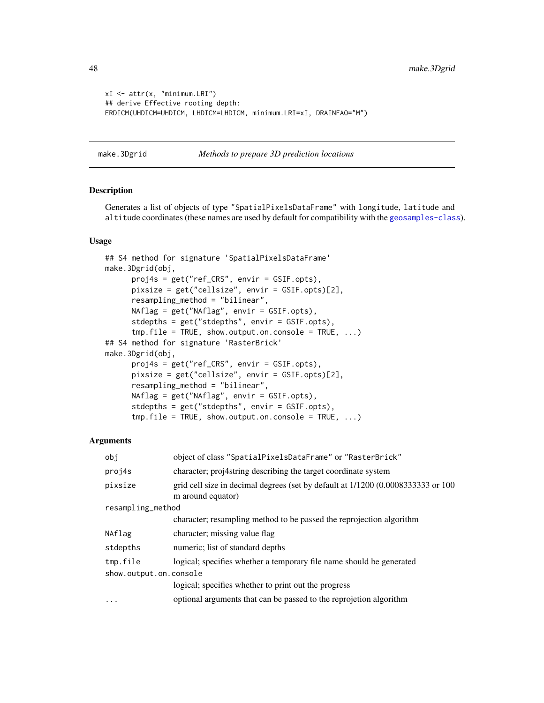```
xI \leq -attr(x, "minimum.LRI")## derive Effective rooting depth:
ERDICM(UHDICM=UHDICM, LHDICM=LHDICM, minimum.LRI=xI, DRAINFAO="M")
```
make.3Dgrid *Methods to prepare 3D prediction locations*

## Description

Generates a list of objects of type "SpatialPixelsDataFrame" with longitude, latitude and altitude coordinates (these names are used by default for compatibility with the [geosamples-class](#page-34-0)).

#### Usage

```
## S4 method for signature 'SpatialPixelsDataFrame'
make.3Dgrid(obj,
      proj4s = get("ref_CRS", envir = GSIF.opts),
      pixsize = get("cellsize", envir = GSIF.opts)[2],
      resampling_method = "bilinear",
      NAflag = get("NAflag", envir = GSIF.opts),
      stdepths = get("stdepths", envir = GSIF.opts),
      tmp.file = TRUE, show.output.in.console = TRUE, ...)## S4 method for signature 'RasterBrick'
make.3Dgrid(obj,
      proj4s = get("ref_CRS", envir = GSIF.opts),
      pixsize = get("cellsize", envir = GSIF.opts)[2],
      resampling_method = "bilinear",
      NAflag = get("NAflag", envir = GSIF.opts),
      stdepths = get("stdepths", envir = GSIF.opts),
      tmp.file = TRUE, show.output.in.console = TRUE, ...)
```
#### **Arguments**

| obi                    | object of class "SpatialPixelsDataFrame" or "RasterBrick"                                             |  |
|------------------------|-------------------------------------------------------------------------------------------------------|--|
| proj4s                 | character; proj4string describing the target coordinate system                                        |  |
| pixsize                | grid cell size in decimal degrees (set by default at 1/1200 (0.0008333333 or 100<br>m around equator) |  |
| resampling_method      |                                                                                                       |  |
|                        | character; resampling method to be passed the reprojection algorithm                                  |  |
| NAflag                 | character; missing value flag                                                                         |  |
| stdepths               | numeric; list of standard depths                                                                      |  |
| tmp.file               | logical; specifies whether a temporary file name should be generated                                  |  |
| show.output.on.console |                                                                                                       |  |
|                        | logical; specifies whether to print out the progress                                                  |  |
| $\ddotsc$              | optional arguments that can be passed to the reprojetion algorithm                                    |  |
|                        |                                                                                                       |  |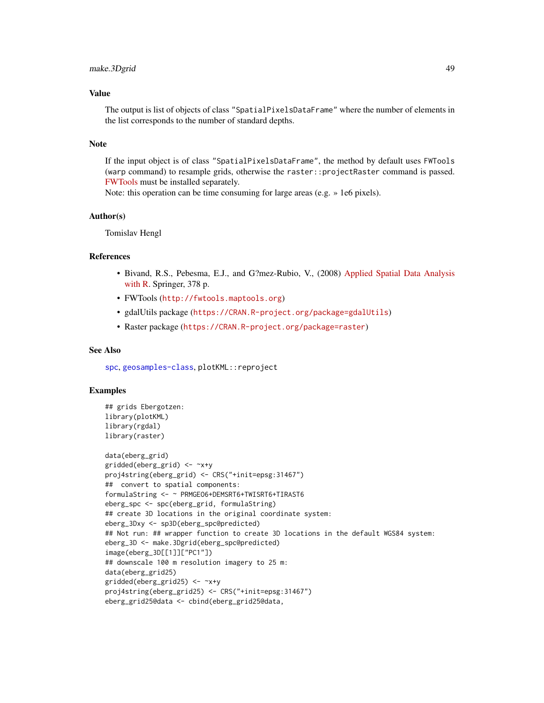# make.3Dgrid 49

## Value

The output is list of objects of class "SpatialPixelsDataFrame" where the number of elements in the list corresponds to the number of standard depths.

## **Note**

If the input object is of class "SpatialPixelsDataFrame", the method by default uses FWTools (warp command) to resample grids, otherwise the raster::projectRaster command is passed. [FWTools](http://fwtools.maptools.org/) must be installed separately.

Note: this operation can be time consuming for large areas (e.g. » 1e6 pixels).

# Author(s)

Tomislav Hengl

## References

- Bivand, R.S., Pebesma, E.J., and G?mez-Rubio, V., (2008) [Applied Spatial Data Analysis](http://www.asdar-book.org/) [with R.](http://www.asdar-book.org/) Springer, 378 p.
- FWTools (<http://fwtools.maptools.org>)
- gdalUtils package (<https://CRAN.R-project.org/package=gdalUtils>)
- Raster package (<https://CRAN.R-project.org/package=raster>)

## See Also

[spc](#page-68-0), [geosamples-class](#page-34-0), plotKML::reproject

## Examples

```
## grids Ebergotzen:
library(plotKML)
library(rgdal)
library(raster)
data(eberg_grid)
gridded(eberg_grid) <- ~x+y
proj4string(eberg_grid) <- CRS("+init=epsg:31467")
## convert to spatial components:
formulaString <- ~ PRMGEO6+DEMSRT6+TWISRT6+TIRAST6
eberg_spc <- spc(eberg_grid, formulaString)
## create 3D locations in the original coordinate system:
eberg_3Dxy <- sp3D(eberg_spc@predicted)
## Not run: ## wrapper function to create 3D locations in the default WGS84 system:
eberg_3D <- make.3Dgrid(eberg_spc@predicted)
image(eberg_3D[[1]]["PC1"])
## downscale 100 m resolution imagery to 25 m:
data(eberg_grid25)
gridded(eberg_grid25) <- ~x+y
proj4string(eberg_grid25) <- CRS("+init=epsg:31467")
eberg_grid25@data <- cbind(eberg_grid25@data,
```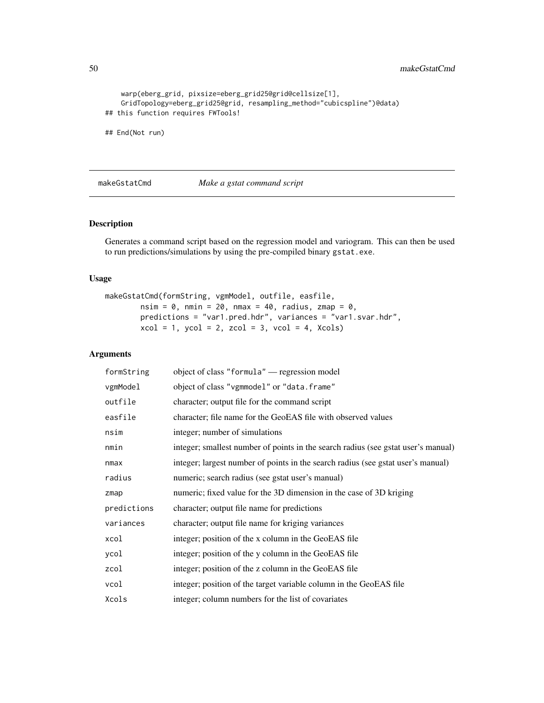```
warp(eberg_grid, pixsize=eberg_grid25@grid@cellsize[1],
   GridTopology=eberg_grid25@grid, resampling_method="cubicspline")@data)
## this function requires FWTools!
## End(Not run)
```
makeGstatCmd *Make a gstat command script*

# Description

Generates a command script based on the regression model and variogram. This can then be used to run predictions/simulations by using the pre-compiled binary gstat.exe.

# Usage

```
makeGstatCmd(formString, vgmModel, outfile, easfile,
        nsim = 0, nmin = 20, nmax = 40, radians, zmap = 0,
       predictions = "var1.pred.hdr", variances = "var1.svar.hdr",
        xcol = 1, ycol = 2, zcol = 3, vcol = 4, Xcols)
```
## Arguments

| formString  | object of class "formula" — regression model                                      |
|-------------|-----------------------------------------------------------------------------------|
| vgmModel    | object of class "vgmmodel" or "data.frame"                                        |
| outfile     | character; output file for the command script                                     |
| easfile     | character; file name for the GeoEAS file with observed values                     |
| nsim        | integer; number of simulations                                                    |
| nmin        | integer; smallest number of points in the search radius (see gstat user's manual) |
| nmax        | integer; largest number of points in the search radius (see gstat user's manual)  |
| radius      | numeric; search radius (see gstat user's manual)                                  |
| zmap        | numeric; fixed value for the 3D dimension in the case of 3D kriging               |
| predictions | character; output file name for predictions                                       |
| variances   | character; output file name for kriging variances                                 |
| xcol        | integer; position of the x column in the GeoEAS file                              |
| ycol        | integer; position of the y column in the GeoEAS file                              |
| zcol        | integer; position of the z column in the GeoEAS file                              |
| vcol        | integer; position of the target variable column in the GeoEAS file                |
| Xcols       | integer; column numbers for the list of covariates                                |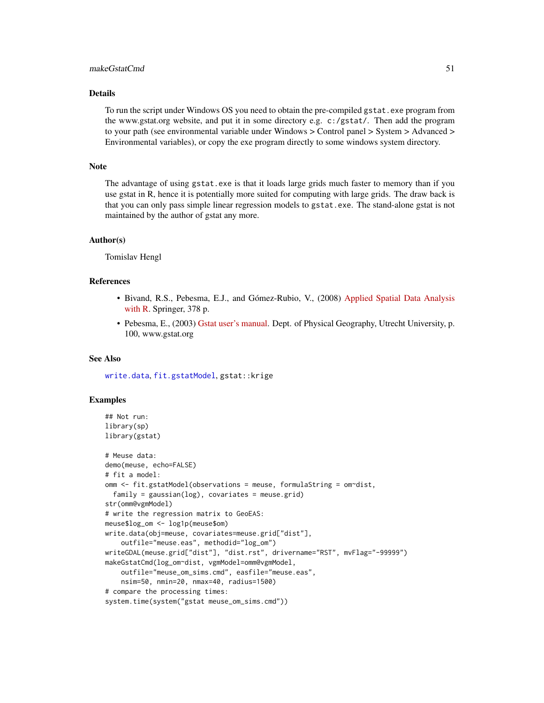## makeGstatCmd 51

# Details

To run the script under Windows OS you need to obtain the pre-compiled gstat.exe program from the www.gstat.org website, and put it in some directory e.g. c:/gstat/. Then add the program to your path (see environmental variable under Windows > Control panel > System > Advanced > Environmental variables), or copy the exe program directly to some windows system directory.

# Note

The advantage of using gstat.exe is that it loads large grids much faster to memory than if you use gstat in R, hence it is potentially more suited for computing with large grids. The draw back is that you can only pass simple linear regression models to gstat.exe. The stand-alone gstat is not maintained by the author of gstat any more.

## Author(s)

Tomislav Hengl

## References

- Bivand, R.S., Pebesma, E.J., and Gómez-Rubio, V., (2008) [Applied Spatial Data Analysis](http://www.asdar-book.org/) [with R.](http://www.asdar-book.org/) Springer, 378 p.
- Pebesma, E., (2003) [Gstat user's manual.](http://www.gstat.org/gstat.pdf) Dept. of Physical Geography, Utrecht University, p. 100, www.gstat.org

#### See Also

[write.data](#page-34-1), [fit.gstatModel](#page-23-0), gstat::krige

## Examples

```
## Not run:
library(sp)
library(gstat)
# Meuse data:
demo(meuse, echo=FALSE)
# fit a model:
omm <- fit.gstatModel(observations = meuse, formulaString = om~dist,
  family = gaussian(log), covariates = meuse.grid)
str(omm@vgmModel)
# write the regression matrix to GeoEAS:
meuse$log_om <- log1p(meuse$om)
write.data(obj=meuse, covariates=meuse.grid["dist"],
    outfile="meuse.eas", methodid="log_om")
writeGDAL(meuse.grid["dist"], "dist.rst", drivername="RST", mvFlag="-99999")
makeGstatCmd(log_om~dist, vgmModel=omm@vgmModel,
    outfile="meuse_om_sims.cmd", easfile="meuse.eas",
    nsim=50, nmin=20, nmax=40, radius=1500)
# compare the processing times:
system.time(system("gstat meuse_om_sims.cmd"))
```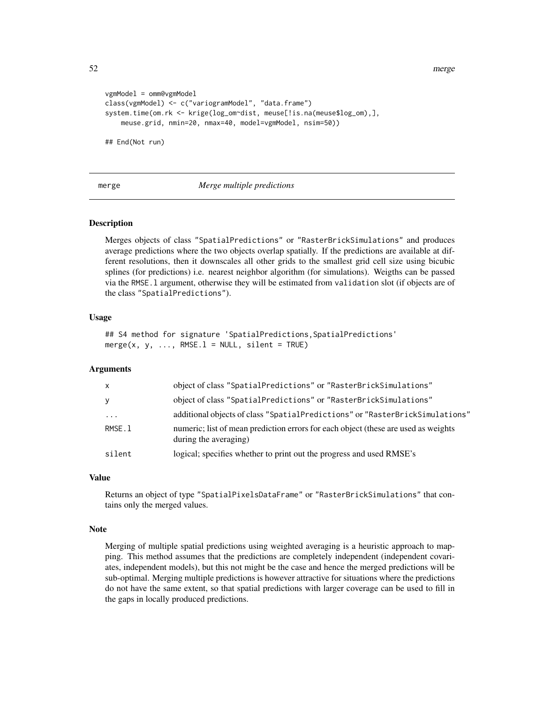52 merge

```
vgmModel = omm@vgmModel
class(vgmModel) <- c("variogramModel", "data.frame")
system.time(om.rk <- krige(log_om~dist, meuse[!is.na(meuse$log_om),],
   meuse.grid, nmin=20, nmax=40, model=vgmModel, nsim=50))
## End(Not run)
```
## merge *Merge multiple predictions*

#### Description

Merges objects of class "SpatialPredictions" or "RasterBrickSimulations" and produces average predictions where the two objects overlap spatially. If the predictions are available at different resolutions, then it downscales all other grids to the smallest grid cell size using bicubic splines (for predictions) i.e. nearest neighbor algorithm (for simulations). Weigths can be passed via the RMSE.l argument, otherwise they will be estimated from validation slot (if objects are of the class "SpatialPredictions").

## Usage

## S4 method for signature 'SpatialPredictions, SpatialPredictions' merge(x, y,  $\ldots$ , RMSE.1 = NULL, silent = TRUE)

## Arguments

| $\mathsf{x}$ | object of class "SpatialPredictions" or "RasterBrickSimulations"                                            |
|--------------|-------------------------------------------------------------------------------------------------------------|
| y            | object of class "SpatialPredictions" or "RasterBrickSimulations"                                            |
| $\cdots$     | additional objects of class "SpatialPredictions" or "RasterBrickSimulations"                                |
| RMSE.l       | numeric; list of mean prediction errors for each object (these are used as weights<br>during the averaging) |
| silent       | logical; specifies whether to print out the progress and used RMSE's                                        |

#### Value

Returns an object of type "SpatialPixelsDataFrame" or "RasterBrickSimulations" that contains only the merged values.

#### Note

Merging of multiple spatial predictions using weighted averaging is a heuristic approach to mapping. This method assumes that the predictions are completely independent (independent covariates, independent models), but this not might be the case and hence the merged predictions will be sub-optimal. Merging multiple predictions is however attractive for situations where the predictions do not have the same extent, so that spatial predictions with larger coverage can be used to fill in the gaps in locally produced predictions.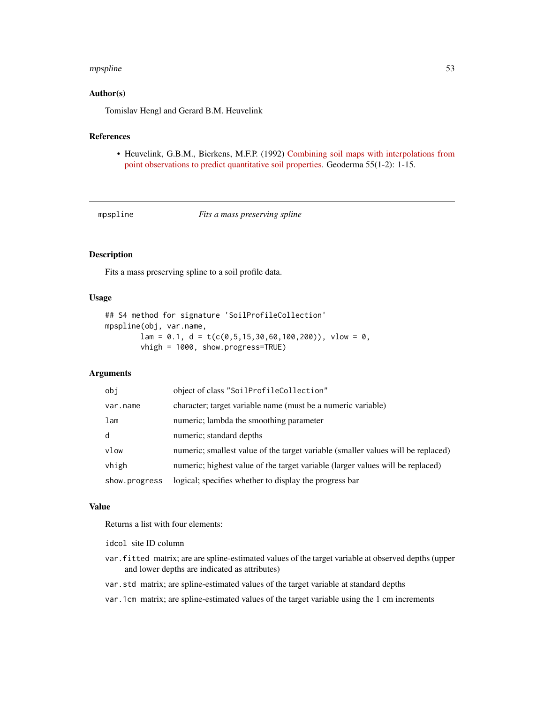#### mpspline 53

## Author(s)

Tomislav Hengl and Gerard B.M. Heuvelink

# References

• Heuvelink, G.B.M., Bierkens, M.F.P. (1992) [Combining soil maps with interpolations from](http://dx.doi.org/10.1016/0016-7061(92)90002-O) [point observations to predict quantitative soil properties.](http://dx.doi.org/10.1016/0016-7061(92)90002-O) Geoderma 55(1-2): 1-15.

<span id="page-52-0"></span>mpspline *Fits a mass preserving spline*

# Description

Fits a mass preserving spline to a soil profile data.

# Usage

```
## S4 method for signature 'SoilProfileCollection'
mpspline(obj, var.name,
        lam = 0.1, d = t(c(0, 5, 15, 30, 60, 100, 200)), vlow = 0,
        vhigh = 1000, show.progress=TRUE)
```
## Arguments

| obj           | object of class "SoilProfileCollection"                                          |
|---------------|----------------------------------------------------------------------------------|
| var.name      | character; target variable name (must be a numeric variable)                     |
| lam           | numeric; lambda the smoothing parameter                                          |
| d             | numeric; standard depths                                                         |
| vlow          | numeric; smallest value of the target variable (smaller values will be replaced) |
| vhigh         | numeric; highest value of the target variable (larger values will be replaced)   |
| show.progress | logical; specifies whether to display the progress bar                           |

#### Value

Returns a list with four elements:

idcol site ID column

- var.fitted matrix; are are spline-estimated values of the target variable at observed depths (upper and lower depths are indicated as attributes)
- var.std matrix; are spline-estimated values of the target variable at standard depths

var.1cm matrix; are spline-estimated values of the target variable using the 1 cm increments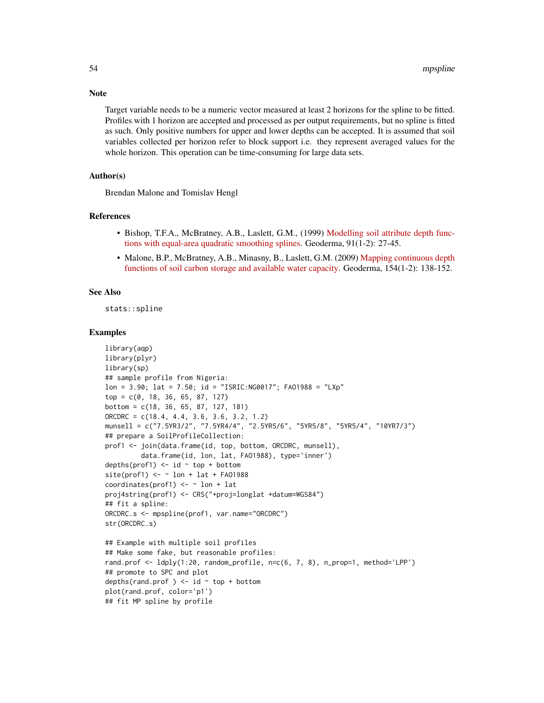Target variable needs to be a numeric vector measured at least 2 horizons for the spline to be fitted. Profiles with 1 horizon are accepted and processed as per output requirements, but no spline is fitted as such. Only positive numbers for upper and lower depths can be accepted. It is assumed that soil variables collected per horizon refer to block support i.e. they represent averaged values for the whole horizon. This operation can be time-consuming for large data sets.

# Author(s)

Brendan Malone and Tomislav Hengl

## References

- Bishop, T.F.A., McBratney, A.B., Laslett, G.M., (1999) [Modelling soil attribute depth func](http://dx.doi.org/10.1016/S0016-7061(99)00003-8)[tions with equal-area quadratic smoothing splines.](http://dx.doi.org/10.1016/S0016-7061(99)00003-8) Geoderma, 91(1-2): 27-45.
- Malone, B.P., McBratney, A.B., Minasny, B., Laslett, G.M. (2009) [Mapping continuous depth](http://dx.doi.org/10.1016/j.geoderma.2009.10.007) [functions of soil carbon storage and available water capacity.](http://dx.doi.org/10.1016/j.geoderma.2009.10.007) Geoderma, 154(1-2): 138-152.

## See Also

stats::spline

#### Examples

```
library(aqp)
library(plyr)
library(sp)
## sample profile from Nigeria:
lon = 3.90; lat = 7.50; id = "ISRIC:NG0017"; FAO1988 = "LXp"
top = c(0, 18, 36, 65, 87, 127)
bottom = c(18, 36, 65, 87, 127, 181)
ORCDRC = c(18.4, 4.4, 3.6, 3.6, 3.2, 1.2)munsell = c("7.5YR3/2", "7.5YR4/4", "2.5YR5/6", "5YR5/8", "5YR5/4", "10YR7/3")
## prepare a SoilProfileCollection:
prof1 <- join(data.frame(id, top, bottom, ORCDRC, munsell),
         data.frame(id, lon, lat, FAO1988), type='inner')
depths(prof1) \le id \sim top + bottom
site(prof1) \leq - \sim lon + lat + FA01988
coordinates(prof1) \leq \sim lon + lat
proj4string(prof1) <- CRS("+proj=longlat +datum=WGS84")
## fit a spline:
ORCDRC.s <- mpspline(prof1, var.name="ORCDRC")
str(ORCDRC.s)
## Example with multiple soil profiles
## Make some fake, but reasonable profiles:
rand.prof <- ldply(1:20, random_profile, n=c(6, 7, 8), n_prop=1, method='LPP')
## promote to SPC and plot
depths(rand.prof) \leq id \sim top + bottom
plot(rand.prof, color='p1')
## fit MP spline by profile
```
# **Note**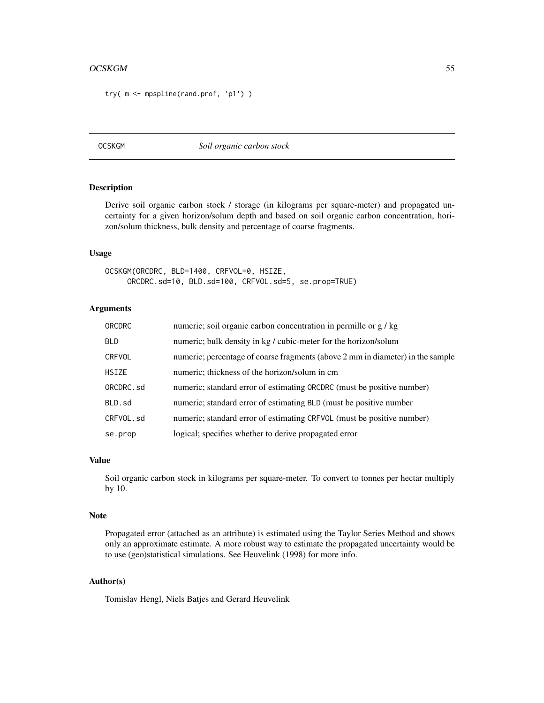#### OCSKGM 55

```
try( m <- mpspline(rand.prof, 'p1') )
```
# OCSKGM *Soil organic carbon stock*

#### Description

Derive soil organic carbon stock / storage (in kilograms per square-meter) and propagated uncertainty for a given horizon/solum depth and based on soil organic carbon concentration, horizon/solum thickness, bulk density and percentage of coarse fragments.

# Usage

OCSKGM(ORCDRC, BLD=1400, CRFVOL=0, HSIZE, ORCDRC.sd=10, BLD.sd=100, CRFVOL.sd=5, se.prop=TRUE)

## Arguments

| ORCDRC       | numeric; soil organic carbon concentration in permille or g / kg               |
|--------------|--------------------------------------------------------------------------------|
| BLD.         | numeric; bulk density in kg / cubic-meter for the horizon/solum                |
| CRFVOL       | numeric; percentage of coarse fragments (above 2 mm in diameter) in the sample |
| <b>HSIZE</b> | numeric; thickness of the horizon/solum in cm                                  |
| ORCDRC.sd    | numeric; standard error of estimating ORCDRC (must be positive number)         |
| BLD.sd       | numeric; standard error of estimating BLD (must be positive number             |
| CRFVOL.sd    | numeric; standard error of estimating CRFVOL (must be positive number)         |
| se.prop      | logical; specifies whether to derive propagated error                          |

## Value

Soil organic carbon stock in kilograms per square-meter. To convert to tonnes per hectar multiply by 10.

#### Note

Propagated error (attached as an attribute) is estimated using the Taylor Series Method and shows only an approximate estimate. A more robust way to estimate the propagated uncertainty would be to use (geo)statistical simulations. See Heuvelink (1998) for more info.

# Author(s)

Tomislav Hengl, Niels Batjes and Gerard Heuvelink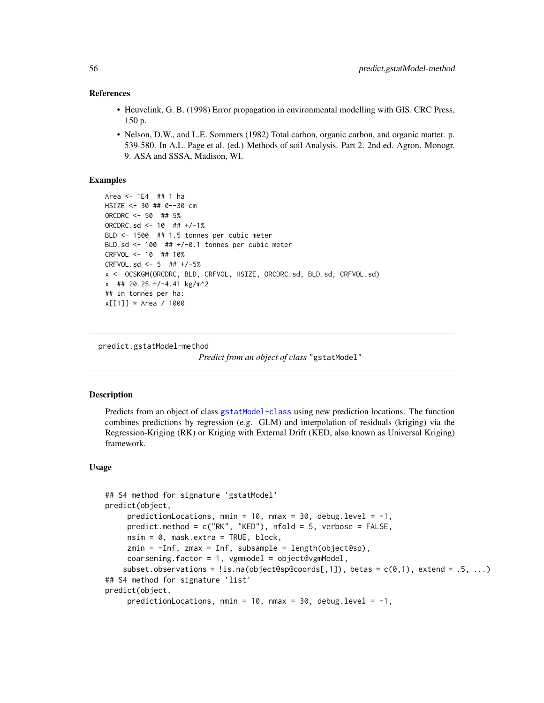## References

- Heuvelink, G. B. (1998) Error propagation in environmental modelling with GIS. CRC Press, 150 p.
- Nelson, D.W., and L.E. Sommers (1982) Total carbon, organic carbon, and organic matter. p. 539-580. In A.L. Page et al. (ed.) Methods of soil Analysis. Part 2. 2nd ed. Agron. Monogr. 9. ASA and SSSA, Madison, WI.

## Examples

```
Area <- 1E4 ## 1 ha
HSIZE <- 30 ## 0--30 cm
ORCDRC <- 50 ## 5%
ORCDRC.sd <- 10 ## +/-1%
BLD <- 1500 ## 1.5 tonnes per cubic meter
BLD.sd <- 100 ## +/-0.1 tonnes per cubic meter
CRFVOL <- 10 ## 10%
CRFVOL.sd <- 5 ## +/-5%
x <- OCSKGM(ORCDRC, BLD, CRFVOL, HSIZE, ORCDRC.sd, BLD.sd, CRFVOL.sd)
x ## 20.25 +/-4.41 kg/m^2
## in tonnes per ha:
x[[1]] * Area / 1000
```
predict.gstatModel-method

```
Predict from an object of class "gstatModel"
```
## <span id="page-55-0"></span>Description

Predicts from an object of class [gstatModel-class](#page-39-0) using new prediction locations. The function combines predictions by regression (e.g. GLM) and interpolation of residuals (kriging) via the Regression-Kriging (RK) or Kriging with External Drift (KED, also known as Universal Kriging) framework.

## Usage

```
## S4 method for signature 'gstatModel'
predict(object,
     predictionLocations, nmin = 10, nmax = 30, debug.level = -1,
     predict.method = c("RK", "KED"), nfold = 5, verbose = FALSE,
     nsim = 0, mask.extra = TRUE, block,
     zmin = -Inf, zmax = Inf, subsample = length(object@sp),
     coarsening.factor = 1, vgmmodel = object@vgmModel,
    subset.observations = \{ \text{is} \text{.na}(\text{object@sp@coordinates}[,1]) \}, betas = c(0,1), extend = .5, ...)
## S4 method for signature 'list'
predict(object,
     predictionLocations, nmin = 10, nmax = 30, debug.level = -1,
```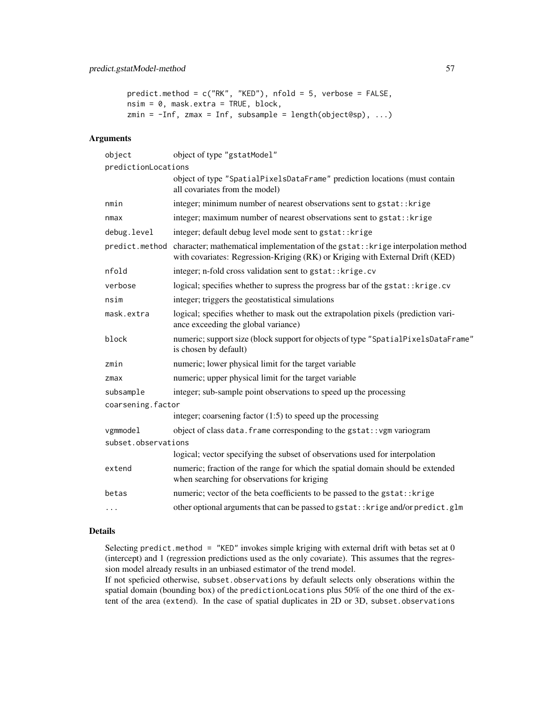```
predict.method = c("RK", "KED"), nfold = 5, verbose = FALSE,
nsim = 0, mask.extra = TRUE, block,
zmin = -Inf, zmax = Inf, subsample = length(object@sp), ...)
```
# Arguments

| object              | object of type "gstatModel"                                                                                                                                       |  |
|---------------------|-------------------------------------------------------------------------------------------------------------------------------------------------------------------|--|
| predictionLocations |                                                                                                                                                                   |  |
|                     | object of type "SpatialPixelsDataFrame" prediction locations (must contain<br>all covariates from the model)                                                      |  |
| nmin                | integer; minimum number of nearest observations sent to gstat:: krige                                                                                             |  |
| nmax                | integer; maximum number of nearest observations sent to gstat:: krige                                                                                             |  |
| debug.level         | integer; default debug level mode sent to gstat:: krige                                                                                                           |  |
| predict.method      | character; mathematical implementation of the gstat:: krige interpolation method<br>with covariates: Regression-Kriging (RK) or Kriging with External Drift (KED) |  |
| nfold               | integer; n-fold cross validation sent to gstat:: krige.cv                                                                                                         |  |
| verbose             | logical; specifies whether to supress the progress bar of the gstat:: krige.cv                                                                                    |  |
| nsim                | integer; triggers the geostatistical simulations                                                                                                                  |  |
| mask.extra          | logical; specifies whether to mask out the extrapolation pixels (prediction vari-<br>ance exceeding the global variance)                                          |  |
| block               | numeric; support size (block support for objects of type "SpatialPixelsDataFrame"<br>is chosen by default)                                                        |  |
| zmin                | numeric; lower physical limit for the target variable                                                                                                             |  |
| zmax                | numeric; upper physical limit for the target variable                                                                                                             |  |
| subsample           | integer; sub-sample point observations to speed up the processing                                                                                                 |  |
| coarsening.factor   |                                                                                                                                                                   |  |
|                     | integer; coarsening factor $(1:5)$ to speed up the processing                                                                                                     |  |
| vgmmodel            | object of class data. frame corresponding to the gstat:: vgm variogram                                                                                            |  |
| subset.observations |                                                                                                                                                                   |  |
|                     | logical; vector specifying the subset of observations used for interpolation                                                                                      |  |
| extend              | numeric; fraction of the range for which the spatial domain should be extended<br>when searching for observations for kriging                                     |  |
| betas               | numeric; vector of the beta coefficients to be passed to the gstat:: krige                                                                                        |  |
| $\cdots$            | other optional arguments that can be passed to gstat:: krige and/or predict.glm                                                                                   |  |
|                     |                                                                                                                                                                   |  |

# Details

Selecting predict.method =  $"$ KED" invokes simple kriging with external drift with betas set at 0 (intercept) and 1 (regression predictions used as the only covariate). This assumes that the regression model already results in an unbiased estimator of the trend model.

If not speficied otherwise, subset.observations by default selects only obserations within the spatial domain (bounding box) of the predictionLocations plus 50% of the one third of the extent of the area (extend). In the case of spatial duplicates in 2D or 3D, subset.observations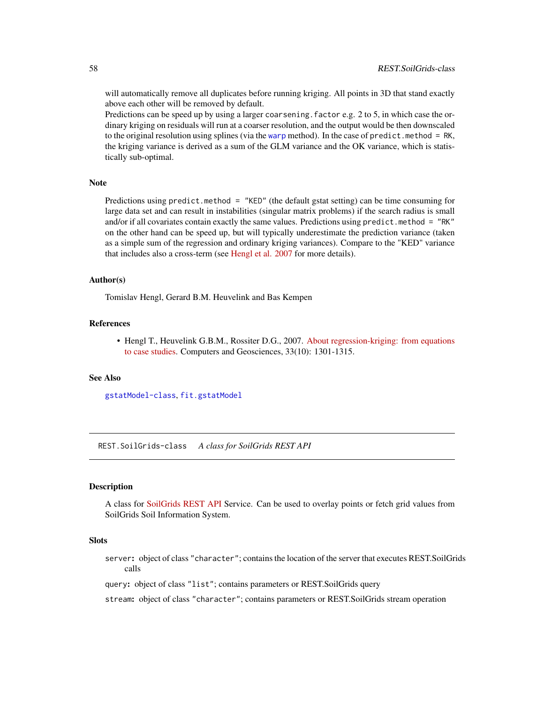will automatically remove all duplicates before running kriging. All points in 3D that stand exactly above each other will be removed by default.

Predictions can be speed up by using a larger coarsening.factor e.g. 2 to 5, in which case the ordinary kriging on residuals will run at a coarser resolution, and the output would be then downscaled to the original resolution using splines (via the [warp](#page-84-0) method). In the case of predict.method = RK, the kriging variance is derived as a sum of the GLM variance and the OK variance, which is statistically sub-optimal.

## **Note**

Predictions using predict.method = "KED" (the default gstat setting) can be time consuming for large data set and can result in instabilities (singular matrix problems) if the search radius is small and/or if all covariates contain exactly the same values. Predictions using predict.method =  $"RK"$ on the other hand can be speed up, but will typically underestimate the prediction variance (taken as a simple sum of the regression and ordinary kriging variances). Compare to the "KED" variance that includes also a cross-term (see [Hengl et al. 2007](http://dx.doi.org/10.1016/j.cageo.2007.05.001) for more details).

#### Author(s)

Tomislav Hengl, Gerard B.M. Heuvelink and Bas Kempen

#### References

• Hengl T., Heuvelink G.B.M., Rossiter D.G., 2007. [About regression-kriging: from equations](http://dx.doi.org/10.1016/j.cageo.2007.05.001) [to case studies.](http://dx.doi.org/10.1016/j.cageo.2007.05.001) Computers and Geosciences, 33(10): 1301-1315.

#### See Also

[gstatModel-class](#page-39-0), [fit.gstatModel](#page-23-0)

REST.SoilGrids-class *A class for SoilGrids REST API*

#### Description

A class for [SoilGrids REST API](https://rest.soilgrids.org/) Service. Can be used to overlay points or fetch grid values from SoilGrids Soil Information System.

#### Slots

server: object of class "character"; contains the location of the server that executes REST.SoilGrids calls

query: object of class "list"; contains parameters or REST.SoilGrids query

stream: object of class "character"; contains parameters or REST.SoilGrids stream operation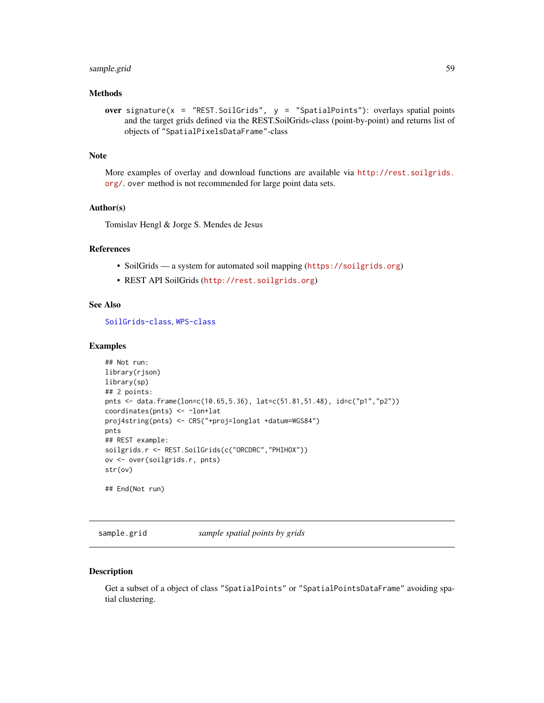# sample.grid 59

# Methods

over signature(x = "REST.SoilGrids", y = "SpatialPoints"): overlays spatial points and the target grids defined via the REST.SoilGrids-class (point-by-point) and returns list of objects of "SpatialPixelsDataFrame"-class

# Note

More examples of overlay and download functions are available via [http://rest.soilgrids.](http://rest.soilgrids.org/) [org/](http://rest.soilgrids.org/). over method is not recommended for large point data sets.

## Author(s)

Tomislav Hengl & Jorge S. Mendes de Jesus

# References

- SoilGrids a system for automated soil mapping (<https://soilgrids.org>)
- REST API SoilGrids (<http://rest.soilgrids.org>)

## See Also

[SoilGrids-class](#page-64-0), [WPS-class](#page-85-0)

## Examples

```
## Not run:
library(rjson)
library(sp)
## 2 points:
pnts <- data.frame(lon=c(10.65,5.36), lat=c(51.81,51.48), id=c("p1","p2"))
coordinates(pnts) <- ~lon+lat
proj4string(pnts) <- CRS("+proj=longlat +datum=WGS84")
pnts
## REST example:
soilgrids.r <- REST.SoilGrids(c("ORCDRC","PHIHOX"))
ov <- over(soilgrids.r, pnts)
str(ov)
## End(Not run)
```
sample.grid *sample spatial points by grids*

## Description

Get a subset of a object of class "SpatialPoints" or "SpatialPointsDataFrame" avoiding spatial clustering.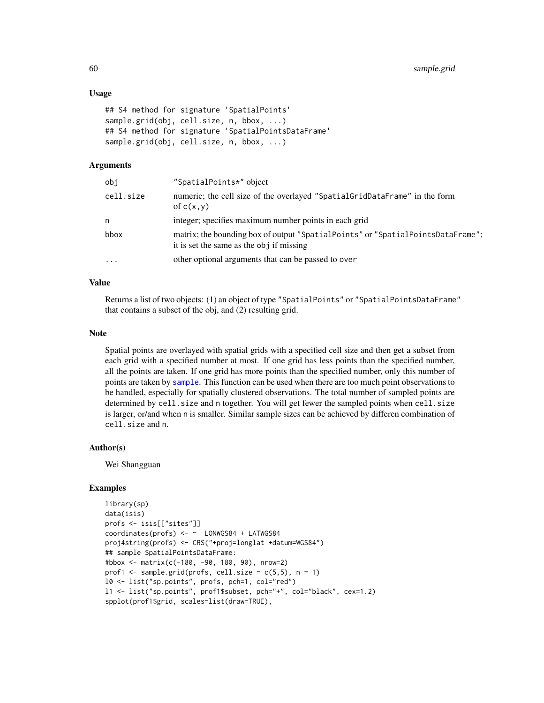## Usage

```
## S4 method for signature 'SpatialPoints'
sample.grid(obj, cell.size, n, bbox, ...)
## S4 method for signature 'SpatialPointsDataFrame'
sample.grid(obj, cell.size, n, bbox, ...)
```
## **Arguments**

| obj       | "SpatialPoints*" object                                                                                                     |
|-----------|-----------------------------------------------------------------------------------------------------------------------------|
| cell.size | numeric; the cell size of the overlayed "Spatial GridDataFrame" in the form<br>of $c(x, y)$                                 |
| n         | integer; specifies maximum number points in each grid                                                                       |
| bbox      | matrix; the bounding box of output "SpatialPoints" or "SpatialPointsDataFrame";<br>it is set the same as the obj if missing |
| .         | other optional arguments that can be passed to over                                                                         |

## Value

Returns a list of two objects: (1) an object of type "SpatialPoints" or "SpatialPointsDataFrame" that contains a subset of the obj, and (2) resulting grid.

#### Note

Spatial points are overlayed with spatial grids with a specified cell size and then get a subset from each grid with a specified number at most. If one grid has less points than the specified number, all the points are taken. If one grid has more points than the specified number, only this number of points are taken by [sample](#page-0-0). This function can be used when there are too much point observations to be handled, especially for spatially clustered observations. The total number of sampled points are determined by cell.size and n together. You will get fewer the sampled points when cell.size is larger, or/and when n is smaller. Similar sample sizes can be achieved by differen combination of cell.size and n.

## Author(s)

Wei Shangguan

## Examples

```
library(sp)
data(isis)
profs <- isis[["sites"]]
coordinates(profs) <- ~ LONWGS84 + LATWGS84
proj4string(profs) <- CRS("+proj=longlat +datum=WGS84")
## sample SpatialPointsDataFrame:
#bbox <- matrix(c(-180, -90, 180, 90), nrow=2)
prof1 \leq sample.grid(profs, cell.size = c(5,5), n = 1)
l0 <- list("sp.points", profs, pch=1, col="red")
l1 <- list("sp.points", prof1$subset, pch="+", col="black", cex=1.2)
spplot(prof1$grid, scales=list(draw=TRUE),
```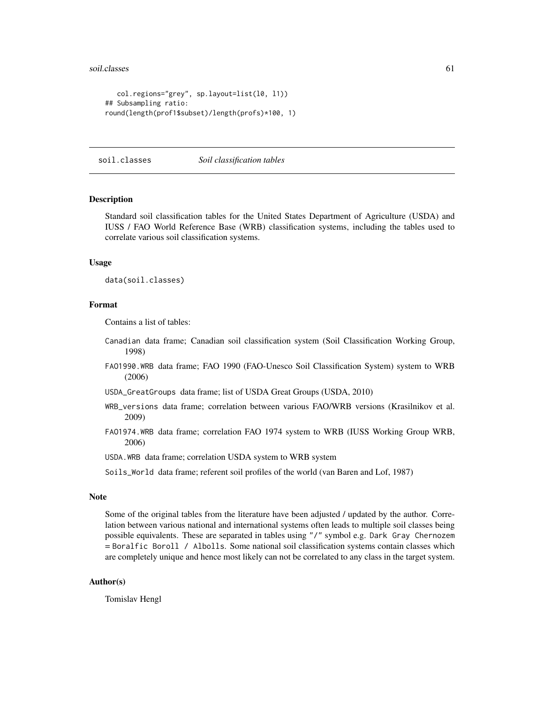#### soil.classes 61

```
col.regions="grey", sp.layout=list(l0, l1))
## Subsampling ratio:
round(length(prof1$subset)/length(profs)*100, 1)
```
soil.classes *Soil classification tables*

# Description

Standard soil classification tables for the United States Department of Agriculture (USDA) and IUSS / FAO World Reference Base (WRB) classification systems, including the tables used to correlate various soil classification systems.

## Usage

data(soil.classes)

#### Format

Contains a list of tables:

- Canadian data frame; Canadian soil classification system (Soil Classification Working Group, 1998)
- FAO1990.WRB data frame; FAO 1990 (FAO-Unesco Soil Classification System) system to WRB (2006)
- USDA\_GreatGroups data frame; list of USDA Great Groups (USDA, 2010)
- WRB\_versions data frame; correlation between various FAO/WRB versions (Krasilnikov et al. 2009)
- FAO1974.WRB data frame; correlation FAO 1974 system to WRB (IUSS Working Group WRB, 2006)
- USDA.WRB data frame; correlation USDA system to WRB system
- Soils\_World data frame; referent soil profiles of the world (van Baren and Lof, 1987)

#### Note

Some of the original tables from the literature have been adjusted / updated by the author. Correlation between various national and international systems often leads to multiple soil classes being possible equivalents. These are separated in tables using "/" symbol e.g. Dark Gray Chernozem = Boralfic Boroll / Albolls. Some national soil classification systems contain classes which are completely unique and hence most likely can not be correlated to any class in the target system.

## Author(s)

Tomislav Hengl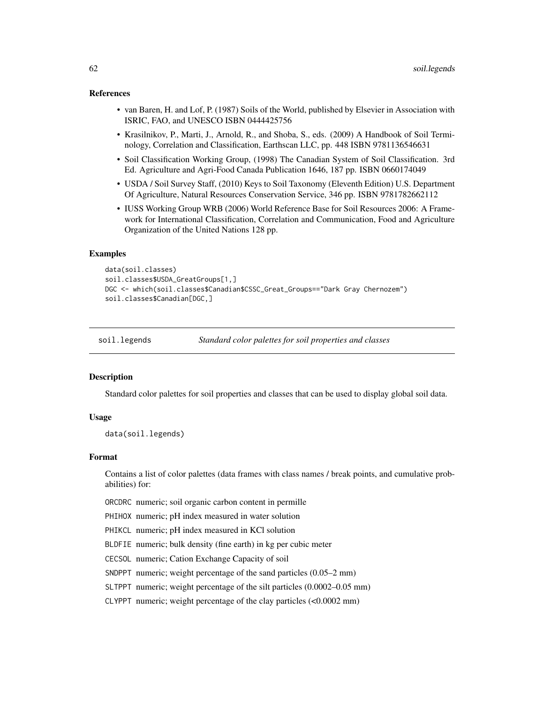#### References

- van Baren, H. and Lof, P. (1987) Soils of the World, published by Elsevier in Association with ISRIC, FAO, and UNESCO ISBN 0444425756
- Krasilnikov, P., Marti, J., Arnold, R., and Shoba, S., eds. (2009) A Handbook of Soil Terminology, Correlation and Classification, Earthscan LLC, pp. 448 ISBN 9781136546631
- Soil Classification Working Group, (1998) The Canadian System of Soil Classification. 3rd Ed. Agriculture and Agri-Food Canada Publication 1646, 187 pp. ISBN 0660174049
- USDA / Soil Survey Staff, (2010) Keys to Soil Taxonomy (Eleventh Edition) U.S. Department Of Agriculture, Natural Resources Conservation Service, 346 pp. ISBN 9781782662112
- IUSS Working Group WRB (2006) World Reference Base for Soil Resources 2006: A Framework for International Classification, Correlation and Communication, Food and Agriculture Organization of the United Nations 128 pp.

# **Examples**

```
data(soil.classes)
soil.classes$USDA_GreatGroups[1,]
DGC <- which(soil.classes$Canadian$CSSC_Great_Groups=="Dark Gray Chernozem")
soil.classes$Canadian[DGC,]
```
soil.legends *Standard color palettes for soil properties and classes*

#### Description

Standard color palettes for soil properties and classes that can be used to display global soil data.

## Usage

data(soil.legends)

## Format

Contains a list of color palettes (data frames with class names / break points, and cumulative probabilities) for:

ORCDRC numeric; soil organic carbon content in permille

PHIHOX numeric; pH index measured in water solution

PHIKCL numeric; pH index measured in KCl solution

BLDFIE numeric; bulk density (fine earth) in kg per cubic meter

CECSOL numeric; Cation Exchange Capacity of soil

SNDPPT numeric; weight percentage of the sand particles (0.05–2 mm)

SLTPPT numeric; weight percentage of the silt particles (0.0002–0.05 mm)

CLYPPT numeric; weight percentage of the clay particles (<0.0002 mm)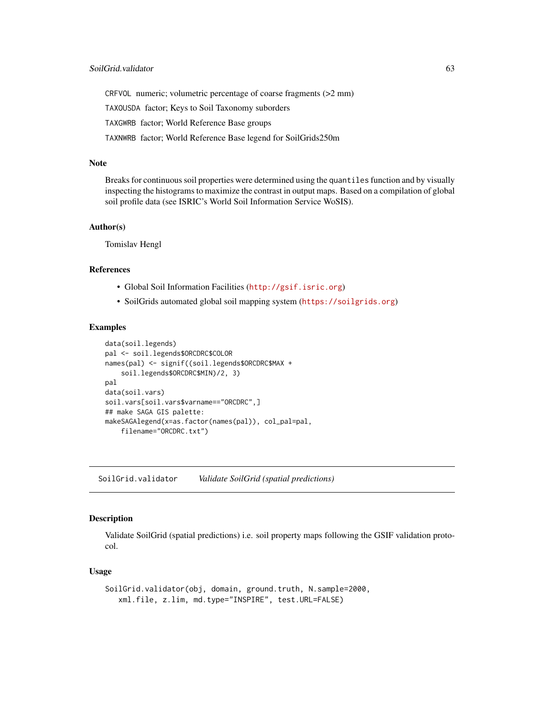CRFVOL numeric; volumetric percentage of coarse fragments (>2 mm)

TAXOUSDA factor; Keys to Soil Taxonomy suborders

TAXGWRB factor; World Reference Base groups

TAXNWRB factor; World Reference Base legend for SoilGrids250m

## **Note**

Breaks for continuous soil properties were determined using the quantiles function and by visually inspecting the histograms to maximize the contrast in output maps. Based on a compilation of global soil profile data (see ISRIC's World Soil Information Service WoSIS).

#### Author(s)

Tomislav Hengl

## References

- Global Soil Information Facilities (<http://gsif.isric.org>)
- SoilGrids automated global soil mapping system (<https://soilgrids.org>)

## Examples

```
data(soil.legends)
pal <- soil.legends$ORCDRC$COLOR
names(pal) <- signif((soil.legends$ORCDRC$MAX +
    soil.legends$ORCDRC$MIN)/2, 3)
pal
data(soil.vars)
soil.vars[soil.vars$varname=="ORCDRC",]
## make SAGA GIS palette:
makeSAGAlegend(x=as.factor(names(pal)), col_pal=pal,
    filename="ORCDRC.txt")
```
SoilGrid.validator *Validate SoilGrid (spatial predictions)*

## Description

Validate SoilGrid (spatial predictions) i.e. soil property maps following the GSIF validation protocol.

## Usage

```
SoilGrid.validator(obj, domain, ground.truth, N.sample=2000,
   xml.file, z.lim, md.type="INSPIRE", test.URL=FALSE)
```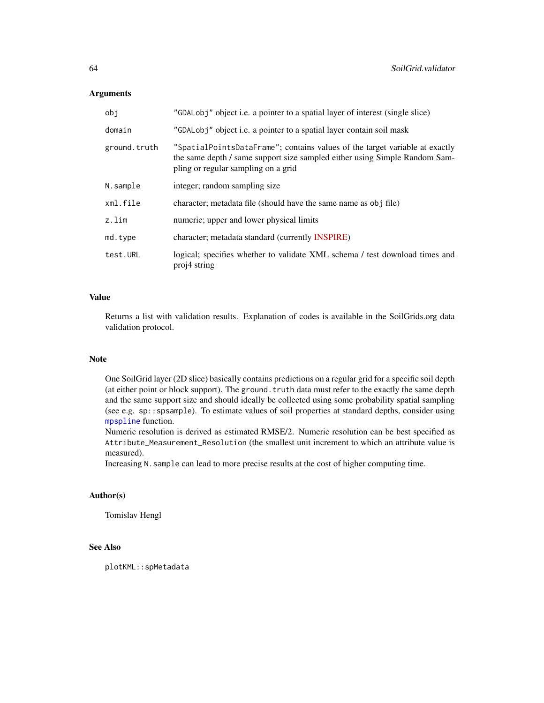## **Arguments**

| obj          | "GDALobj" object i.e. a pointer to a spatial layer of interest (single slice)                                                                                                                    |
|--------------|--------------------------------------------------------------------------------------------------------------------------------------------------------------------------------------------------|
| domain       | "GDALobj" object i.e. a pointer to a spatial layer contain soil mask                                                                                                                             |
| ground.truth | "SpatialPointsDataFrame"; contains values of the target variable at exactly<br>the same depth / same support size sampled either using Simple Random Sam-<br>pling or regular sampling on a grid |
| N.sample     | integer; random sampling size                                                                                                                                                                    |
| xml.file     | character; metadata file (should have the same name as obj file)                                                                                                                                 |
| z.lim        | numeric; upper and lower physical limits                                                                                                                                                         |
| md.type      | character; metadata standard (currently INSPIRE)                                                                                                                                                 |
| test.URL     | logical; specifies whether to validate XML schema / test download times and<br>proj4 string                                                                                                      |

# Value

Returns a list with validation results. Explanation of codes is available in the SoilGrids.org data validation protocol.

# Note

One SoilGrid layer (2D slice) basically contains predictions on a regular grid for a specific soil depth (at either point or block support). The ground. truth data must refer to the exactly the same depth and the same support size and should ideally be collected using some probability spatial sampling (see e.g. sp::spsample). To estimate values of soil properties at standard depths, consider using [mpspline](#page-52-0) function.

Numeric resolution is derived as estimated RMSE/2. Numeric resolution can be best specified as Attribute\_Measurement\_Resolution (the smallest unit increment to which an attribute value is measured).

Increasing N.sample can lead to more precise results at the cost of higher computing time.

## Author(s)

Tomislav Hengl

# See Also

plotKML::spMetadata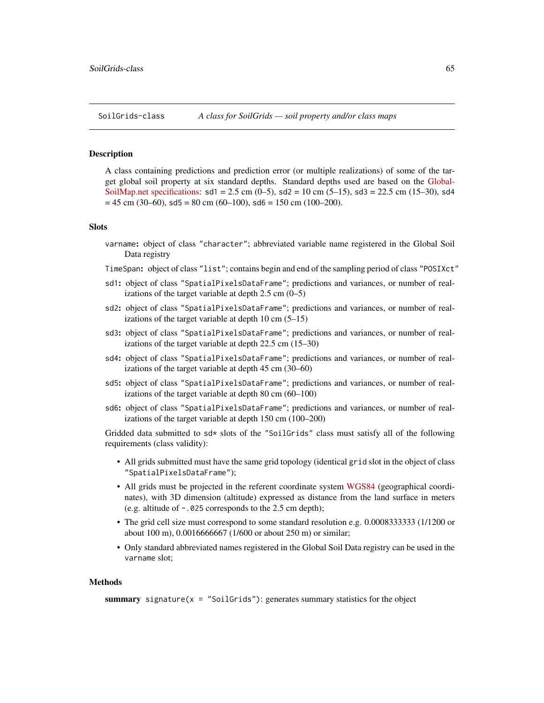<span id="page-64-0"></span>

#### **Description**

A class containing predictions and prediction error (or multiple realizations) of some of the target global soil property at six standard depths. Standard depths used are based on the [Global-](http://globalsoilmap.net)[SoilMap.net specifications:](http://globalsoilmap.net)  $sd1 = 2.5$  cm  $(0-5)$ ,  $sd2 = 10$  cm  $(5-15)$ ,  $sd3 = 22.5$  cm  $(15-30)$ ,  $sd4$  $= 45$  cm (30–60), sd5 = 80 cm (60–100), sd6 = 150 cm (100–200).

#### Slots

- varname: object of class "character"; abbreviated variable name registered in the Global Soil Data registry
- TimeSpan: object of class "list"; contains begin and end of the sampling period of class "POSIXct"
- sd1: object of class "SpatialPixelsDataFrame"; predictions and variances, or number of realizations of the target variable at depth  $2.5 \text{ cm } (0-5)$
- sd2: object of class "SpatialPixelsDataFrame"; predictions and variances, or number of realizations of the target variable at depth 10 cm (5–15)
- sd3: object of class "SpatialPixelsDataFrame"; predictions and variances, or number of realizations of the target variable at depth 22.5 cm (15–30)
- sd4: object of class "SpatialPixelsDataFrame"; predictions and variances, or number of realizations of the target variable at depth 45 cm (30–60)
- sd5: object of class "SpatialPixelsDataFrame"; predictions and variances, or number of realizations of the target variable at depth 80 cm (60–100)
- sd6: object of class "SpatialPixelsDataFrame"; predictions and variances, or number of realizations of the target variable at depth 150 cm (100–200)

Gridded data submitted to  $s$ d $\star$  slots of the "SoilGrids" class must satisfy all of the following requirements (class validity):

- All grids submitted must have the same grid topology (identical grid slot in the object of class "SpatialPixelsDataFrame");
- All grids must be projected in the referent coordinate system [WGS84](http://spatialreference.org/ref/epsg/4326/) (geographical coordinates), with 3D dimension (altitude) expressed as distance from the land surface in meters (e.g. altitude of -.025 corresponds to the 2.5 cm depth);
- The grid cell size must correspond to some standard resolution e.g. 0.0008333333 (1/1200 or about 100 m), 0.0016666667 (1/600 or about 250 m) or similar;
- Only standard abbreviated names registered in the Global Soil Data registry can be used in the varname slot;

#### Methods

```
summary signature(x = "SoilGrids"): generates summary statistics for the object
```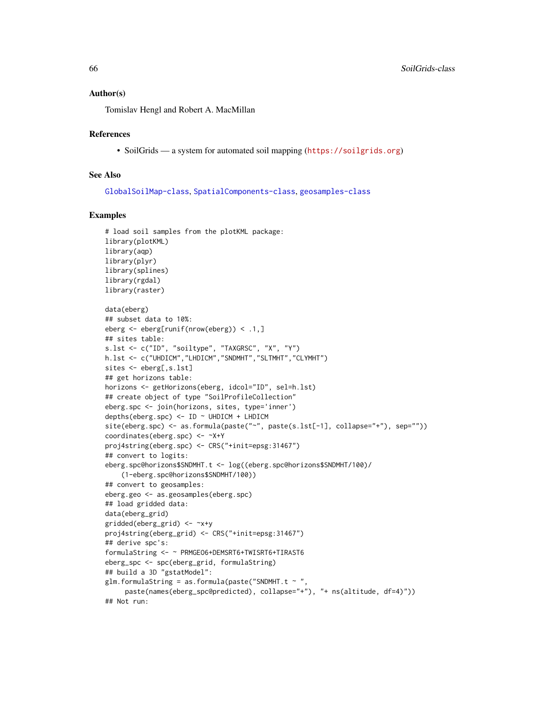## Author(s)

Tomislav Hengl and Robert A. MacMillan

## References

• SoilGrids — a system for automated soil mapping (<https://soilgrids.org>)

## See Also

[GlobalSoilMap-class](#page-37-0), [SpatialComponents-class](#page-66-0), [geosamples-class](#page-34-0)

## Examples

```
# load soil samples from the plotKML package:
library(plotKML)
library(aqp)
library(plyr)
library(splines)
library(rgdal)
library(raster)
data(eberg)
## subset data to 10%:
eberg <- eberg[runif(nrow(eberg)) < .1,]
## sites table:
s.lst <- c("ID", "soiltype", "TAXGRSC", "X", "Y")
h.lst <- c("UHDICM","LHDICM","SNDMHT","SLTMHT","CLYMHT")
sites <- eberg[,s.lst]
## get horizons table:
horizons <- getHorizons(eberg, idcol="ID", sel=h.lst)
## create object of type "SoilProfileCollection"
eberg.spc <- join(horizons, sites, type='inner')
depths(eberg.spc) <- ID ~ UHDICM + LHDICM
site(eberg.spc) <- as.formula(paste("~", paste(s.lst[-1], collapse="+"), sep=""))
coordinates(eberg.spc) <- ~X+Y
proj4string(eberg.spc) <- CRS("+init=epsg:31467")
## convert to logits:
eberg.spc@horizons$SNDMHT.t <- log((eberg.spc@horizons$SNDMHT/100)/
    (1-eberg.spc@horizons$SNDMHT/100))
## convert to geosamples:
eberg.geo <- as.geosamples(eberg.spc)
## load gridded data:
data(eberg_grid)
gridded(eberg_grid) <- ~x+y
proj4string(eberg_grid) <- CRS("+init=epsg:31467")
## derive spc's:
formulaString <- ~ PRMGEO6+DEMSRT6+TWISRT6+TIRAST6
eberg_spc <- spc(eberg_grid, formulaString)
## build a 3D "gstatModel":
glm.formulaString = as.formula(paste("SNDMHT.t \sim ",
     paste(names(eberg_spc@predicted), collapse="+"), "+ ns(altitude, df=4)"))
## Not run:
```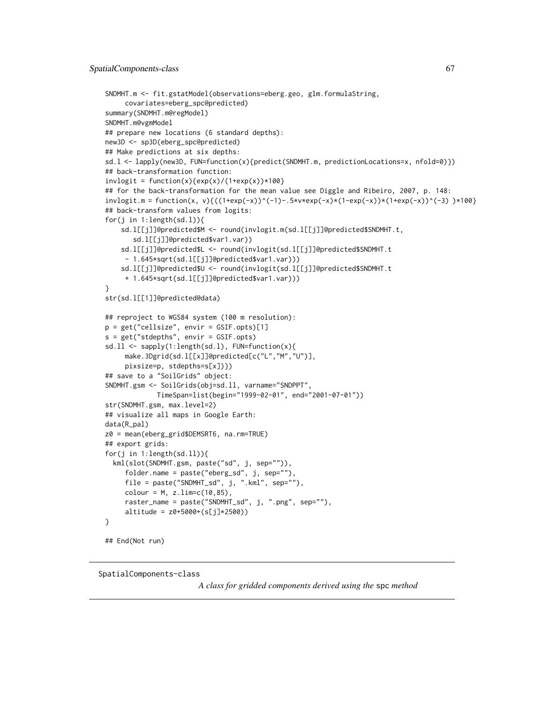```
SNDMHT.m <- fit.gstatModel(observations=eberg.geo, glm.formulaString,
     covariates=eberg_spc@predicted)
summary(SNDMHT.m@regModel)
SNDMHT.m@vgmModel
## prepare new locations (6 standard depths):
new3D <- sp3D(eberg_spc@predicted)
## Make predictions at six depths:
sd.l <- lapply(new3D, FUN=function(x){predict(SNDMHT.m, predictionLocations=x, nfold=0)})
## back-transformation function:
invlogit = function(x){exp(x)/(1+exp(x))*100}## for the back-transformation for the mean value see Diggle and Ribeiro, 2007, p. 148:
invlogit.m = function(x, v){((1+exp(-x))^(1)-.5*v*exp(-x)*(1-exp(-x))*(1+exp(-x))^(-3)) *100}## back-transform values from logits:
for(j in 1:length(sd.l)){
    sd.l[[j]]@predicted$M <- round(invlogit.m(sd.l[[j]]@predicted$SNDMHT.t,
      sd.l[[j]]@predicted$var1.var))
   sd.l[[j]]@predicted$L <- round(invlogit(sd.l[[j]]@predicted$SNDMHT.t
     - 1.645*sqrt(sd.l[[j]]@predicted$var1.var)))
    sd.l[[j]]@predicted$U <- round(invlogit(sd.l[[j]]@predicted$SNDMHT.t
     + 1.645*sqrt(sd.l[[j]]@predicted$var1.var)))
}
str(sd.l[[1]]@predicted@data)
## reproject to WGS84 system (100 m resolution):
p = get("cellsize", envir = GSIF.opts)[1]
s = get("stdepths", envir = GSIF.opts)
sd.ll <- sapply(1:length(sd.l), FUN=function(x){
     make.3Dgrid(sd.l[[x]]@predicted[c("L","M","U")],
     pixsize=p, stdepths=s[x])})
## save to a "SoilGrids" object:
SNDMHT.gsm <- SoilGrids(obj=sd.ll, varname="SNDPPT",
            TimeSpan=list(begin="1999-02-01", end="2001-07-01"))
str(SNDMHT.gsm, max.level=2)
## visualize all maps in Google Earth:
data(R_pal)
z0 = mean(eberg_grid$DEMSRT6, na.rm=TRUE)
## export grids:
for(j in 1:length(sd.ll)){
 kml(slot(SNDMHT.gsm, paste("sd", j, sep="")),
     folder.name = paste("eberg_sd", j, sep=""),
     file = paste("SNDMHT_sd", j, ".kml", sep=""),
     color = M, z.lim=c(10, 85),
     raster_name = paste("SNDMHT_sd", j, ".png", sep=""),
     altitude = z0+5000+(s[j]*2500))
}
## End(Not run)
```
<span id="page-66-0"></span>SpatialComponents-class

*A class for gridded components derived using the* spc *method*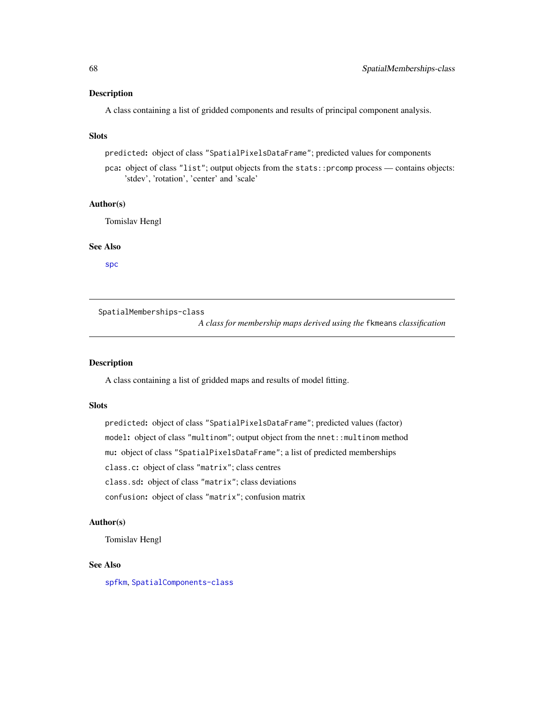## Description

A class containing a list of gridded components and results of principal component analysis.

## Slots

predicted: object of class "SpatialPixelsDataFrame"; predicted values for components

pca: object of class "list"; output objects from the stats::prcomp process — contains objects: 'stdev', 'rotation', 'center' and 'scale'

# Author(s)

Tomislav Hengl

## See Also

[spc](#page-68-0)

<span id="page-67-0"></span>SpatialMemberships-class

*A class for membership maps derived using the* fkmeans *classification*

## Description

A class containing a list of gridded maps and results of model fitting.

#### Slots

predicted: object of class "SpatialPixelsDataFrame"; predicted values (factor) model: object of class "multinom"; output object from the nnet:: multinom method mu: object of class "SpatialPixelsDataFrame"; a list of predicted memberships class.c: object of class "matrix"; class centres class.sd: object of class "matrix"; class deviations confusion: object of class "matrix"; confusion matrix

## Author(s)

Tomislav Hengl

#### See Also

[spfkm](#page-69-0), [SpatialComponents-class](#page-66-0)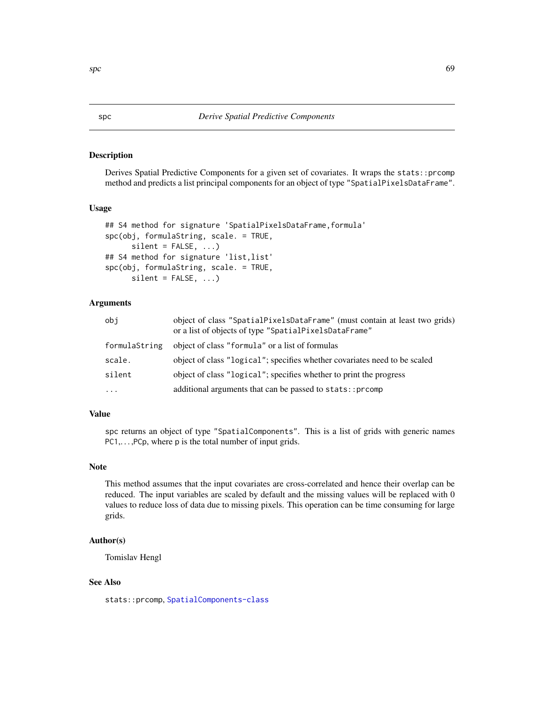# Description

Derives Spatial Predictive Components for a given set of covariates. It wraps the stats::prcomp method and predicts a list principal components for an object of type "SpatialPixelsDataFrame".

#### Usage

```
## S4 method for signature 'SpatialPixelsDataFrame, formula'
spc(obj, formulaString, scale. = TRUE,
     silent = FALSE, ...)## S4 method for signature 'list,list'
spc(obj, formulaString, scale. = TRUE,
     silent = FALSE, ...)
```
## Arguments

| obi           | object of class "SpatialPixelsDataFrame" (must contain at least two grids)<br>or a list of objects of type "SpatialPixelsDataFrame" |
|---------------|-------------------------------------------------------------------------------------------------------------------------------------|
| formulaString | object of class "formula" or a list of formulas                                                                                     |
| scale.        | object of class "logical"; specifies whether covariates need to be scaled                                                           |
| silent        | object of class "logical"; specifies whether to print the progress                                                                  |
| $\ddots$      | additional arguments that can be passed to stats::prcomp                                                                            |

## Value

spc returns an object of type "SpatialComponents". This is a list of grids with generic names PC1,. . . ,PCp, where p is the total number of input grids.

#### Note

This method assumes that the input covariates are cross-correlated and hence their overlap can be reduced. The input variables are scaled by default and the missing values will be replaced with 0 values to reduce loss of data due to missing pixels. This operation can be time consuming for large grids.

## Author(s)

Tomislav Hengl

# See Also

stats::prcomp, [SpatialComponents-class](#page-66-0)

<span id="page-68-0"></span> $\mathsf{spc}$  69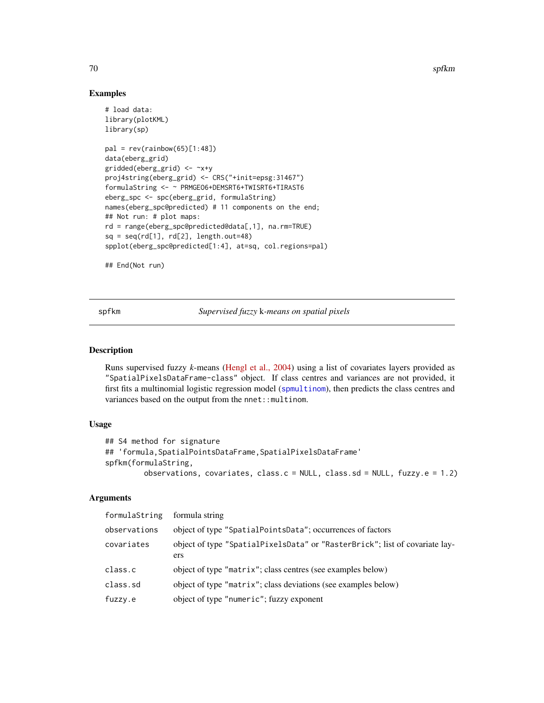70 spfkm

## Examples

```
# load data:
library(plotKML)
library(sp)
pal = rev(rainbow(65)[1:48])data(eberg_grid)
gridded(eberg_grid) <- ~x+y
proj4string(eberg_grid) <- CRS("+init=epsg:31467")
formulaString <- ~ PRMGEO6+DEMSRT6+TWISRT6+TIRAST6
eberg_spc <- spc(eberg_grid, formulaString)
names(eberg_spc@predicted) # 11 components on the end;
## Not run: # plot maps:
rd = range(eberg_spc@predicted@data[,1], na.rm=TRUE)
sq = seq(rd[1], rd[2], length.out=48)spplot(eberg_spc@predicted[1:4], at=sq, col.regions=pal)
```
## End(Not run)

<span id="page-69-0"></span>spfkm *Supervised fuzzy* k*-means on spatial pixels*

## Description

Runs supervised fuzzy *k*-means [\(Hengl et al., 2004\)](http://dx.doi.org/10.1080/13658810310001620924) using a list of covariates layers provided as "SpatialPixelsDataFrame-class" object. If class centres and variances are not provided, it first fits a multinomial logistic regression model ([spmultinom](#page-73-0)), then predicts the class centres and variances based on the output from the nnet::multinom.

# Usage

```
## S4 method for signature
## 'formula,SpatialPointsDataFrame,SpatialPixelsDataFrame'
spfkm(formulaString,
        observations, covariates, class.c = NULL, class.sd = NULL, fuzzy.e = 1.2)
```
# Arguments

| formulaString | formula string                                                                     |
|---------------|------------------------------------------------------------------------------------|
| observations  | object of type "SpatialPointsData"; occurrences of factors                         |
| covariates    | object of type "SpatialPixelsData" or "RasterBrick"; list of covariate lay-<br>ers |
| class.c       | object of type "matrix"; class centres (see examples below)                        |
| class.sd      | object of type "matrix"; class deviations (see examples below)                     |
| fuzzy.e       | object of type "numeric"; fuzzy exponent                                           |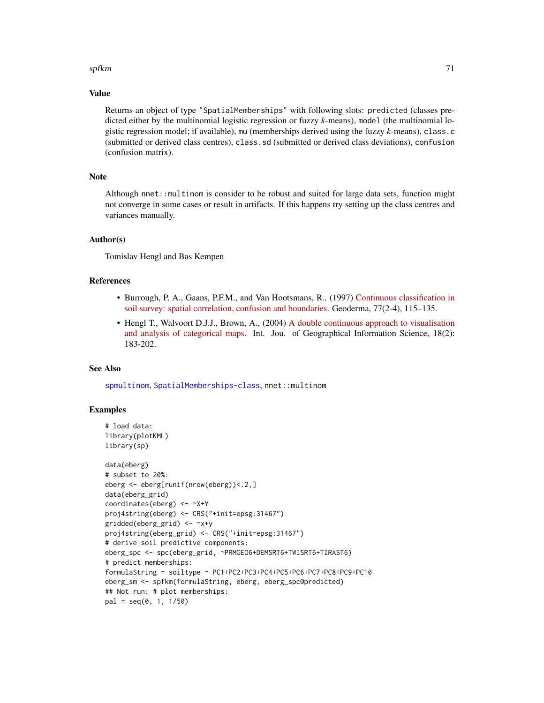#### spfkm 30 and 30 and 30 and 30 and 30 and 30 and 30 and 30 and 30 and 30 and 30 and 30 and 30 and 30 and 30 and

## Value

Returns an object of type "SpatialMemberships" with following slots: predicted (classes predicted either by the multinomial logistic regression or fuzzy *k*-means), model (the multinomial logistic regression model; if available), mu (memberships derived using the fuzzy *k*-means), class.c (submitted or derived class centres), class.sd (submitted or derived class deviations), confusion (confusion matrix).

# Note

Although nnet::multinom is consider to be robust and suited for large data sets, function might not converge in some cases or result in artifacts. If this happens try setting up the class centres and variances manually.

## Author(s)

Tomislav Hengl and Bas Kempen

#### References

- Burrough, P. A., Gaans, P.F.M., and Van Hootsmans, R., (1997) [Continuous classification in](http://dx.doi.org/10.1016/S0016-7061(97)00018-9) [soil survey: spatial correlation, confusion and boundaries.](http://dx.doi.org/10.1016/S0016-7061(97)00018-9) Geoderma, 77(2-4), 115–135.
- Hengl T., Walvoort D.J.J., Brown, A., (2004) [A double continuous approach to visualisation](http://dx.doi.org/10.1080/13658810310001620924) [and analysis of categorical maps.](http://dx.doi.org/10.1080/13658810310001620924) Int. Jou. of Geographical Information Science, 18(2): 183-202.

## See Also

[spmultinom](#page-73-0), [SpatialMemberships-class](#page-67-0), nnet:: multinom

#### Examples

```
# load data:
library(plotKML)
library(sp)
data(eberg)
# subset to 20%:
eberg <- eberg[runif(nrow(eberg))<.2,]
data(eberg_grid)
coordinates(eberg) <- ~X+Y
proj4string(eberg) <- CRS("+init=epsg:31467")
gridded(eberg_grid) <- ~x+y
proj4string(eberg_grid) <- CRS("+init=epsg:31467")
# derive soil predictive components:
eberg_spc <- spc(eberg_grid, ~PRMGEO6+DEMSRT6+TWISRT6+TIRAST6)
# predict memberships:
formulaString = soiltype ~ PC1+PC2+PC3+PC4+PC5+PC6+PC7+PC8+PC9+PC10
eberg_sm <- spfkm(formulaString, eberg, eberg_spc@predicted)
## Not run: # plot memberships:
pal = seq(0, 1, 1/50)
```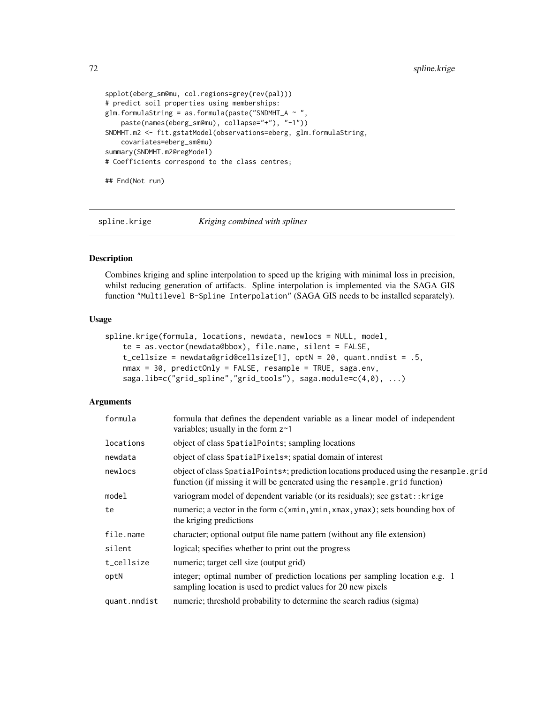```
spplot(eberg_sm@mu, col.regions=grey(rev(pal)))
# predict soil properties using memberships:
glm.formulaString = as.formula(paste("SNDMHT_A \sim ",
   paste(names(eberg_sm@mu), collapse="+"), "-1"))
SNDMHT.m2 <- fit.gstatModel(observations=eberg, glm.formulaString,
   covariates=eberg_sm@mu)
summary(SNDMHT.m2@regModel)
# Coefficients correspond to the class centres;
## End(Not run)
```
spline.krige *Kriging combined with splines*

# Description

Combines kriging and spline interpolation to speed up the kriging with minimal loss in precision, whilst reducing generation of artifacts. Spline interpolation is implemented via the SAGA GIS function "Multilevel B-Spline Interpolation" (SAGA GIS needs to be installed separately).

## Usage

```
spline.krige(formula, locations, newdata, newlocs = NULL, model,
    te = as.vector(newdata@bbox), file.name, silent = FALSE,
    t_cellsize = newdata@grid@cellsize[1], optN = 20, quant.nndist = .5,
   nmax = 30, predictOnly = FALSE, resample = TRUE, saga.env,
    saga.lib=c("grid_spline","grid_tools"), saga.module=c(4,0), ...)
```
## Arguments

| formula      | formula that defines the dependent variable as a linear model of independent<br>variables; usually in the form $z \sim 1$                                            |
|--------------|----------------------------------------------------------------------------------------------------------------------------------------------------------------------|
| locations    | object of class Spatial Points; sampling locations                                                                                                                   |
| newdata      | object of class SpatialPixels*; spatial domain of interest                                                                                                           |
| newlocs      | object of class SpatialPoints*; prediction locations produced using the resample.grid<br>function (if missing it will be generated using the resample.grid function) |
| model        | variogram model of dependent variable (or its residuals); see gstat:: krige                                                                                          |
| te           | numeric; a vector in the form c(xmin, ymin, xmax, ymax); sets bounding box of<br>the kriging predictions                                                             |
| file.name    | character; optional output file name pattern (without any file extension)                                                                                            |
| silent       | logical; specifies whether to print out the progress                                                                                                                 |
| t cellsize   | numeric; target cell size (output grid)                                                                                                                              |
| optN         | integer; optimal number of prediction locations per sampling location e.g. 1<br>sampling location is used to predict values for 20 new pixels                        |
| quant.nndist | numeric; threshold probability to determine the search radius (sigma)                                                                                                |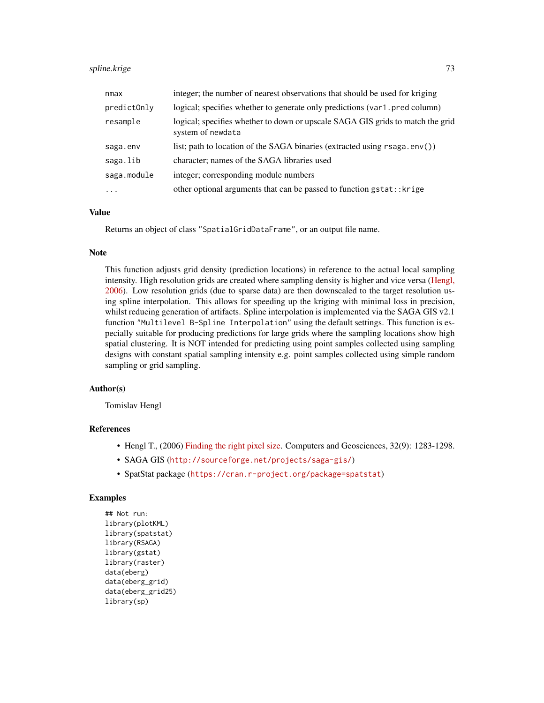# spline.krige 73

| nmax        | integer; the number of nearest observations that should be used for kriging                         |
|-------------|-----------------------------------------------------------------------------------------------------|
| predict0nly | logical; specifies whether to generate only predictions (var1.pred column)                          |
| resample    | logical; specifies whether to down or upscale SAGA GIS grids to match the grid<br>system of newdata |
| saga.env    | list; path to location of the SAGA binaries (extracted using rsaga.env())                           |
| saga.lib    | character; names of the SAGA libraries used                                                         |
| saga.module | integer; corresponding module numbers                                                               |
| $\ddotsc$   | other optional arguments that can be passed to function gstat:: krige                               |

## Value

Returns an object of class "SpatialGridDataFrame", or an output file name.

## **Note**

This function adjusts grid density (prediction locations) in reference to the actual local sampling intensity. High resolution grids are created where sampling density is higher and vice versa [\(Hengl,](http://dx.doi.org/10.1016/j.cageo.2005.11.008) [2006\)](http://dx.doi.org/10.1016/j.cageo.2005.11.008). Low resolution grids (due to sparse data) are then downscaled to the target resolution using spline interpolation. This allows for speeding up the kriging with minimal loss in precision, whilst reducing generation of artifacts. Spline interpolation is implemented via the SAGA GIS v2.1 function "Multilevel B-Spline Interpolation" using the default settings. This function is especially suitable for producing predictions for large grids where the sampling locations show high spatial clustering. It is NOT intended for predicting using point samples collected using sampling designs with constant spatial sampling intensity e.g. point samples collected using simple random sampling or grid sampling.

#### Author(s)

Tomislav Hengl

# References

- Hengl T., (2006) [Finding the right pixel size.](http://dx.doi.org/10.1016/j.cageo.2005.11.008) Computers and Geosciences, 32(9): 1283-1298.
- SAGA GIS (<http://sourceforge.net/projects/saga-gis/>)
- SpatStat package (<https://cran.r-project.org/package=spatstat>)

# Examples

## Not run: library(plotKML) library(spatstat) library(RSAGA) library(gstat) library(raster) data(eberg) data(eberg\_grid) data(eberg\_grid25) library(sp)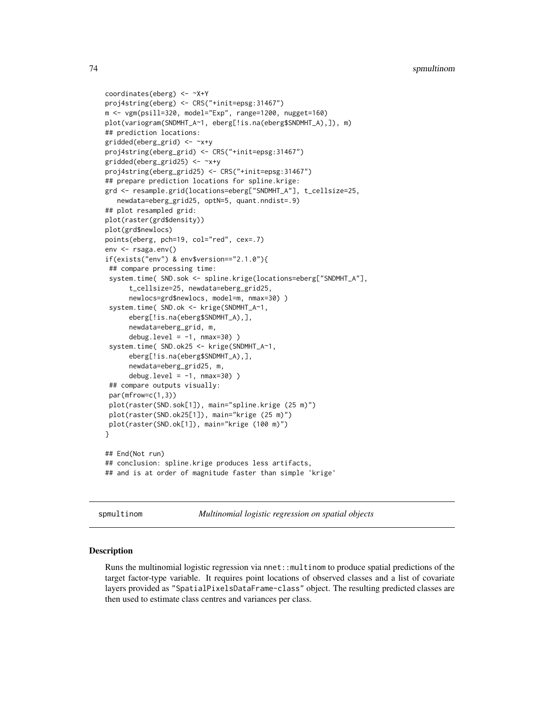```
coordinates(eberg) <- ~X+Y
proj4string(eberg) <- CRS("+init=epsg:31467")
m <- vgm(psill=320, model="Exp", range=1200, nugget=160)
plot(variogram(SNDMHT_A~1, eberg[!is.na(eberg$SNDMHT_A),]), m)
## prediction locations:
gridded(eberg_grid) <- ~x+y
proj4string(eberg_grid) <- CRS("+init=epsg:31467")
gridded(eberg_grid25) <- ~x+y
proj4string(eberg_grid25) <- CRS("+init=epsg:31467")
## prepare prediction locations for spline.krige:
grd <- resample.grid(locations=eberg["SNDMHT_A"], t_cellsize=25,
  newdata=eberg_grid25, optN=5, quant.nndist=.9)
## plot resampled grid:
plot(raster(grd$density))
plot(grd$newlocs)
points(eberg, pch=19, col="red", cex=.7)
env <- rsaga.env()
if(exists("env") & env$version=="2.1.0"){
## compare processing time:
 system.time( SND.sok <- spline.krige(locations=eberg["SNDMHT_A"],
      t_cellsize=25, newdata=eberg_grid25,
      newlocs=grd$newlocs, model=m, nmax=30) )
 system.time( SND.ok <- krige(SNDMHT_A~1,
      eberg[!is.na(eberg$SNDMHT_A),],
      newdata=eberg_grid, m,
      debug.level = -1, nmax=30) )
 system.time( SND.ok25 <- krige(SNDMHT_A~1,
      eberg[!is.na(eberg$SNDMHT_A),],
      newdata=eberg_grid25, m,
      debug.level = -1, nmax=30) )
 ## compare outputs visually:
 par(mfrow=c(1,3))
 plot(raster(SND.sok[1]), main="spline.krige (25 m)")
plot(raster(SND.ok25[1]), main="krige (25 m)")
plot(raster(SND.ok[1]), main="krige (100 m)")
}
## End(Not run)
## conclusion: spline.krige produces less artifacts,
## and is at order of magnitude faster than simple 'krige'
```
spmultinom *Multinomial logistic regression on spatial objects*

## **Description**

Runs the multinomial logistic regression via nnet::multinom to produce spatial predictions of the target factor-type variable. It requires point locations of observed classes and a list of covariate layers provided as "SpatialPixelsDataFrame-class" object. The resulting predicted classes are then used to estimate class centres and variances per class.

<span id="page-73-0"></span>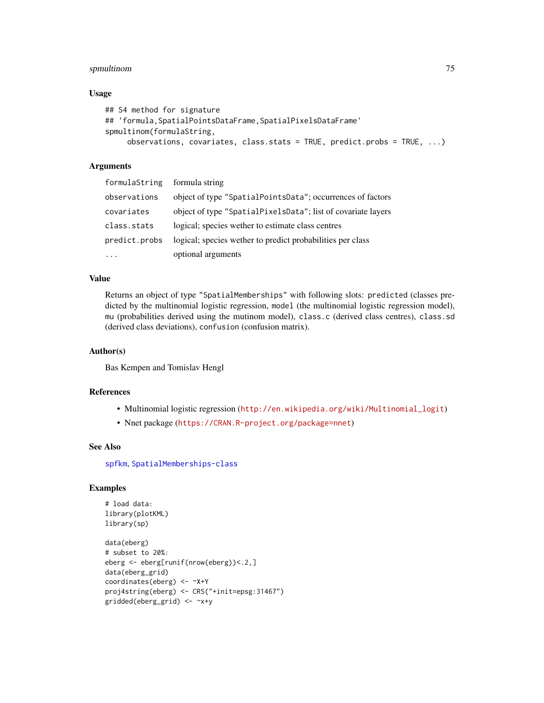# <span id="page-74-0"></span>spmultinom 75

## Usage

```
## S4 method for signature
## 'formula,SpatialPointsDataFrame,SpatialPixelsDataFrame'
spmultinom(formulaString,
     observations, covariates, class.stats = TRUE, predict.probs = TRUE, ...)
```
# Arguments

| formulaString | formula string                                               |
|---------------|--------------------------------------------------------------|
| observations  | object of type "SpatialPointsData"; occurrences of factors   |
| covariates    | object of type "SpatialPixelsData"; list of covariate layers |
| class.stats   | logical; species wether to estimate class centres            |
| predict.probs | logical; species wether to predict probabilities per class   |
| $\ddotsc$     | optional arguments                                           |

## Value

Returns an object of type "SpatialMemberships" with following slots: predicted (classes predicted by the multinomial logistic regression, model (the multinomial logistic regression model), mu (probabilities derived using the mutinom model), class.c (derived class centres), class.sd (derived class deviations), confusion (confusion matrix).

## Author(s)

Bas Kempen and Tomislav Hengl

## References

- Multinomial logistic regression ([http://en.wikipedia.org/wiki/Multinomial\\_logit](http://en.wikipedia.org/wiki/Multinomial_logit))
- Nnet package (<https://CRAN.R-project.org/package=nnet>)

## See Also

[spfkm](#page-69-0), [SpatialMemberships-class](#page-67-0)

# Examples

```
# load data:
library(plotKML)
library(sp)
data(eberg)
# subset to 20%:
eberg <- eberg[runif(nrow(eberg))<.2,]
data(eberg_grid)
coordinates(eberg) <- ~X+Y
proj4string(eberg) <- CRS("+init=epsg:31467")
gridded(eberg_grid) <- ~x+y
```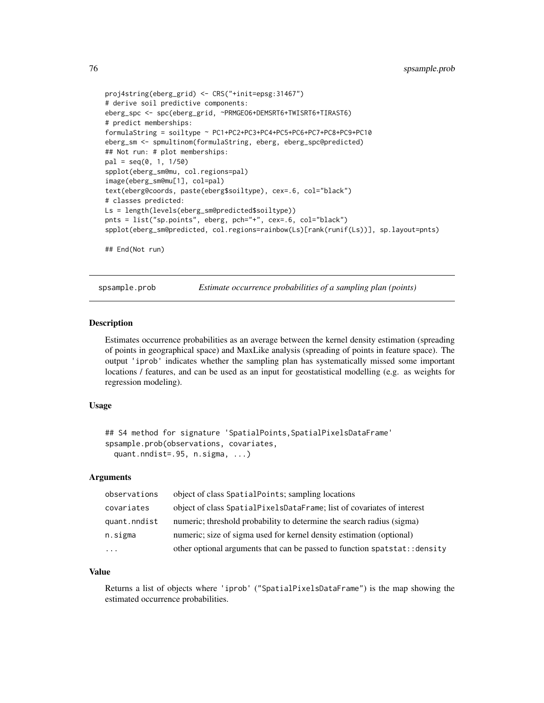```
proj4string(eberg_grid) <- CRS("+init=epsg:31467")
# derive soil predictive components:
eberg_spc <- spc(eberg_grid, ~PRMGEO6+DEMSRT6+TWISRT6+TIRAST6)
# predict memberships:
formulaString = soiltype ~ PC1+PC2+PC3+PC4+PC5+PC6+PC7+PC8+PC9+PC10
eberg_sm <- spmultinom(formulaString, eberg, eberg_spc@predicted)
## Not run: # plot memberships:
pal = seq(0, 1, 1/50)spplot(eberg_sm@mu, col.regions=pal)
image(eberg_sm@mu[1], col=pal)
text(eberg@coords, paste(eberg$soiltype), cex=.6, col="black")
# classes predicted:
Ls = length(levels(eberg_sm@predicted$soiltype))
pnts = list("sp.points", eberg, pch="+", cex=.6, col="black")
spplot(eberg_sm@predicted, col.regions=rainbow(Ls)[rank(runif(Ls))], sp.layout=pnts)
## End(Not run)
```
spsample.prob *Estimate occurrence probabilities of a sampling plan (points)* 

## **Description**

Estimates occurrence probabilities as an average between the kernel density estimation (spreading of points in geographical space) and MaxLike analysis (spreading of points in feature space). The output 'iprob' indicates whether the sampling plan has systematically missed some important locations / features, and can be used as an input for geostatistical modelling (e.g. as weights for regression modeling).

## Usage

```
## S4 method for signature 'SpatialPoints, SpatialPixelsDataFrame'
spsample.prob(observations, covariates,
  quant.nndist=.95, n.sigma, ...)
```
# Arguments

| observations | object of class SpatialPoints; sampling locations                           |
|--------------|-----------------------------------------------------------------------------|
| covariates   | object of class SpatialPixelsDataFrame; list of covariates of interest      |
| quant.nndist | numeric; threshold probability to determine the search radius (sigma)       |
| n.sigma      | numeric; size of sigma used for kernel density estimation (optional)        |
| $\cdots$     | other optional arguments that can be passed to function spatstat: : density |

## Value

Returns a list of objects where 'iprob' ("SpatialPixelsDataFrame") is the map showing the estimated occurrence probabilities.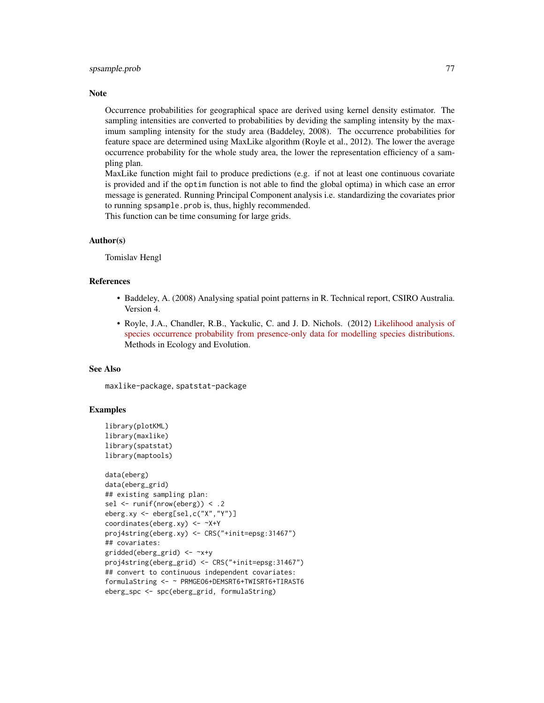## spsample.prob 77

## Note

Occurrence probabilities for geographical space are derived using kernel density estimator. The sampling intensities are converted to probabilities by deviding the sampling intensity by the maximum sampling intensity for the study area (Baddeley, 2008). The occurrence probabilities for feature space are determined using MaxLike algorithm (Royle et al., 2012). The lower the average occurrence probability for the whole study area, the lower the representation efficiency of a sampling plan.

MaxLike function might fail to produce predictions (e.g. if not at least one continuous covariate is provided and if the optim function is not able to find the global optima) in which case an error message is generated. Running Principal Component analysis i.e. standardizing the covariates prior to running spsample.prob is, thus, highly recommended.

This function can be time consuming for large grids.

## Author(s)

Tomislav Hengl

# References

- Baddeley, A. (2008) Analysing spatial point patterns in R. Technical report, CSIRO Australia. Version 4.
- Royle, J.A., Chandler, R.B., Yackulic, C. and J. D. Nichols. (2012) [Likelihood analysis of](http://dx.doi.org/10.1111/j.2041-210X.2011.00182.x) [species occurrence probability from presence-only data for modelling species distributions.](http://dx.doi.org/10.1111/j.2041-210X.2011.00182.x) Methods in Ecology and Evolution.

## See Also

maxlike-package, spatstat-package

## Examples

```
library(plotKML)
library(maxlike)
library(spatstat)
library(maptools)
```

```
data(eberg)
data(eberg_grid)
## existing sampling plan:
sel \le runif(nrow(eberg)) \le .2
eberg.xy <- eberg[sel,c("X","Y")]
coordinates(eberg.xy) <- ~X+Y
proj4string(eberg.xy) <- CRS("+init=epsg:31467")
## covariates:
gridded(eberg_grid) <- ~x+y
proj4string(eberg_grid) <- CRS("+init=epsg:31467")
## convert to continuous independent covariates:
formulaString <- ~ PRMGEO6+DEMSRT6+TWISRT6+TIRAST6
eberg_spc <- spc(eberg_grid, formulaString)
```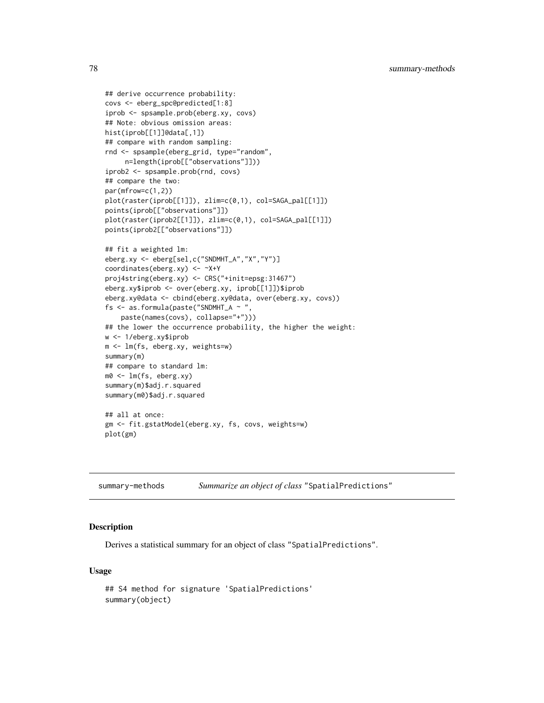```
## derive occurrence probability:
covs <- eberg_spc@predicted[1:8]
iprob <- spsample.prob(eberg.xy, covs)
## Note: obvious omission areas:
hist(iprob[[1]]@data[,1])
## compare with random sampling:
rnd <- spsample(eberg_grid, type="random",
     n=length(iprob[["observations"]]))
iprob2 <- spsample.prob(rnd, covs)
## compare the two:
par(mfrow=c(1,2))
plot(raster(iprob[[1]]), zlim=c(0,1), col=SAGA_pal[[1]])
points(iprob[["observations"]])
plot(raster(iprob2[[1]]), zlim=c(0,1), col=SAGA_pal[[1]])
points(iprob2[["observations"]])
## fit a weighted lm:
eberg.xy <- eberg[sel,c("SNDMHT_A","X","Y")]
coordinates(eberg.xy) <- ~X+Y
proj4string(eberg.xy) <- CRS("+init=epsg:31467")
eberg.xy$iprob <- over(eberg.xy, iprob[[1]])$iprob
eberg.xy@data <- cbind(eberg.xy@data, over(eberg.xy, covs))
fs <- as.formula(paste("SNDMHT_A ~ ",
    paste(names(covs), collapse="+")))
## the lower the occurrence probability, the higher the weight:
w <- 1/eberg.xy$iprob
m <- lm(fs, eberg.xy, weights=w)
summary(m)
## compare to standard lm:
m0 <- lm(fs, eberg.xy)
summary(m)$adj.r.squared
summary(m0)$adj.r.squared
## all at once:
gm <- fit.gstatModel(eberg.xy, fs, covs, weights=w)
plot(gm)
```
summary-methods *Summarize an object of class* "SpatialPredictions"

## **Description**

Derives a statistical summary for an object of class "SpatialPredictions".

## Usage

```
## S4 method for signature 'SpatialPredictions'
summary(object)
```
<span id="page-77-0"></span>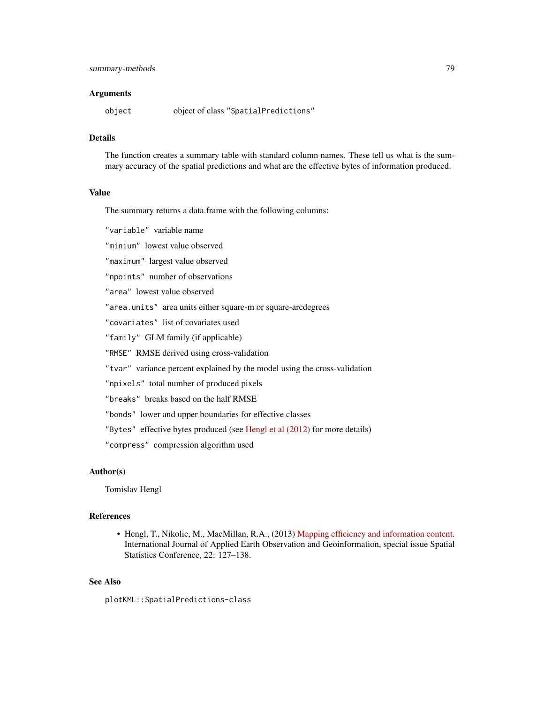## Arguments

object object of class "SpatialPredictions"

# Details

The function creates a summary table with standard column names. These tell us what is the summary accuracy of the spatial predictions and what are the effective bytes of information produced.

# Value

The summary returns a data.frame with the following columns:

"variable" variable name

"minium" lowest value observed

"maximum" largest value observed

"npoints" number of observations

"area" lowest value observed

"area.units" area units either square-m or square-arcdegrees

"covariates" list of covariates used

"family" GLM family (if applicable)

"RMSE" RMSE derived using cross-validation

"tvar" variance percent explained by the model using the cross-validation

"npixels" total number of produced pixels

"breaks" breaks based on the half RMSE

"bonds" lower and upper boundaries for effective classes

"Bytes" effective bytes produced (see [Hengl et al \(2012\)](http://dx.doi.org/10.1016/j.jag.2012.02.005) for more details)

"compress" compression algorithm used

## Author(s)

Tomislav Hengl

## References

• Hengl, T., Nikolic, M., MacMillan, R.A., (2013) [Mapping efficiency and information content.](http://dx.doi.org/10.1016/j.jag.2012.02.005) International Journal of Applied Earth Observation and Geoinformation, special issue Spatial Statistics Conference, 22: 127–138.

# See Also

plotKML::SpatialPredictions-class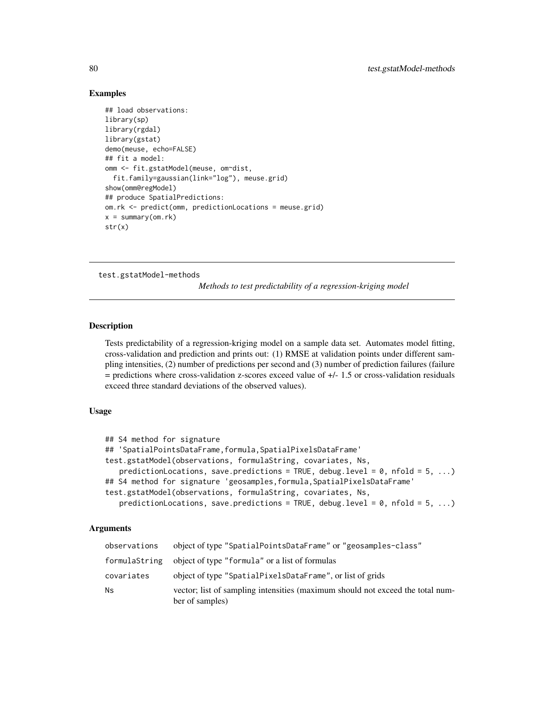# Examples

```
## load observations:
library(sp)
library(rgdal)
library(gstat)
demo(meuse, echo=FALSE)
## fit a model:
omm <- fit.gstatModel(meuse, om~dist,
  fit.family=gaussian(link="log"), meuse.grid)
show(omm@regModel)
## produce SpatialPredictions:
om.rk <- predict(omm, predictionLocations = meuse.grid)
x = summary(om.rk)str(x)
```
test.gstatModel-methods

*Methods to test predictability of a regression-kriging model*

## Description

Tests predictability of a regression-kriging model on a sample data set. Automates model fitting, cross-validation and prediction and prints out: (1) RMSE at validation points under different sampling intensities, (2) number of predictions per second and (3) number of prediction failures (failure = predictions where cross-validation z-scores exceed value of +/- 1.5 or cross-validation residuals exceed three standard deviations of the observed values).

# Usage

```
## S4 method for signature
## 'SpatialPointsDataFrame,formula,SpatialPixelsDataFrame'
test.gstatModel(observations, formulaString, covariates, Ns,
   predictionLocations, save.predictions = TRUE, debug.level = 0, nfold = 5, ...)
## S4 method for signature 'geosamples,formula,SpatialPixelsDataFrame'
test.gstatModel(observations, formulaString, covariates, Ns,
   predictionLocations, save.predictions = TRUE, debug.level = 0, nfold = 5, \dots)
```
# Arguments

| observations  | object of type "SpatialPointsDataFrame" or "geosamples-class"                                     |
|---------------|---------------------------------------------------------------------------------------------------|
| formulaString | object of type "formula" or a list of formulas                                                    |
| covariates    | object of type "SpatialPixelsDataFrame", or list of grids                                         |
| Ns            | vector; list of sampling intensities (maximum should not exceed the total num-<br>ber of samples) |

<span id="page-79-0"></span>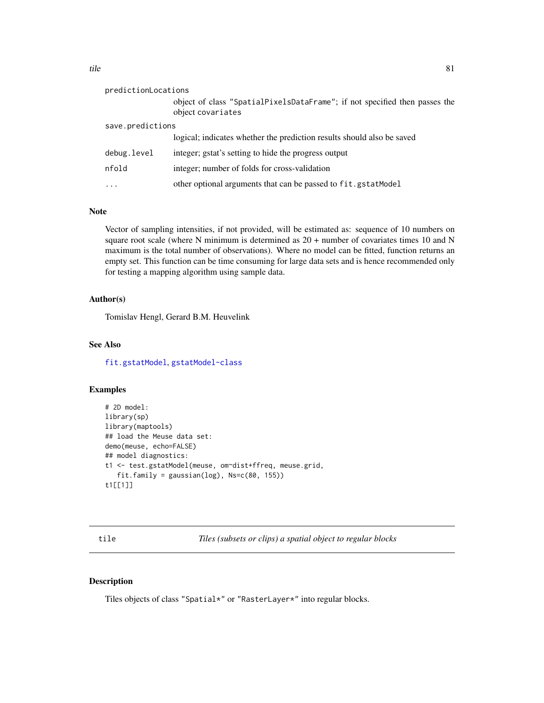<span id="page-80-0"></span>

| predictionLocations |                                                                                                 |
|---------------------|-------------------------------------------------------------------------------------------------|
|                     | object of class "SpatialPixelsDataFrame"; if not specified then passes the<br>object covariates |
| save.predictions    |                                                                                                 |
|                     | logical; indicates whether the prediction results should also be saved                          |
| debug.level         | integer; gstat's setting to hide the progress output                                            |
| nfold               | integer; number of folds for cross-validation                                                   |
| $\ddotsc$           | other optional arguments that can be passed to fit.gstatModel                                   |

# Note

Vector of sampling intensities, if not provided, will be estimated as: sequence of 10 numbers on square root scale (where N minimum is determined as  $20 +$  number of covariates times 10 and N maximum is the total number of observations). Where no model can be fitted, function returns an empty set. This function can be time consuming for large data sets and is hence recommended only for testing a mapping algorithm using sample data.

## Author(s)

Tomislav Hengl, Gerard B.M. Heuvelink

## See Also

[fit.gstatModel](#page-23-0), [gstatModel-class](#page-39-0)

# Examples

```
# 2D model:
library(sp)
library(maptools)
## load the Meuse data set:
demo(meuse, echo=FALSE)
## model diagnostics:
t1 <- test.gstatModel(meuse, om~dist+ffreq, meuse.grid,
   fit.family = gaussian(log), Ns=c(80, 155))
t1[[1]]
```
tile *Tiles (subsets or clips) a spatial object to regular blocks*

# **Description**

Tiles objects of class "Spatial\*" or "RasterLayer\*" into regular blocks.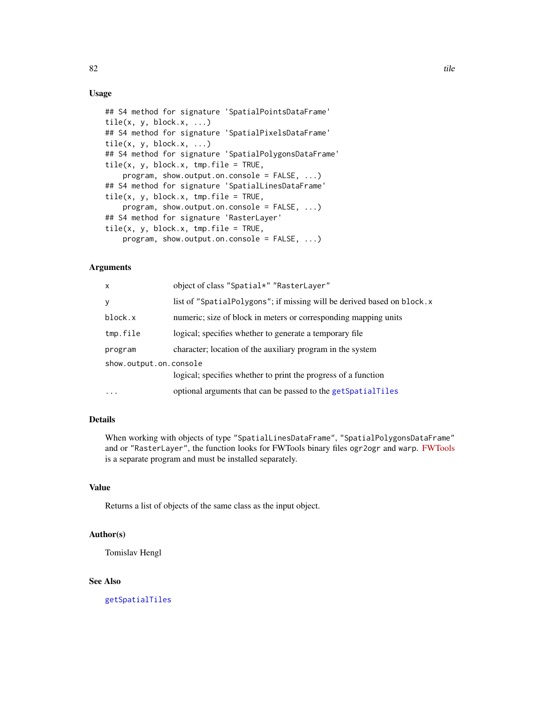# <span id="page-81-0"></span>Usage

```
## S4 method for signature 'SpatialPointsDataFrame'
tile(x, y, block.x, ...)## S4 method for signature 'SpatialPixelsDataFrame'
tile(x, y, block.x, ...)## S4 method for signature 'SpatialPolygonsDataFrame'
tile(x, y, block.x, tmp.file = TRUE,program, show.output.on.console = FALSE, ...)
## S4 method for signature 'SpatialLinesDataFrame'
tile(x, y, block.x, tmp.file = TRUE,program, show.output.on.console = FALSE, ...)
## S4 method for signature 'RasterLayer'
tile(x, y, block.x, tmp.file = TRUE,program, show.output.on.console = FALSE, ...)
```
# Arguments

| x                      | object of class "Spatial*" "RasterLayer"                                |
|------------------------|-------------------------------------------------------------------------|
| y                      | list of "SpatialPolygons"; if missing will be derived based on block. x |
| block.x                | numeric; size of block in meters or corresponding mapping units         |
| tmp.file               | logical; specifies whether to generate a temporary file.                |
| program                | character; location of the auxiliary program in the system              |
| show.output.on.console |                                                                         |
|                        | logical; specifies whether to print the progress of a function          |
| $\ddots$ .             | optional arguments that can be passed to the getSpatialTiles            |

# Details

When working with objects of type "SpatialLinesDataFrame", "SpatialPolygonsDataFrame" and or "RasterLayer", the function looks for FWTools binary files ogr2ogr and warp. [FWTools](http://fwtools.maptools.org/) is a separate program and must be installed separately.

# Value

Returns a list of objects of the same class as the input object.

## Author(s)

Tomislav Hengl

## See Also

[getSpatialTiles](#page-36-0)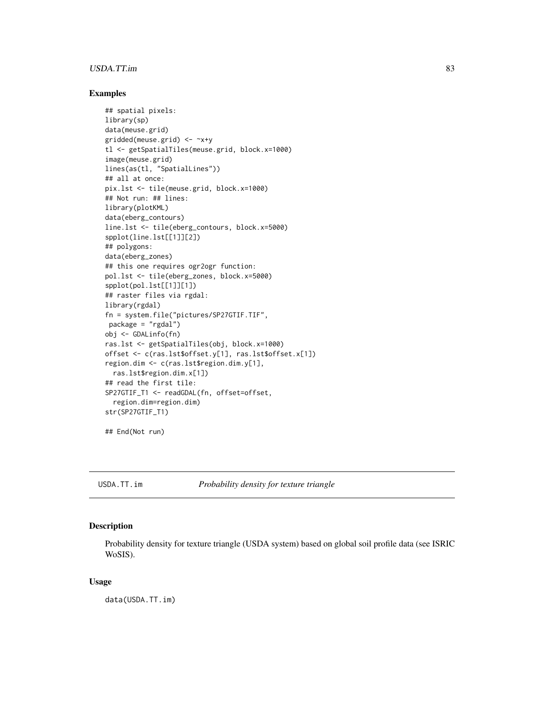#### <span id="page-82-0"></span>USDA.TT.im 83

## Examples

```
## spatial pixels:
library(sp)
data(meuse.grid)
gridded(meuse.grid) <- ~x+y
tl <- getSpatialTiles(meuse.grid, block.x=1000)
image(meuse.grid)
lines(as(tl, "SpatialLines"))
## all at once:
pix.lst <- tile(meuse.grid, block.x=1000)
## Not run: ## lines:
library(plotKML)
data(eberg_contours)
line.lst <- tile(eberg_contours, block.x=5000)
spplot(line.lst[[1]][2])
## polygons:
data(eberg_zones)
## this one requires ogr2ogr function:
pol.lst <- tile(eberg_zones, block.x=5000)
spplot(pol.lst[[1]][1])
## raster files via rgdal:
library(rgdal)
fn = system.file("pictures/SP27GTIF.TIF",
package = "rgdal")
obj <- GDALinfo(fn)
ras.lst <- getSpatialTiles(obj, block.x=1000)
offset <- c(ras.lst$offset.y[1], ras.lst$offset.x[1])
region.dim <- c(ras.lst$region.dim.y[1],
 ras.lst$region.dim.x[1])
## read the first tile:
SP27GTIF_T1 <- readGDAL(fn, offset=offset,
  region.dim=region.dim)
str(SP27GTIF_T1)
## End(Not run)
```
USDA.TT.im *Probability density for texture triangle*

# Description

Probability density for texture triangle (USDA system) based on global soil profile data (see ISRIC WoSIS).

## Usage

data(USDA.TT.im)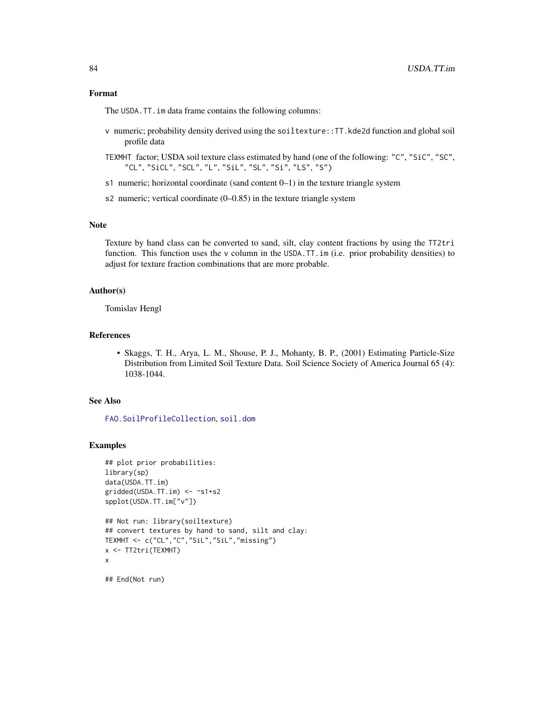## <span id="page-83-0"></span>Format

The USDA.TT.im data frame contains the following columns:

- v numeric; probability density derived using the soiltexture::TT.kde2d function and global soil profile data
- TEXMHT factor; USDA soil texture class estimated by hand (one of the following: "C", "SiC", "SC", "CL", "SiCL", "SCL", "L", "SiL", "SL", "Si", "LS", "S")
- s1 numeric; horizontal coordinate (sand content 0–1) in the texture triangle system
- s2 numeric; vertical coordinate (0–0.85) in the texture triangle system

## **Note**

Texture by hand class can be converted to sand, silt, clay content fractions by using the TT2tri function. This function uses the v column in the USDA.TT.im (i.e. prior probability densities) to adjust for texture fraction combinations that are more probable.

## Author(s)

Tomislav Hengl

## References

• Skaggs, T. H., Arya, L. M., Shouse, P. J., Mohanty, B. P., (2001) Estimating Particle-Size Distribution from Limited Soil Texture Data. Soil Science Society of America Journal 65 (4): 1038-1044.

## See Also

[FAO.SoilProfileCollection](#page-22-0), [soil.dom](#page-61-0)

## Examples

```
## plot prior probabilities:
library(sp)
data(USDA.TT.im)
gridded(USDA.TT.in) < -s1+s2spplot(USDA.TT.im["v"])
## Not run: library(soiltexture)
## convert textures by hand to sand, silt and clay:
TEXMHT <- c("CL","C","SiL","SiL","missing")
x <- TT2tri(TEXMHT)
x
## End(Not run)
```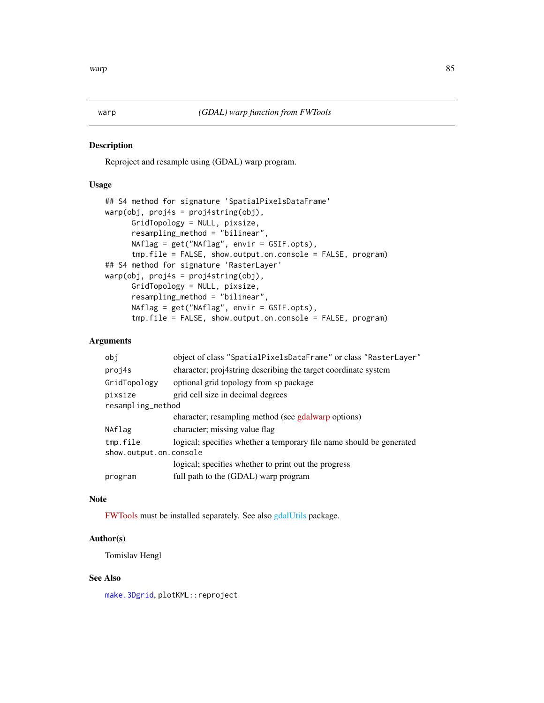<span id="page-84-0"></span>

# Description

Reproject and resample using (GDAL) warp program.

# Usage

```
## S4 method for signature 'SpatialPixelsDataFrame'
warp(obj, proj4s = proj4string(obj),
      GridTopology = NULL, pixsize,
      resampling_method = "bilinear",
      NAflag = get("NAflag", envir = GSIF.opts),
      tmp.file = FALSE, show.output.on.console = FALSE, program)
## S4 method for signature 'RasterLayer'
warp(obj, proj4s = proj4string(obj),GridTopology = NULL, pixsize,
      resampling_method = "bilinear",
      NAflag = get("NAflag", envir = GSIF.opts),
      tmp.file = FALSE, show.output.on.console = FALSE, program)
```
# Arguments

| obi                    | object of class "SpatialPixelsDataFrame" or class "RasterLayer"      |
|------------------------|----------------------------------------------------------------------|
| proj4s                 | character; proj4string describing the target coordinate system       |
| GridTopology           | optional grid topology from sp package                               |
| pixsize                | grid cell size in decimal degrees                                    |
| resampling_method      |                                                                      |
|                        | character; resampling method (see gdalwarp options)                  |
| NAflag                 | character; missing value flag                                        |
| tmp.file               | logical; specifies whether a temporary file name should be generated |
| show.output.on.console |                                                                      |
|                        | logical; specifies whether to print out the progress                 |
| program                | full path to the (GDAL) warp program                                 |

## Note

[FWTools](http://fwtools.maptools.org/) must be installed separately. See also [gdalUtils](#page-0-0) package.

# Author(s)

Tomislav Hengl

# See Also

[make.3Dgrid](#page-47-0), plotKML::reproject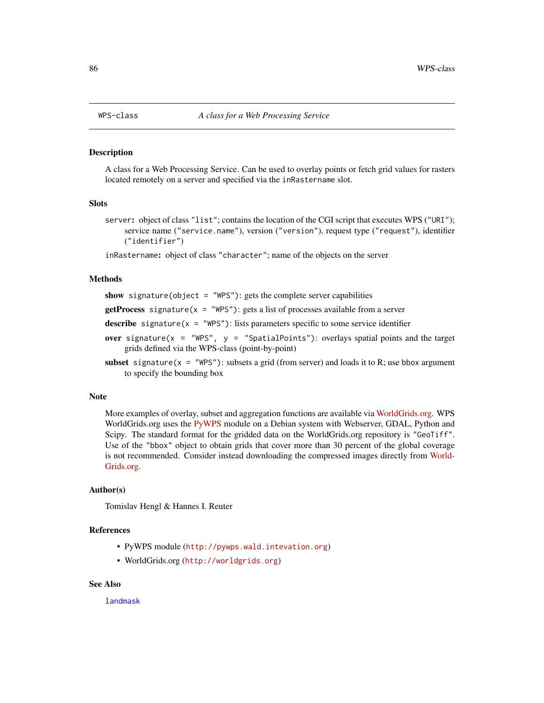<span id="page-85-0"></span>

## Description

A class for a Web Processing Service. Can be used to overlay points or fetch grid values for rasters located remotely on a server and specified via the inRastername slot.

## **Slots**

server: object of class "list"; contains the location of the CGI script that executes WPS ("URI"); service name ("service.name"), version ("version"), request type ("request"), identifier ("identifier")

inRastername: object of class "character"; name of the objects on the server

#### Methods

show signature(object = "WPS"): gets the complete server capabilities

**getProcess** signature( $x = "WPS"$ ): gets a list of processes available from a server

describe signature( $x = "WPS"$ ): lists parameters specific to some service identifier

- over signature( $x = "WPS", y = "SpatialPoints")$ : overlays spatial points and the target grids defined via the WPS-class (point-by-point)
- subset signature( $x =$  "WPS"): subsets a grid (from server) and loads it to R; use bbox argument to specify the bounding box

#### **Note**

More examples of overlay, subset and aggregation functions are available via [WorldGrids.org.](http://worldgrids.org/doku.php?id=wiki:functions.r) WPS WorldGrids.org uses the [PyWPS](http://pywps.wald.intevation.org) module on a Debian system with Webserver, GDAL, Python and Scipy. The standard format for the gridded data on the WorldGrids.org repository is "GeoTiff". Use of the "bbox" object to obtain grids that cover more than 30 percent of the global coverage is not recommended. Consider instead downloading the compressed images directly from [World-](http://worldgrids.org)[Grids.org.](http://worldgrids.org)

# Author(s)

Tomislav Hengl & Hannes I. Reuter

## **References**

- PyWPS module (<http://pywps.wald.intevation.org>)
- WorldGrids.org (<http://worldgrids.org>)

## See Also

[landmask](#page-43-0)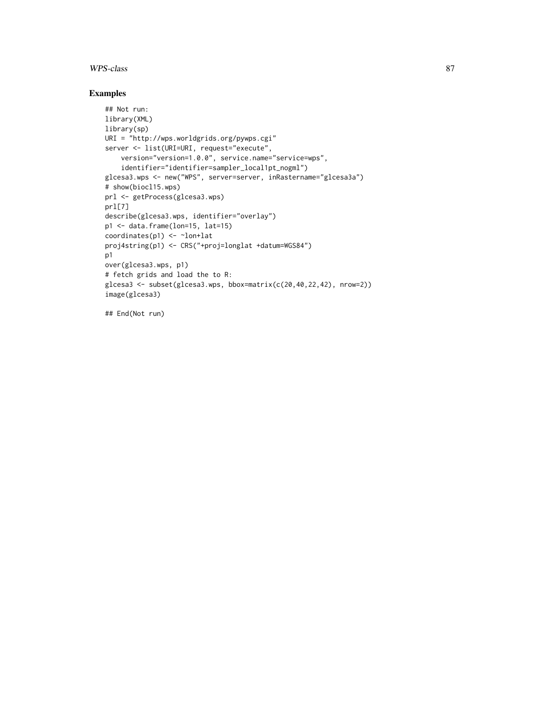## WPS-class 87

# Examples

```
## Not run:
library(XML)
library(sp)
URI = "http://wps.worldgrids.org/pywps.cgi"
server <- list(URI=URI, request="execute",
    version="version=1.0.0", service.name="service=wps",
    identifier="identifier=sampler_local1pt_nogml")
glcesa3.wps <- new("WPS", server=server, inRastername="glcesa3a")
# show(biocl15.wps)
prl <- getProcess(glcesa3.wps)
prl[7]
describe(glcesa3.wps, identifier="overlay")
p1 \leftarrow data frame(lon=15, lat=15)coordinates(p1) <- ~lon+lat
proj4string(p1) <- CRS("+proj=longlat +datum=WGS84")
p1
over(glcesa3.wps, p1)
# fetch grids and load the to R:
glcesa3 <- subset(glcesa3.wps, bbox=matrix(c(20,40,22,42), nrow=2))
image(glcesa3)
```
## End(Not run)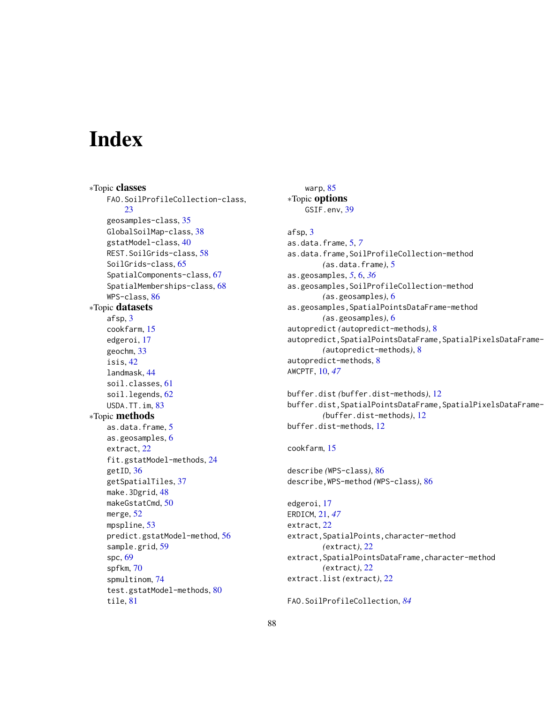# **Index**

∗Topic classes FAO.SoilProfileCollection-class, [23](#page-22-1) geosamples-class, [35](#page-34-0) GlobalSoilMap-class, [38](#page-37-0) gstatModel-class, [40](#page-39-1) REST.SoilGrids-class, [58](#page-57-0) SoilGrids-class, [65](#page-64-0) SpatialComponents-class, [67](#page-66-0) SpatialMemberships-class, [68](#page-67-1) WPS-class, [86](#page-85-0) ∗Topic datasets afsp, [3](#page-2-0) cookfarm, [15](#page-14-0) edgeroi, [17](#page-16-0) geochm, [33](#page-32-0) isis, [42](#page-41-0) landmask, [44](#page-43-1) soil.classes, [61](#page-60-0) soil.legends, [62](#page-61-1) USDA.TT.im, [83](#page-82-0) ∗Topic methods as.data.frame, [5](#page-4-0) as.geosamples, [6](#page-5-0) extract, [22](#page-21-0) fit.gstatModel-methods, [24](#page-23-1) getID, [36](#page-35-0) getSpatialTiles, [37](#page-36-1) make.3Dgrid, [48](#page-47-1) makeGstatCmd, [50](#page-49-0) merge, [52](#page-51-0) mpspline, [53](#page-52-0) predict.gstatModel-method, [56](#page-55-0) sample.grid, [59](#page-58-0) spc, [69](#page-68-0) spfkm, [70](#page-69-1) spmultinom, [74](#page-73-0) test.gstatModel-methods, [80](#page-79-0) tile, [81](#page-80-0)

warp, [85](#page-84-0) ∗Topic options GSIF.env, [39](#page-38-0)

afsp, [3](#page-2-0) as.data.frame, [5,](#page-4-0) *[7](#page-6-0)* as.data.frame,SoilProfileCollection-method *(*as.data.frame*)*, [5](#page-4-0) as.geosamples, *[5](#page-4-0)*, [6,](#page-5-0) *[36](#page-35-0)* as.geosamples,SoilProfileCollection-method *(*as.geosamples*)*, [6](#page-5-0) as.geosamples,SpatialPointsDataFrame-method *(*as.geosamples*)*, [6](#page-5-0) autopredict *(*autopredict-methods*)*, [8](#page-7-0) autopredict, SpatialPointsDataFrame, SpatialPixelsDataFrame-*(*autopredict-methods*)*, [8](#page-7-0) autopredict-methods, [8](#page-7-0) AWCPTF, [10,](#page-9-0) *[47](#page-46-0)*

```
buffer.dist (buffer.dist-methods), 12
buffer.dist,SpatialPointsDataFrame,SpatialPixelsDataFrame-
        (buffer.dist-methods), 12
buffer.dist-methods, 12
```
cookfarm, [15](#page-14-0)

```
describe (WPS-class), 86
describe,WPS-method (WPS-class), 86
```
edgeroi, [17](#page-16-0) ERDICM, [21,](#page-20-0) *[47](#page-46-0)* extract, [22](#page-21-0) extract,SpatialPoints,character-method *(*extract*)*, [22](#page-21-0) extract,SpatialPointsDataFrame,character-method *(*extract*)*, [22](#page-21-0) extract.list *(*extract*)*, [22](#page-21-0)

FAO.SoilProfileCollection, *[84](#page-83-0)*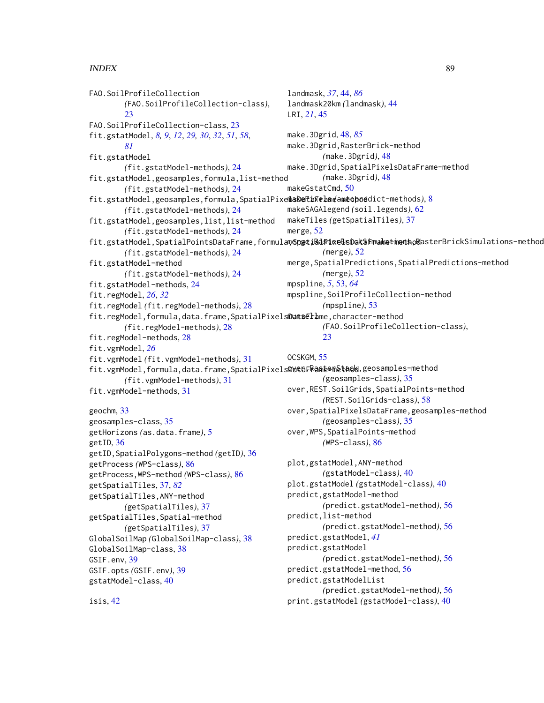# INDEX  $89$

FAO.SoilProfileCollection *(*FAO.SoilProfileCollection-class*)*, [23](#page-22-1) FAO.SoilProfileCollection-class, [23](#page-22-1) fit.gstatModel, *[8,](#page-7-0) [9](#page-8-0)*, *[12](#page-11-0)*, *[29,](#page-28-0) [30](#page-29-0)*, *[32](#page-31-0)*, *[51](#page-50-0)*, *[58](#page-57-0)*, *[81](#page-80-0)* fit.gstatModel *(*fit.gstatModel-methods*)*, [24](#page-23-1) fit.gstatModel,geosamples,formula,list-method *(*fit.gstatModel-methods*)*, [24](#page-23-1) fit.gstatModel,geosamples,formula,SpatialPixed**aSefaFelanéameopod**dict-methods),[8](#page-7-0) *(*fit.gstatModel-methods*)*, [24](#page-23-1) fit.gstatModel,geosamples,list,list-method *(*fit.gstatModel-methods*)*, [24](#page-23-1) fit.gstatModel,SpatialPointsDataFrame,formulamSpgeti&aPteeBsDakSfmametmentaoRasterBrickSimulations-method *(*fit.gstatModel-methods*)*, [24](#page-23-1) fit.gstatModel-method *(*fit.gstatModel-methods*)*, [24](#page-23-1) fit.gstatModel-methods, [24](#page-23-1) fit.regModel, *[26](#page-25-0)*, *[32](#page-31-0)* fit.regModel *(*fit.regModel-methods*)*, [28](#page-27-0) fit.regModel,formula,data.frame,SpatialPixelsDuntaelame,character-method *(*fit.regModel-methods*)*, [28](#page-27-0) fit.regModel-methods, [28](#page-27-0) fit.vgmModel, *[26](#page-25-0)* fit.vgmModel *(*fit.vgmModel-methods*)*, [31](#page-30-0) fit.vgmModel,formula,data.frame,SpatialPixels**D%t&Frameem&ta©k**,geosamples-method *(*fit.vgmModel-methods*)*, [31](#page-30-0) fit.vgmModel-methods, [31](#page-30-0) geochm, [33](#page-32-0) geosamples-class, [35](#page-34-0) getHorizons *(*as.data.frame*)*, [5](#page-4-0) getID, [36](#page-35-0) getID,SpatialPolygons-method *(*getID*)*, [36](#page-35-0) getProcess *(*WPS-class*)*, [86](#page-85-0) getProcess,WPS-method *(*WPS-class*)*, [86](#page-85-0) getSpatialTiles, [37,](#page-36-1) *[82](#page-81-0)* getSpatialTiles,ANY-method *(*getSpatialTiles*)*, [37](#page-36-1) getSpatialTiles,Spatial-method *(*getSpatialTiles*)*, [37](#page-36-1) GlobalSoilMap *(*GlobalSoilMap-class*)*, [38](#page-37-0) GlobalSoilMap-class, [38](#page-37-0) GSIF.env, [39](#page-38-0) GSIF.opts *(*GSIF.env*)*, [39](#page-38-0) gstatModel-class, [40](#page-39-1) isis, [42](#page-41-0) landmask, *[37](#page-36-1)*, [44,](#page-43-1) *[86](#page-85-0)* landmask20km *(*landmask*)*, [44](#page-43-1) LRI, *[21](#page-20-0)*, [45](#page-44-0) make.3Dgrid, [48,](#page-47-1) *[85](#page-84-0)* make.3Dgrid,RasterBrick-method *(*make.3Dgrid*)*, [48](#page-47-1) make.3Dgrid,SpatialPixelsDataFrame-method *(*make.3Dgrid*)*, [48](#page-47-1) makeGstatCmd, [50](#page-49-0) makeSAGAlegend *(*soil.legends*)*, [62](#page-61-1) makeTiles *(*getSpatialTiles*)*, [37](#page-36-1) merge, [52](#page-51-0) *(*merge*)*, [52](#page-51-0) merge,SpatialPredictions,SpatialPredictions-method *(*merge*)*, [52](#page-51-0) mpspline, *[5](#page-4-0)*, [53,](#page-52-0) *[64](#page-63-0)* mpspline,SoilProfileCollection-method *(*mpspline*)*, [53](#page-52-0) *(*FAO.SoilProfileCollection-class*)*, [23](#page-22-1) OCSKGM, [55](#page-54-0) *(*geosamples-class*)*, [35](#page-34-0) over,REST.SoilGrids,SpatialPoints-method *(*REST.SoilGrids-class*)*, [58](#page-57-0) over,SpatialPixelsDataFrame,geosamples-method *(*geosamples-class*)*, [35](#page-34-0) over,WPS,SpatialPoints-method *(*WPS-class*)*, [86](#page-85-0) plot,gstatModel,ANY-method *(*gstatModel-class*)*, [40](#page-39-1) plot.gstatModel *(*gstatModel-class*)*, [40](#page-39-1) predict,gstatModel-method *(*predict.gstatModel-method*)*, [56](#page-55-0) predict,list-method *(*predict.gstatModel-method*)*, [56](#page-55-0) predict.gstatModel, *[41](#page-40-0)* predict.gstatModel *(*predict.gstatModel-method*)*, [56](#page-55-0) predict.gstatModel-method, [56](#page-55-0) predict.gstatModelList *(*predict.gstatModel-method*)*, [56](#page-55-0) print.gstatModel *(*gstatModel-class*)*, [40](#page-39-1)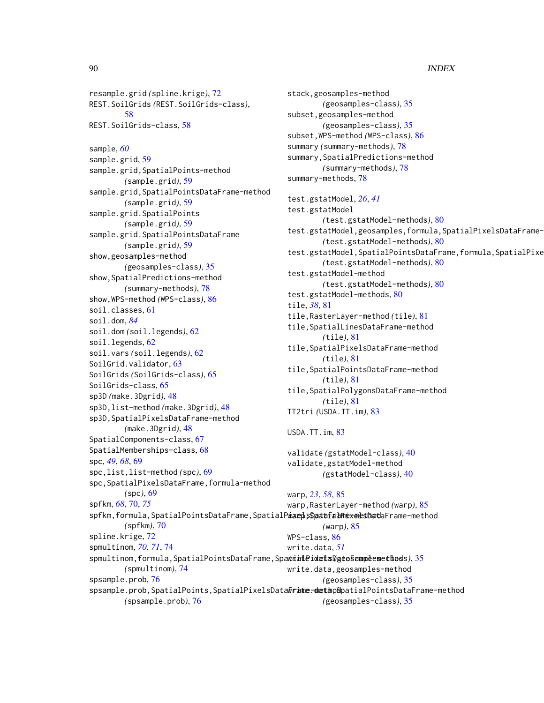90 **INDEX** 

resample.grid *(*spline.krige*)*, [72](#page-71-0) REST.SoilGrids *(*REST.SoilGrids-class*)*, [58](#page-57-0)

REST.SoilGrids-class, [58](#page-57-0)

sample, *[60](#page-59-0)* sample.grid, [59](#page-58-0) sample.grid,SpatialPoints-method *(*sample.grid*)*, [59](#page-58-0) sample.grid,SpatialPointsDataFrame-method *(*sample.grid*)*, [59](#page-58-0) sample.grid.SpatialPoints *(*sample.grid*)*, [59](#page-58-0) sample.grid.SpatialPointsDataFrame *(*sample.grid*)*, [59](#page-58-0) show,geosamples-method *(*geosamples-class*)*, [35](#page-34-0) show,SpatialPredictions-method *(*summary-methods*)*, [78](#page-77-0) show,WPS-method *(*WPS-class*)*, [86](#page-85-0) soil.classes, [61](#page-60-0) soil.dom, *[84](#page-83-0)* soil.dom *(*soil.legends*)*, [62](#page-61-1) soil.legends, [62](#page-61-1) soil.vars *(*soil.legends*)*, [62](#page-61-1) SoilGrid.validator, [63](#page-62-0) SoilGrids *(*SoilGrids-class*)*, [65](#page-64-0) SoilGrids-class, [65](#page-64-0) sp3D *(*make.3Dgrid*)*, [48](#page-47-1) sp3D,list-method *(*make.3Dgrid*)*, [48](#page-47-1) sp3D,SpatialPixelsDataFrame-method *(*make.3Dgrid*)*, [48](#page-47-1) SpatialComponents-class, [67](#page-66-0) SpatialMemberships-class, [68](#page-67-1) spc, *[49](#page-48-0)*, *[68](#page-67-1)*, [69](#page-68-0) spc,list,list-method *(*spc*)*, [69](#page-68-0) spc,SpatialPixelsDataFrame,formula-method *(*spc*)*, [69](#page-68-0) spfkm, *[68](#page-67-1)*, [70,](#page-69-1) *[75](#page-74-0)* spfkm,formula,SpatialPointsDataFrame,SpatialPwinedsSpataFaDPmexenesthodaFrame-method *(*spfkm*)*, [70](#page-69-1) spline.krige, [72](#page-71-0) spmultinom, *[70,](#page-69-1) [71](#page-70-0)*, [74](#page-73-0) spmultinom,formula,SpatialPointsDataFrame,SpatialPixelsDataFrame-method write.data *(*geosamples-class*)*, [35](#page-34-0) *(*spmultinom*)*, [74](#page-73-0) spsample.prob, [76](#page-75-0) spsample.prob,SpatialPoints,SpatialPixelsData**Wrate-deta**o&patialPointsDataFrame-method *(*spsample.prob*)*, [76](#page-75-0) summary-methods, [78](#page-77-0) test.gstatModel, *[26](#page-25-0)*, *[41](#page-40-0)* test.gstatModel tile, *[38](#page-37-0)*, [81](#page-80-0) *(*tile*)*, [81](#page-80-0) *(*tile*)*, [81](#page-80-0) *(*tile*)*, [81](#page-80-0) *(*tile*)*, [81](#page-80-0) TT2tri *(*USDA.TT.im*)*, [83](#page-82-0) USDA.TT.im, [83](#page-82-0) warp, *[23](#page-22-1)*, *[58](#page-57-0)*, [85](#page-84-0) *(*warp*)*, [85](#page-84-0) WPS-class, [86](#page-85-0) write.data, *[51](#page-50-0)* write.data,geosamples-method *(*geosamples-class*)*, [35](#page-34-0) *(*geosamples-class*)*, [35](#page-34-0)

stack,geosamples-method *(*geosamples-class*)*, [35](#page-34-0) subset,geosamples-method *(*geosamples-class*)*, [35](#page-34-0) subset,WPS-method *(*WPS-class*)*, [86](#page-85-0) summary *(*summary-methods*)*, [78](#page-77-0) summary,SpatialPredictions-method *(*summary-methods*)*, [78](#page-77-0) *(*test.gstatModel-methods*)*, [80](#page-79-0) test.gstatModel,geosamples,formula,SpatialPixelsDataFrame-*(*test.gstatModel-methods*)*, [80](#page-79-0) test.gstatModel,SpatialPointsDataFrame,formula,SpatialPixe *(*test.gstatModel-methods*)*, [80](#page-79-0) test.gstatModel-method *(*test.gstatModel-methods*)*, [80](#page-79-0) test.gstatModel-methods, [80](#page-79-0) tile,RasterLayer-method *(*tile*)*, [81](#page-80-0) tile,SpatialLinesDataFrame-method tile,SpatialPixelsDataFrame-method tile,SpatialPointsDataFrame-method tile,SpatialPolygonsDataFrame-method validate *(*gstatModel-class*)*, [40](#page-39-1) validate,gstatModel-method *(*gstatModel-class*)*, [40](#page-39-1) warp,RasterLayer-method *(*warp*)*, [85](#page-84-0)